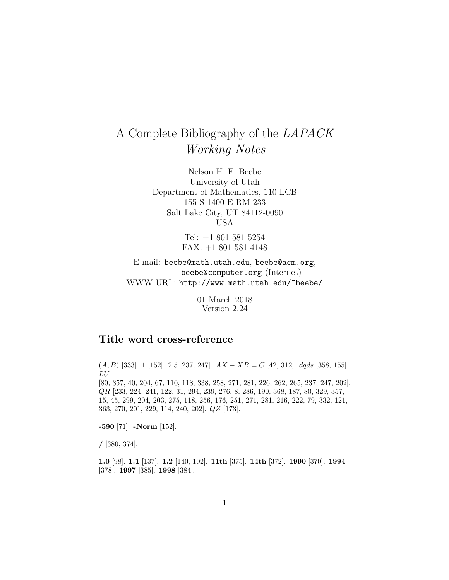# A Complete Bibliography of the LAPACK Working Notes

Nelson H. F. Beebe University of Utah Department of Mathematics, 110 LCB 155 S 1400 E RM 233 Salt Lake City, UT 84112-0090 USA

> Tel: +1 801 581 5254 FAX: +1 801 581 4148

E-mail: beebe@math.utah.edu, beebe@acm.org, beebe@computer.org (Internet) WWW URL: http://www.math.utah.edu/~beebe/

> 01 March 2018 Version 2.24

## **Title word cross-reference**

 $(A, B)$  [333]. 1 [152]. 2.5 [237, 247].  $AX - XB = C$  [42, 312]. dqds [358, 155]. LU

[80, 357, 40, 204, 67, 110, 118, 338, 258, 271, 281, 226, 262, 265, 237, 247, 202]. QR [233, 224, 241, 122, 31, 294, 239, 276, 8, 286, 190, 368, 187, 80, 329, 357, 15, 45, 299, 204, 203, 275, 118, 256, 176, 251, 271, 281, 216, 222, 79, 332, 121, 363, 270, 201, 229, 114, 240, 202]. QZ [173].

**-590** [71]. **-Norm** [152].

**/** [380, 374].

**1.0** [98]. **1.1** [137]. **1.2** [140, 102]. **11th** [375]. **14th** [372]. **1990** [370]. **1994** [378]. **1997** [385]. **1998** [384].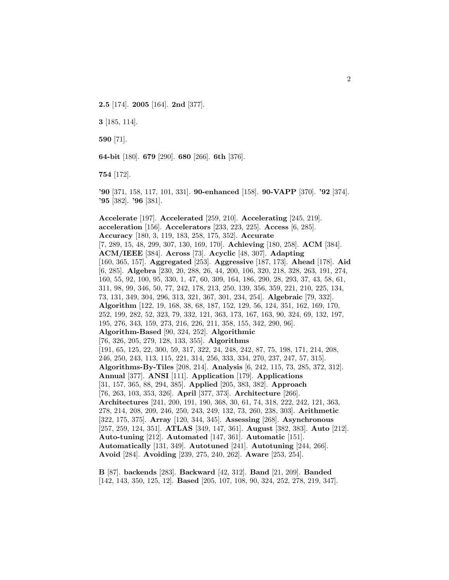**2.5** [174]. **2005** [164]. **2nd** [377].

**3** [185, 114].

**590** [71].

**64-bit** [180]. **679** [290]. **680** [266]. **6th** [376].

**754** [172].

**'90** [371, 158, 117, 101, 331]. **90-enhanced** [158]. **90-VAPP** [370]. **'92** [374]. **'95** [382]. **'96** [381].

**Accelerate** [197]. **Accelerated** [259, 210]. **Accelerating** [245, 219]. **acceleration** [156]. **Accelerators** [233, 223, 225]. **Access** [6, 285]. **Accuracy** [180, 3, 119, 183, 258, 175, 352]. **Accurate** [7, 289, 15, 48, 299, 307, 130, 169, 170]. **Achieving** [180, 258]. **ACM** [384]. **ACM/IEEE** [384]. **Across** [73]. **Acyclic** [48, 307]. **Adapting** [160, 365, 157]. **Aggregated** [253]. **Aggressive** [187, 173]. **Ahead** [178]. **Aid** [6, 285]. **Algebra** [230, 20, 288, 26, 44, 200, 106, 320, 218, 328, 263, 191, 274, 160, 55, 92, 100, 95, 330, 1, 47, 60, 309, 164, 186, 290, 28, 293, 37, 43, 58, 61, 311, 98, 99, 346, 50, 77, 242, 178, 213, 250, 139, 356, 359, 221, 210, 225, 134, 73, 131, 349, 304, 296, 313, 321, 367, 301, 234, 254]. **Algebraic** [79, 332]. **Algorithm** [122, 19, 168, 38, 68, 187, 152, 129, 56, 124, 351, 162, 169, 170, 252, 199, 282, 52, 323, 79, 332, 121, 363, 173, 167, 163, 90, 324, 69, 132, 197, 195, 276, 343, 159, 273, 216, 226, 211, 358, 155, 342, 290, 96]. **Algorithm-Based** [90, 324, 252]. **Algorithmic** [76, 326, 205, 279, 128, 133, 355]. **Algorithms** [191, 65, 125, 22, 300, 59, 317, 322, 24, 248, 242, 87, 75, 198, 171, 214, 208, 246, 250, 243, 113, 115, 221, 314, 256, 333, 334, 270, 237, 247, 57, 315]. **Algorithms-By-Tiles** [208, 214]. **Analysis** [6, 242, 115, 73, 285, 372, 312]. **Annual** [377]. **ANSI** [111]. **Application** [179]. **Applications** [31, 157, 365, 88, 294, 385]. **Applied** [205, 383, 382]. **Approach** [76, 263, 103, 353, 326]. **April** [377, 373]. **Architecture** [266]. **Architectures** [241, 200, 191, 190, 368, 30, 61, 74, 318, 222, 242, 121, 363, 278, 214, 208, 209, 246, 250, 243, 249, 132, 73, 260, 238, 303]. **Arithmetic** [322, 175, 375]. **Array** [120, 344, 345]. **Assessing** [268]. **Asynchronous** [257, 259, 124, 351]. **ATLAS** [349, 147, 361]. **August** [382, 383]. **Auto** [212]. **Auto-tuning** [212]. **Automated** [147, 361]. **Automatic** [151]. **Automatically** [131, 349]. **Autotuned** [241]. **Autotuning** [244, 266]. **Avoid** [284]. **Avoiding** [239, 275, 240, 262]. **Aware** [253, 254].

**B** [87]. **backends** [283]. **Backward** [42, 312]. **Band** [21, 209]. **Banded** [142, 143, 350, 125, 12]. **Based** [205, 107, 108, 90, 324, 252, 278, 219, 347].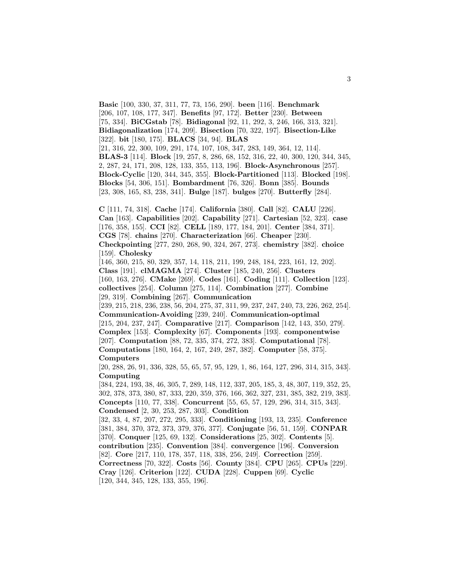**Basic** [100, 330, 37, 311, 77, 73, 156, 290]. **been** [116]. **Benchmark** [206, 107, 108, 177, 347]. **Benefits** [97, 172]. **Better** [230]. **Between** [75, 334]. **BiCGstab** [78]. **Bidiagonal** [92, 11, 292, 3, 246, 166, 313, 321]. **Bidiagonalization** [174, 209]. **Bisection** [70, 322, 197]. **Bisection-Like** [322]. **bit** [180, 175]. **BLACS** [34, 94]. **BLAS** [21, 316, 22, 300, 109, 291, 174, 107, 108, 347, 283, 149, 364, 12, 114]. **BLAS-3** [114]. **Block** [19, 257, 8, 286, 68, 152, 316, 22, 40, 300, 120, 344, 345, 2, 287, 24, 171, 208, 128, 133, 355, 113, 196]. **Block-Asynchronous** [257]. **Block-Cyclic** [120, 344, 345, 355]. **Block-Partitioned** [113]. **Blocked** [198]. **Blocks** [54, 306, 151]. **Bombardment** [76, 326]. **Bonn** [385]. **Bounds** [23, 308, 165, 83, 238, 341]. **Bulge** [187]. **bulges** [270]. **Butterfly** [284].

**C** [111, 74, 318]. **Cache** [174]. **California** [380]. **Call** [82]. **CALU** [226]. **Can** [163]. **Capabilities** [202]. **Capability** [271]. **Cartesian** [52, 323]. **case** [176, 358, 155]. **CCI** [82]. **CELL** [189, 177, 184, 201]. **Center** [384, 371]. **CGS** [78]. **chains** [270]. **Characterization** [66]. **Cheaper** [230]. **Checkpointing** [277, 280, 268, 90, 324, 267, 273]. **chemistry** [382]. **choice** [159]. **Cholesky** [146, 360, 215, 80, 329, 357, 14, 118, 211, 199, 248, 184, 223, 161, 12, 202].

**Class** [191]. **clMAGMA** [274]. **Cluster** [185, 240, 256]. **Clusters** [160, 163, 276]. **CMake** [269]. **Codes** [161]. **Coding** [111]. **Collection** [123]. **collectives** [254]. **Column** [275, 114]. **Combination** [277]. **Combine** [29, 319]. **Combining** [267]. **Communication**

[239, 215, 218, 236, 238, 56, 204, 275, 37, 311, 99, 237, 247, 240, 73, 226, 262, 254]. **Communication-Avoiding** [239, 240]. **Communication-optimal** [215, 204, 237, 247]. **Comparative** [217]. **Comparison** [142, 143, 350, 279]. **Complex** [153]. **Complexity** [67]. **Components** [193]. **componentwise** [207]. **Computation** [88, 72, 335, 374, 272, 383]. **Computational** [78]. **Computations** [180, 164, 2, 167, 249, 287, 382]. **Computer** [58, 375].

#### **Computers**

[20, 288, 26, 91, 336, 328, 55, 65, 57, 95, 129, 1, 86, 164, 127, 296, 314, 315, 343]. **Computing**

[384, 224, 193, 38, 46, 305, 7, 289, 148, 112, 337, 205, 185, 3, 48, 307, 119, 352, 25, 302, 378, 373, 380, 87, 333, 220, 359, 376, 166, 362, 327, 231, 385, 382, 219, 383]. **Concepts** [110, 77, 338]. **Concurrent** [55, 65, 57, 129, 296, 314, 315, 343]. **Condensed** [2, 30, 253, 287, 303]. **Condition**

[32, 33, 4, 87, 207, 272, 295, 333]. **Conditioning** [193, 13, 235]. **Conference** [381, 384, 370, 372, 373, 379, 376, 377]. **Conjugate** [56, 51, 159]. **CONPAR** [370]. **Conquer** [125, 69, 132]. **Considerations** [25, 302]. **Contents** [5]. **contribution** [235]. **Convention** [384]. **convergence** [196]. **Conversion** [82]. **Core** [217, 110, 178, 357, 118, 338, 256, 249]. **Correction** [259]. **Correctness** [70, 322]. **Costs** [56]. **County** [384]. **CPU** [265]. **CPUs** [229]. **Cray** [126]. **Criterion** [122]. **CUDA** [228]. **Cuppen** [69]. **Cyclic** [120, 344, 345, 128, 133, 355, 196].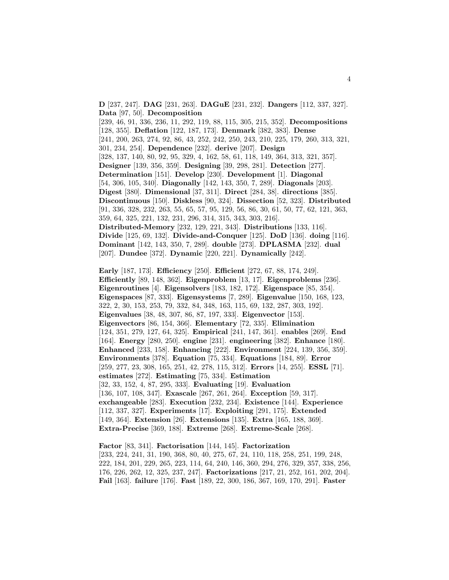**D** [237, 247]. **DAG** [231, 263]. **DAGuE** [231, 232]. **Dangers** [112, 337, 327]. **Data** [97, 50]. **Decomposition**

[239, 46, 91, 336, 236, 11, 292, 119, 88, 115, 305, 215, 352]. **Decompositions** [128, 355]. **Deflation** [122, 187, 173]. **Denmark** [382, 383]. **Dense** [241, 200, 263, 274, 92, 86, 43, 252, 242, 250, 243, 210, 225, 179, 260, 313, 321, 301, 234, 254]. **Dependence** [232]. **derive** [207]. **Design** [328, 137, 140, 80, 92, 95, 329, 4, 162, 58, 61, 118, 149, 364, 313, 321, 357]. **Designer** [139, 356, 359]. **Designing** [39, 298, 281]. **Detection** [277]. **Determination** [151]. **Develop** [230]. **Development** [1]. **Diagonal** [54, 306, 105, 340]. **Diagonally** [142, 143, 350, 7, 289]. **Diagonals** [203]. **Digest** [380]. **Dimensional** [37, 311]. **Direct** [284, 38]. **directions** [385]. **Discontinuous** [150]. **Diskless** [90, 324]. **Dissection** [52, 323]. **Distributed** [91, 336, 328, 232, 263, 55, 65, 57, 95, 129, 56, 86, 30, 61, 50, 77, 62, 121, 363, 359, 64, 325, 221, 132, 231, 296, 314, 315, 343, 303, 216]. **Distributed-Memory** [232, 129, 221, 343]. **Distributions** [133, 116]. **Divide** [125, 69, 132]. **Divide-and-Conquer** [125]. **DoD** [136]. **doing** [116]. **Dominant** [142, 143, 350, 7, 289]. **double** [273]. **DPLASMA** [232]. **dual**

[207]. **Dundee** [372]. **Dynamic** [220, 221]. **Dynamically** [242].

**Early** [187, 173]. **Efficiency** [250]. **Efficient** [272, 67, 88, 174, 249]. **Efficiently** [89, 148, 362]. **Eigenproblem** [13, 17]. **Eigenproblems** [236]. **Eigenroutines** [4]. **Eigensolvers** [183, 182, 172]. **Eigenspace** [85, 354]. **Eigenspaces** [87, 333]. **Eigensystems** [7, 289]. **Eigenvalue** [150, 168, 123, 322, 2, 30, 153, 253, 79, 332, 84, 348, 163, 115, 69, 132, 287, 303, 192]. **Eigenvalues** [38, 48, 307, 86, 87, 197, 333]. **Eigenvector** [153]. **Eigenvectors** [86, 154, 366]. **Elementary** [72, 335]. **Elimination** [124, 351, 279, 127, 64, 325]. **Empirical** [241, 147, 361]. **enables** [269]. **End** [164]. **Energy** [280, 250]. **engine** [231]. **engineering** [382]. **Enhance** [180]. **Enhanced** [233, 158]. **Enhancing** [222]. **Environment** [224, 139, 356, 359]. **Environments** [378]. **Equation** [75, 334]. **Equations** [184, 89]. **Error** [259, 277, 23, 308, 165, 251, 42, 278, 115, 312]. **Errors** [14, 255]. **ESSL** [71]. **estimates** [272]. **Estimating** [75, 334]. **Estimation** [32, 33, 152, 4, 87, 295, 333]. **Evaluating** [19]. **Evaluation** [136, 107, 108, 347]. **Exascale** [267, 261, 264]. **Exception** [59, 317]. **exchangeable** [283]. **Execution** [232, 234]. **Existence** [144]. **Experience** [112, 337, 327]. **Experiments** [17]. **Exploiting** [291, 175]. **Extended** [149, 364]. **Extension** [26]. **Extensions** [135]. **Extra** [165, 188, 369]. **Extra-Precise** [369, 188]. **Extreme** [268]. **Extreme-Scale** [268].

**Factor** [83, 341]. **Factorisation** [144, 145]. **Factorization** [233, 224, 241, 31, 190, 368, 80, 40, 275, 67, 24, 110, 118, 258, 251, 199, 248, 222, 184, 201, 229, 265, 223, 114, 64, 240, 146, 360, 294, 276, 329, 357, 338, 256, 176, 226, 262, 12, 325, 237, 247]. **Factorizations** [217, 21, 252, 161, 202, 204]. **Fail** [163]. **failure** [176]. **Fast** [189, 22, 300, 186, 367, 169, 170, 291]. **Faster**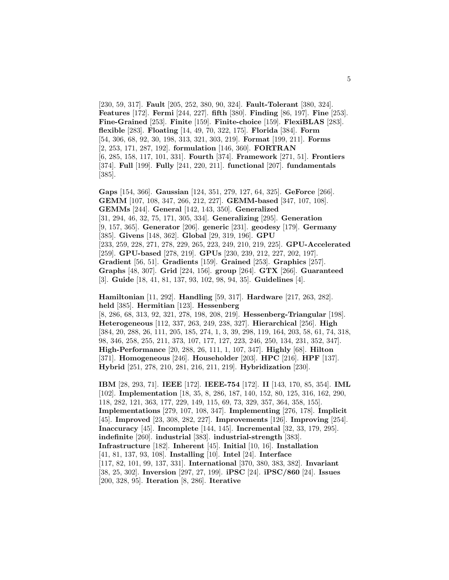[230, 59, 317]. **Fault** [205, 252, 380, 90, 324]. **Fault-Tolerant** [380, 324]. **Features** [172]. **Fermi** [244, 227]. **fifth** [380]. **Finding** [86, 197]. **Fine** [253]. **Fine-Grained** [253]. **Finite** [159]. **Finite-choice** [159]. **FlexiBLAS** [283]. **flexible** [283]. **Floating** [14, 49, 70, 322, 175]. **Florida** [384]. **Form** [54, 306, 68, 92, 30, 198, 313, 321, 303, 219]. **Format** [199, 211]. **Forms** [2, 253, 171, 287, 192]. **formulation** [146, 360]. **FORTRAN** [6, 285, 158, 117, 101, 331]. **Fourth** [374]. **Framework** [271, 51]. **Frontiers** [374]. **Full** [199]. **Fully** [241, 220, 211]. **functional** [207]. **fundamentals** [385].

**Gaps** [154, 366]. **Gaussian** [124, 351, 279, 127, 64, 325]. **GeForce** [266]. **GEMM** [107, 108, 347, 266, 212, 227]. **GEMM-based** [347, 107, 108]. **GEMMs** [244]. **General** [142, 143, 350]. **Generalized** [31, 294, 46, 32, 75, 171, 305, 334]. **Generalizing** [295]. **Generation** [9, 157, 365]. **Generator** [206]. **generic** [231]. **geodesy** [179]. **Germany** [385]. **Givens** [148, 362]. **Global** [29, 319, 196]. **GPU** [233, 259, 228, 271, 278, 229, 265, 223, 249, 210, 219, 225]. **GPU-Accelerated** [259]. **GPU-based** [278, 219]. **GPUs** [230, 239, 212, 227, 202, 197]. **Gradient** [56, 51]. **Gradients** [159]. **Grained** [253]. **Graphics** [257]. **Graphs** [48, 307]. **Grid** [224, 156]. **group** [264]. **GTX** [266]. **Guaranteed** [3]. **Guide** [18, 41, 81, 137, 93, 102, 98, 94, 35]. **Guidelines** [4].

**Hamiltonian** [11, 292]. **Handling** [59, 317]. **Hardware** [217, 263, 282]. **held** [385]. **Hermitian** [123]. **Hessenberg**

[8, 286, 68, 313, 92, 321, 278, 198, 208, 219]. **Hessenberg-Triangular** [198]. **Heterogeneous** [112, 337, 263, 249, 238, 327]. **Hierarchical** [256]. **High** [384, 20, 288, 26, 111, 205, 185, 274, 1, 3, 39, 298, 119, 164, 203, 58, 61, 74, 318, 98, 346, 258, 255, 211, 373, 107, 177, 127, 223, 246, 250, 134, 231, 352, 347]. **High-Performance** [20, 288, 26, 111, 1, 107, 347]. **Highly** [68]. **Hilton** [371]. **Homogeneous** [246]. **Householder** [203]. **HPC** [216]. **HPF** [137]. **Hybrid** [251, 278, 210, 281, 216, 211, 219]. **Hybridization** [230].

**IBM** [28, 293, 71]. **IEEE** [172]. **IEEE-754** [172]. **II** [143, 170, 85, 354]. **IML** [102]. **Implementation** [18, 35, 8, 286, 187, 140, 152, 80, 125, 316, 162, 290, 118, 282, 121, 363, 177, 229, 149, 115, 69, 73, 329, 357, 364, 358, 155]. **Implementations** [279, 107, 108, 347]. **Implementing** [276, 178]. **Implicit** [45]. **Improved** [23, 308, 282, 227]. **Improvements** [126]. **Improving** [254]. **Inaccuracy** [45]. **Incomplete** [144, 145]. **Incremental** [32, 33, 179, 295]. **indefinite** [260]. **industrial** [383]. **industrial-strength** [383]. **Infrastructure** [182]. **Inherent** [45]. **Initial** [10, 16]. **Installation** [41, 81, 137, 93, 108]. **Installing** [10]. **Intel** [24]. **Interface** [117, 82, 101, 99, 137, 331]. **International** [370, 380, 383, 382]. **Invariant** [38, 25, 302]. **Inversion** [297, 27, 199]. **iPSC** [24]. **iPSC/860** [24]. **Issues** [200, 328, 95]. **Iteration** [8, 286]. **Iterative**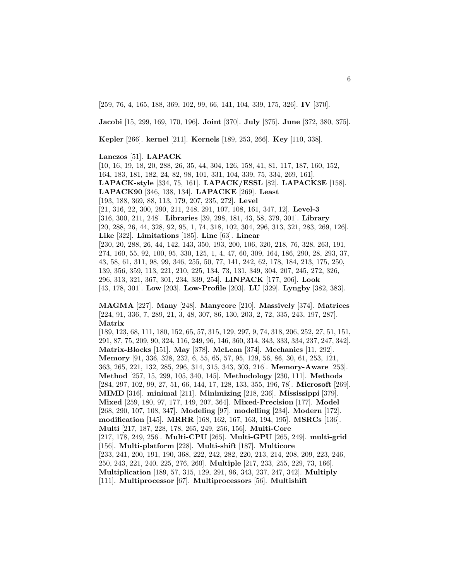[259, 76, 4, 165, 188, 369, 102, 99, 66, 141, 104, 339, 175, 326]. **IV** [370].

**Jacobi** [15, 299, 169, 170, 196]. **Joint** [370]. **July** [375]. **June** [372, 380, 375].

**Kepler** [266]. **kernel** [211]. **Kernels** [189, 253, 266]. **Key** [110, 338].

#### **Lanczos** [51]. **LAPACK**

[10, 16, 19, 18, 20, 288, 26, 35, 44, 304, 126, 158, 41, 81, 117, 187, 160, 152, 164, 183, 181, 182, 24, 82, 98, 101, 331, 104, 339, 75, 334, 269, 161]. **LAPACK-style** [334, 75, 161]. **LAPACK/ESSL** [82]. **LAPACK3E** [158]. **LAPACK90** [346, 138, 134]. **LAPACKE** [269]. **Least** [193, 188, 369, 88, 113, 179, 207, 235, 272]. **Level** [21, 316, 22, 300, 290, 211, 248, 291, 107, 108, 161, 347, 12]. **Level-3** [316, 300, 211, 248]. **Libraries** [39, 298, 181, 43, 58, 379, 301]. **Library** [20, 288, 26, 44, 328, 92, 95, 1, 74, 318, 102, 304, 296, 313, 321, 283, 269, 126]. **Like** [322]. **Limitations** [185]. **Line** [63]. **Linear** [230, 20, 288, 26, 44, 142, 143, 350, 193, 200, 106, 320, 218, 76, 328, 263, 191, 274, 160, 55, 92, 100, 95, 330, 125, 1, 4, 47, 60, 309, 164, 186, 290, 28, 293, 37, 43, 58, 61, 311, 98, 99, 346, 255, 50, 77, 141, 242, 62, 178, 184, 213, 175, 250, 139, 356, 359, 113, 221, 210, 225, 134, 73, 131, 349, 304, 207, 245, 272, 326, 296, 313, 321, 367, 301, 234, 339, 254]. **LINPACK** [177, 206]. **Look** [43, 178, 301]. **Low** [203]. **Low-Profile** [203]. **LU** [329]. **Lyngby** [382, 383].

**MAGMA** [227]. **Many** [248]. **Manycore** [210]. **Massively** [374]. **Matrices** [224, 91, 336, 7, 289, 21, 3, 48, 307, 86, 130, 203, 2, 72, 335, 243, 197, 287]. **Matrix**

[189, 123, 68, 111, 180, 152, 65, 57, 315, 129, 297, 9, 74, 318, 206, 252, 27, 51, 151, 291, 87, 75, 209, 90, 324, 116, 249, 96, 146, 360, 314, 343, 333, 334, 237, 247, 342]. **Matrix-Blocks** [151]. **May** [378]. **McLean** [374]. **Mechanics** [11, 292]. **Memory** [91, 336, 328, 232, 6, 55, 65, 57, 95, 129, 56, 86, 30, 61, 253, 121, 363, 265, 221, 132, 285, 296, 314, 315, 343, 303, 216]. **Memory-Aware** [253]. **Method** [257, 15, 299, 105, 340, 145]. **Methodology** [230, 111]. **Methods** [284, 297, 102, 99, 27, 51, 66, 144, 17, 128, 133, 355, 196, 78]. **Microsoft** [269]. **MIMD** [316]. **minimal** [211]. **Minimizing** [218, 236]. **Mississippi** [379]. **Mixed** [259, 180, 97, 177, 149, 207, 364]. **Mixed-Precision** [177]. **Model** [268, 290, 107, 108, 347]. **Modeling** [97]. **modelling** [234]. **Modern** [172]. **modification** [145]. **MRRR** [168, 162, 167, 163, 194, 195]. **MSRCs** [136]. **Multi** [217, 187, 228, 178, 265, 249, 256, 156]. **Multi-Core** [217, 178, 249, 256]. **Multi-CPU** [265]. **Multi-GPU** [265, 249]. **multi-grid** [156]. **Multi-platform** [228]. **Multi-shift** [187]. **Multicore** [233, 241, 200, 191, 190, 368, 222, 242, 282, 220, 213, 214, 208, 209, 223, 246, 250, 243, 221, 240, 225, 276, 260]. **Multiple** [217, 233, 255, 229, 73, 166]. **Multiplication** [189, 57, 315, 129, 291, 96, 343, 237, 247, 342]. **Multiply** [111]. **Multiprocessor** [67]. **Multiprocessors** [56]. **Multishift**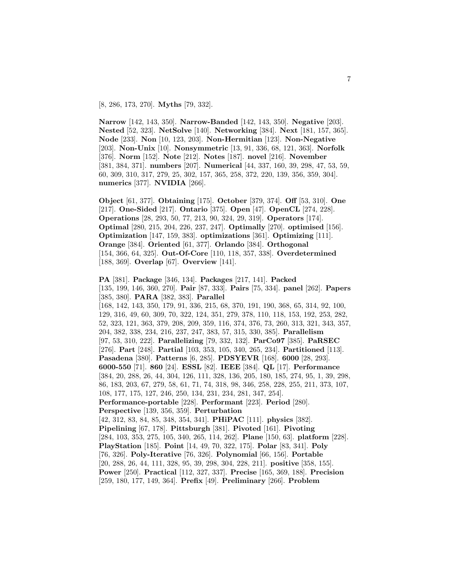[8, 286, 173, 270]. **Myths** [79, 332].

**Narrow** [142, 143, 350]. **Narrow-Banded** [142, 143, 350]. **Negative** [203]. **Nested** [52, 323]. **NetSolve** [140]. **Networking** [384]. **Next** [181, 157, 365]. **Node** [233]. **Non** [10, 123, 203]. **Non-Hermitian** [123]. **Non-Negative** [203]. **Non-Unix** [10]. **Nonsymmetric** [13, 91, 336, 68, 121, 363]. **Norfolk** [376]. **Norm** [152]. **Note** [212]. **Notes** [187]. **novel** [216]. **November** [381, 384, 371]. **numbers** [207]. **Numerical** [44, 337, 160, 39, 298, 47, 53, 59, 60, 309, 310, 317, 279, 25, 302, 157, 365, 258, 372, 220, 139, 356, 359, 304]. **numerics** [377]. **NVIDIA** [266].

**Object** [61, 377]. **Obtaining** [175]. **October** [379, 374]. **Off** [53, 310]. **One** [217]. **One-Sided** [217]. **Ontario** [375]. **Open** [47]. **OpenCL** [274, 228]. **Operations** [28, 293, 50, 77, 213, 90, 324, 29, 319]. **Operators** [174]. **Optimal** [280, 215, 204, 226, 237, 247]. **Optimally** [270]. **optimised** [156]. **Optimization** [147, 159, 383]. **optimizations** [361]. **Optimizing** [111]. **Orange** [384]. **Oriented** [61, 377]. **Orlando** [384]. **Orthogonal** [154, 366, 64, 325]. **Out-Of-Core** [110, 118, 357, 338]. **Overdetermined** [188, 369]. **Overlap** [67]. **Overview** [141].

**PA** [381]. **Package** [346, 134]. **Packages** [217, 141]. **Packed** [135, 199, 146, 360, 270]. **Pair** [87, 333]. **Pairs** [75, 334]. **panel** [262]. **Papers** [385, 380]. **PARA** [382, 383]. **Parallel** [168, 142, 143, 350, 179, 91, 336, 215, 68, 370, 191, 190, 368, 65, 314, 92, 100, 129, 316, 49, 60, 309, 70, 322, 124, 351, 279, 378, 110, 118, 153, 192, 253, 282, 52, 323, 121, 363, 379, 208, 209, 359, 116, 374, 376, 73, 260, 313, 321, 343, 357, 204, 382, 338, 234, 216, 237, 247, 383, 57, 315, 330, 385]. **Parallelism** [97, 53, 310, 222]. **Parallelizing** [79, 332, 132]. **ParCo97** [385]. **PaRSEC** [276]. **Part** [248]. **Partial** [103, 353, 105, 340, 265, 234]. **Partitioned** [113]. **Pasadena** [380]. **Patterns** [6, 285]. **PDSYEVR** [168]. **6000** [28, 293]. **6000-550** [71]. **860** [24]. **ESSL** [82]. **IEEE** [384]. **QL** [17]. **Performance** [384, 20, 288, 26, 44, 304, 126, 111, 328, 136, 205, 180, 185, 274, 95, 1, 39, 298, 86, 183, 203, 67, 279, 58, 61, 71, 74, 318, 98, 346, 258, 228, 255, 211, 373, 107, 108, 177, 175, 127, 246, 250, 134, 231, 234, 281, 347, 254]. **Performance-portable** [228]. **Performant** [223]. **Period** [280]. **Perspective** [139, 356, 359]. **Perturbation** [42, 312, 83, 84, 85, 348, 354, 341]. **PHiPAC** [111]. **physics** [382]. **Pipelining** [67, 178]. **Pittsburgh** [381]. **Pivoted** [161]. **Pivoting** [284, 103, 353, 275, 105, 340, 265, 114, 262]. **Plane** [150, 63]. **platform** [228]. **PlayStation** [185]. **Point** [14, 49, 70, 322, 175]. **Polar** [83, 341]. **Poly** [76, 326]. **Poly-Iterative** [76, 326]. **Polynomial** [66, 156]. **Portable** [20, 288, 26, 44, 111, 328, 95, 39, 298, 304, 228, 211]. **positive** [358, 155]. **Power** [250]. **Practical** [112, 327, 337]. **Precise** [165, 369, 188]. **Precision** [259, 180, 177, 149, 364]. **Prefix** [49]. **Preliminary** [266]. **Problem**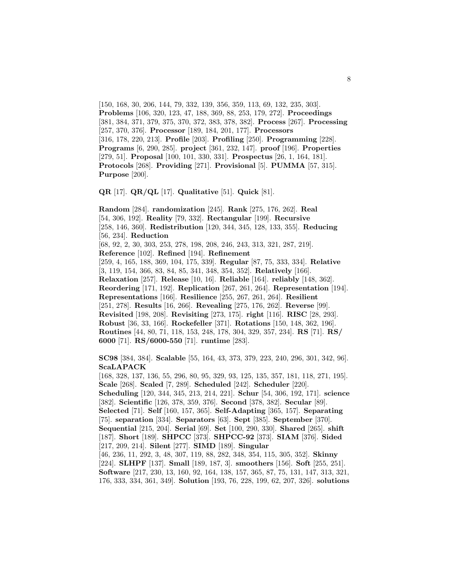[150, 168, 30, 206, 144, 79, 332, 139, 356, 359, 113, 69, 132, 235, 303]. **Problems** [106, 320, 123, 47, 188, 369, 88, 253, 179, 272]. **Proceedings** [381, 384, 371, 379, 375, 370, 372, 383, 378, 382]. **Process** [267]. **Processing** [257, 370, 376]. **Processor** [189, 184, 201, 177]. **Processors** [316, 178, 220, 213]. **Profile** [203]. **Profiling** [250]. **Programming** [228]. **Programs** [6, 290, 285]. **project** [361, 232, 147]. **proof** [196]. **Properties** [279, 51]. **Proposal** [100, 101, 330, 331]. **Prospectus** [26, 1, 164, 181]. **Protocols** [268]. **Providing** [271]. **Provisional** [5]. **PUMMA** [57, 315]. **Purpose** [200].

**QR** [17]. **QR/QL** [17]. **Qualitative** [51]. **Quick** [81].

**Random** [284]. **randomization** [245]. **Rank** [275, 176, 262]. **Real** [54, 306, 192]. **Reality** [79, 332]. **Rectangular** [199]. **Recursive** [258, 146, 360]. **Redistribution** [120, 344, 345, 128, 133, 355]. **Reducing** [56, 234]. **Reduction** [68, 92, 2, 30, 303, 253, 278, 198, 208, 246, 243, 313, 321, 287, 219]. **Reference** [102]. **Refined** [194]. **Refinement** [259, 4, 165, 188, 369, 104, 175, 339]. **Regular** [87, 75, 333, 334]. **Relative** [3, 119, 154, 366, 83, 84, 85, 341, 348, 354, 352]. **Relatively** [166]. **Relaxation** [257]. **Release** [10, 16]. **Reliable** [164]. **reliably** [148, 362]. **Reordering** [171, 192]. **Replication** [267, 261, 264]. **Representation** [194]. **Representations** [166]. **Resilience** [255, 267, 261, 264]. **Resilient** [251, 278]. **Results** [16, 266]. **Revealing** [275, 176, 262]. **Reverse** [99]. **Revisited** [198, 208]. **Revisiting** [273, 175]. **right** [116]. **RISC** [28, 293]. **Robust** [36, 33, 166]. **Rockefeller** [371]. **Rotations** [150, 148, 362, 196]. **Routines** [44, 80, 71, 118, 153, 248, 178, 304, 329, 357, 234]. **RS** [71]. **RS/ 6000** [71]. **RS/6000-550** [71]. **runtime** [283].

**SC98** [384, 384]. **Scalable** [55, 164, 43, 373, 379, 223, 240, 296, 301, 342, 96]. **ScaLAPACK**

[168, 328, 137, 136, 55, 296, 80, 95, 329, 93, 125, 135, 357, 181, 118, 271, 195]. **Scale** [268]. **Scaled** [7, 289]. **Scheduled** [242]. **Scheduler** [220]. **Scheduling** [120, 344, 345, 213, 214, 221]. **Schur** [54, 306, 192, 171]. **science** [382]. **Scientific** [126, 378, 359, 376]. **Second** [378, 382]. **Secular** [89]. **Selected** [71]. **Self** [160, 157, 365]. **Self-Adapting** [365, 157]. **Separating** [75]. **separation** [334]. **Separators** [63]. **Sept** [385]. **September** [370]. **Sequential** [215, 204]. **Serial** [69]. **Set** [100, 290, 330]. **Shared** [265]. **shift** [187]. **Short** [189]. **SHPCC** [373]. **SHPCC-92** [373]. **SIAM** [376]. **Sided** [217, 209, 214]. **Silent** [277]. **SIMD** [189]. **Singular** [46, 236, 11, 292, 3, 48, 307, 119, 88, 282, 348, 354, 115, 305, 352]. **Skinny** [224]. **SLHPF** [137]. **Small** [189, 187, 3]. **smoothers** [156]. **Soft** [255, 251]. **Software** [217, 230, 13, 160, 92, 164, 138, 157, 365, 87, 75, 131, 147, 313, 321, 176, 333, 334, 361, 349]. **Solution** [193, 76, 228, 199, 62, 207, 326]. **solutions**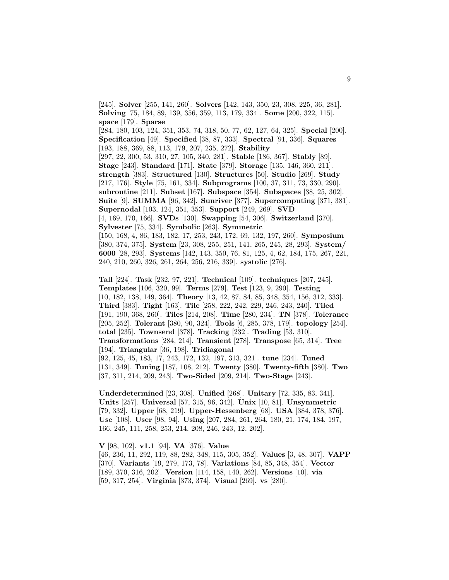**Solving** [75, 184, 89, 139, 356, 359, 113, 179, 334]. **Some** [200, 322, 115]. **space** [179]. **Sparse** [284, 180, 103, 124, 351, 353, 74, 318, 50, 77, 62, 127, 64, 325]. **Special** [200]. **Specification** [49]. **Specified** [38, 87, 333]. **Spectral** [91, 336]. **Squares** [193, 188, 369, 88, 113, 179, 207, 235, 272]. **Stability** [297, 22, 300, 53, 310, 27, 105, 340, 281]. **Stable** [186, 367]. **Stably** [89]. **Stage** [243]. **Standard** [171]. **State** [379]. **Storage** [135, 146, 360, 211]. **strength** [383]. **Structured** [130]. **Structures** [50]. **Studio** [269]. **Study** [217, 176]. **Style** [75, 161, 334]. **Subprograms** [100, 37, 311, 73, 330, 290]. **subroutine** [211]. **Subset** [167]. **Subspace** [354]. **Subspaces** [38, 25, 302]. **Suite** [9]. **SUMMA** [96, 342]. **Sunriver** [377]. **Supercomputing** [371, 381]. **Supernodal** [103, 124, 351, 353]. **Support** [249, 269]. **SVD** [4, 169, 170, 166]. **SVDs** [130]. **Swapping** [54, 306]. **Switzerland** [370]. **Sylvester** [75, 334]. **Symbolic** [263]. **Symmetric** [150, 168, 4, 86, 183, 182, 17, 253, 243, 172, 69, 132, 197, 260]. **Symposium** [380, 374, 375]. **System** [23, 308, 255, 251, 141, 265, 245, 28, 293]. **System/ 6000** [28, 293]. **Systems** [142, 143, 350, 76, 81, 125, 4, 62, 184, 175, 267, 221, 240, 210, 260, 326, 261, 264, 256, 216, 339]. **systolic** [276].

[245]. **Solver** [255, 141, 260]. **Solvers** [142, 143, 350, 23, 308, 225, 36, 281].

**Tall** [224]. **Task** [232, 97, 221]. **Technical** [109]. **techniques** [207, 245]. **Templates** [106, 320, 99]. **Terms** [279]. **Test** [123, 9, 290]. **Testing** [10, 182, 138, 149, 364]. **Theory** [13, 42, 87, 84, 85, 348, 354, 156, 312, 333]. **Third** [383]. **Tight** [163]. **Tile** [258, 222, 242, 229, 246, 243, 240]. **Tiled** [191, 190, 368, 260]. **Tiles** [214, 208]. **Time** [280, 234]. **TN** [378]. **Tolerance** [205, 252]. **Tolerant** [380, 90, 324]. **Tools** [6, 285, 378, 179]. **topology** [254]. **total** [235]. **Townsend** [378]. **Tracking** [232]. **Trading** [53, 310]. **Transformations** [284, 214]. **Transient** [278]. **Transpose** [65, 314]. **Tree** [194]. **Triangular** [36, 198]. **Tridiagonal** [92, 125, 45, 183, 17, 243, 172, 132, 197, 313, 321]. **tune** [234]. **Tuned** [131, 349]. **Tuning** [187, 108, 212]. **Twenty** [380]. **Twenty-fifth** [380]. **Two** [37, 311, 214, 209, 243]. **Two-Sided** [209, 214]. **Two-Stage** [243].

**Underdetermined** [23, 308]. **Unified** [268]. **Unitary** [72, 335, 83, 341]. **Units** [257]. **Universal** [57, 315, 96, 342]. **Unix** [10, 81]. **Unsymmetric** [79, 332]. **Upper** [68, 219]. **Upper-Hessenberg** [68]. **USA** [384, 378, 376]. **Use** [108]. **User** [98, 94]. **Using** [207, 284, 261, 264, 180, 21, 174, 184, 197, 166, 245, 111, 258, 253, 214, 208, 246, 243, 12, 202].

**V** [98, 102]. **v1.1** [94]. **VA** [376]. **Value** [46, 236, 11, 292, 119, 88, 282, 348, 115, 305, 352]. **Values** [3, 48, 307]. **VAPP** [370]. **Variants** [19, 279, 173, 78]. **Variations** [84, 85, 348, 354]. **Vector** [189, 370, 316, 202]. **Version** [114, 158, 140, 262]. **Versions** [10]. **via** [59, 317, 254]. **Virginia** [373, 374]. **Visual** [269]. **vs** [280].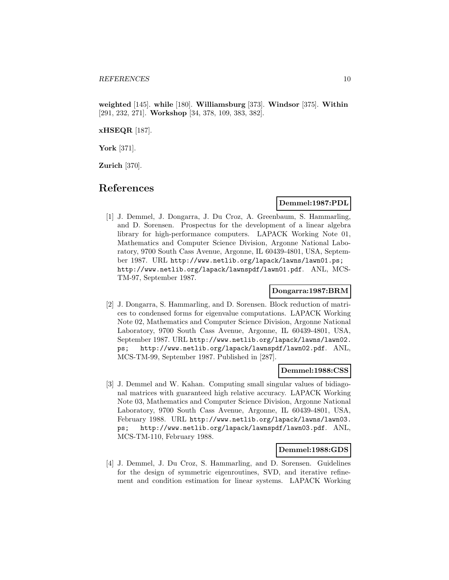**weighted** [145]. **while** [180]. **Williamsburg** [373]. **Windsor** [375]. **Within** [291, 232, 271]. **Workshop** [34, 378, 109, 383, 382].

#### **xHSEQR** [187].

**York** [371].

**Zurich** [370].

## **References**

#### **Demmel:1987:PDL**

[1] J. Demmel, J. Dongarra, J. Du Croz, A. Greenbaum, S. Hammarling, and D. Sorensen. Prospectus for the development of a linear algebra library for high-performance computers. LAPACK Working Note 01, Mathematics and Computer Science Division, Argonne National Laboratory, 9700 South Cass Avenue, Argonne, IL 60439-4801, USA, September 1987. URL http://www.netlib.org/lapack/lawns/lawn01.ps; http://www.netlib.org/lapack/lawnspdf/lawn01.pdf. ANL, MCS-TM-97, September 1987.

## **Dongarra:1987:BRM**

[2] J. Dongarra, S. Hammarling, and D. Sorensen. Block reduction of matrices to condensed forms for eigenvalue computations. LAPACK Working Note 02, Mathematics and Computer Science Division, Argonne National Laboratory, 9700 South Cass Avenue, Argonne, IL 60439-4801, USA, September 1987. URL http://www.netlib.org/lapack/lawns/lawn02. ps; http://www.netlib.org/lapack/lawnspdf/lawn02.pdf. ANL, MCS-TM-99, September 1987. Published in [287].

#### **Demmel:1988:CSS**

[3] J. Demmel and W. Kahan. Computing small singular values of bidiagonal matrices with guaranteed high relative accuracy. LAPACK Working Note 03, Mathematics and Computer Science Division, Argonne National Laboratory, 9700 South Cass Avenue, Argonne, IL 60439-4801, USA, February 1988. URL http://www.netlib.org/lapack/lawns/lawn03. ps; http://www.netlib.org/lapack/lawnspdf/lawn03.pdf. ANL, MCS-TM-110, February 1988.

#### **Demmel:1988:GDS**

[4] J. Demmel, J. Du Croz, S. Hammarling, and D. Sorensen. Guidelines for the design of symmetric eigenroutines, SVD, and iterative refinement and condition estimation for linear systems. LAPACK Working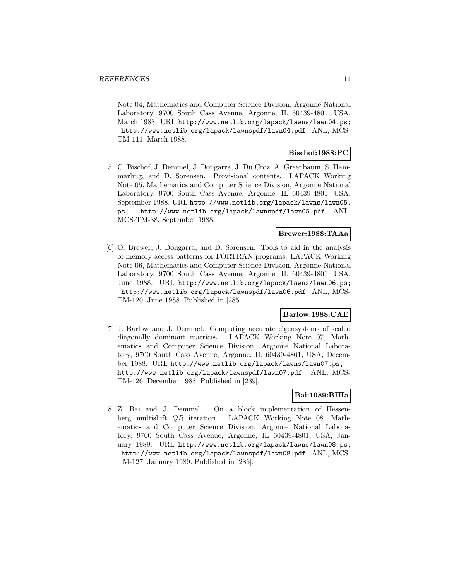Note 04, Mathematics and Computer Science Division, Argonne National Laboratory, 9700 South Cass Avenue, Argonne, IL 60439-4801, USA, March 1988. URL http://www.netlib.org/lapack/lawns/lawn04.ps; http://www.netlib.org/lapack/lawnspdf/lawn04.pdf. ANL, MCS-TM-111, March 1988.

## **Bischof:1988:PC**

[5] C. Bischof, J. Demmel, J. Dongarra, J. Du Croz, A. Greenbaum, S. Hammarling, and D. Sorensen. Provisional contents. LAPACK Working Note 05, Mathematics and Computer Science Division, Argonne National Laboratory, 9700 South Cass Avenue, Argonne, IL 60439-4801, USA, September 1988. URL http://www.netlib.org/lapack/lawns/lawn05. ps; http://www.netlib.org/lapack/lawnspdf/lawn05.pdf. ANL, MCS-TM-38, September 1988.

## **Brewer:1988:TAAa**

[6] O. Brewer, J. Dongarra, and D. Sorensen. Tools to aid in the analysis of memory access patterns for FORTRAN programs. LAPACK Working Note 06, Mathematics and Computer Science Division, Argonne National Laboratory, 9700 South Cass Avenue, Argonne, IL 60439-4801, USA, June 1988. URL http://www.netlib.org/lapack/lawns/lawn06.ps; http://www.netlib.org/lapack/lawnspdf/lawn06.pdf. ANL, MCS-TM-120, June 1988. Published in [285].

## **Barlow:1988:CAE**

[7] J. Barlow and J. Demmel. Computing accurate eigensystems of scaled diagonally dominant matrices. LAPACK Working Note 07, Mathematics and Computer Science Division, Argonne National Laboratory, 9700 South Cass Avenue, Argonne, IL 60439-4801, USA, December 1988. URL http://www.netlib.org/lapack/lawns/lawn07.ps; http://www.netlib.org/lapack/lawnspdf/lawn07.pdf. ANL, MCS-TM-126, December 1988. Published in [289].

## **Bai:1989:BIHa**

[8] Z. Bai and J. Demmel. On a block implementation of Hessenberg multishift QR iteration. LAPACK Working Note 08, Mathematics and Computer Science Division, Argonne National Laboratory, 9700 South Cass Avenue, Argonne, IL 60439-4801, USA, January 1989. URL http://www.netlib.org/lapack/lawns/lawn08.ps; http://www.netlib.org/lapack/lawnspdf/lawn08.pdf. ANL, MCS-TM-127, January 1989. Published in [286].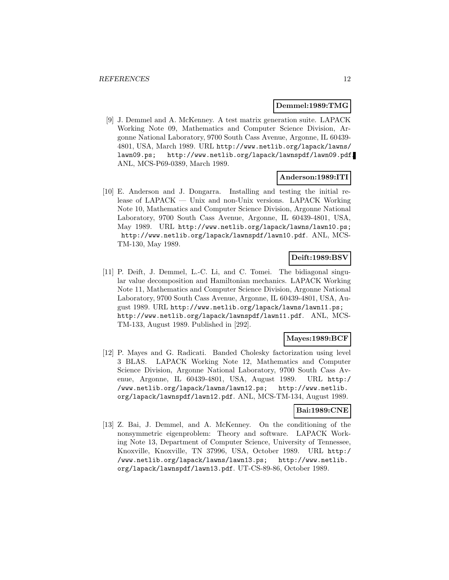#### **Demmel:1989:TMG**

[9] J. Demmel and A. McKenney. A test matrix generation suite. LAPACK Working Note 09, Mathematics and Computer Science Division, Argonne National Laboratory, 9700 South Cass Avenue, Argonne, IL 60439- 4801, USA, March 1989. URL http://www.netlib.org/lapack/lawns/ lawn09.ps; http://www.netlib.org/lapack/lawnspdf/lawn09.pdf. ANL, MCS-P69-0389, March 1989.

#### **Anderson:1989:ITI**

[10] E. Anderson and J. Dongarra. Installing and testing the initial release of LAPACK — Unix and non-Unix versions. LAPACK Working Note 10, Mathematics and Computer Science Division, Argonne National Laboratory, 9700 South Cass Avenue, Argonne, IL 60439-4801, USA, May 1989. URL http://www.netlib.org/lapack/lawns/lawn10.ps; http://www.netlib.org/lapack/lawnspdf/lawn10.pdf. ANL, MCS-TM-130, May 1989.

## **Deift:1989:BSV**

[11] P. Deift, J. Demmel, L.-C. Li, and C. Tomei. The bidiagonal singular value decomposition and Hamiltonian mechanics. LAPACK Working Note 11, Mathematics and Computer Science Division, Argonne National Laboratory, 9700 South Cass Avenue, Argonne, IL 60439-4801, USA, August 1989. URL http://www.netlib.org/lapack/lawns/lawn11.ps; http://www.netlib.org/lapack/lawnspdf/lawn11.pdf. ANL, MCS-TM-133, August 1989. Published in [292].

## **Mayes:1989:BCF**

[12] P. Mayes and G. Radicati. Banded Cholesky factorization using level 3 BLAS. LAPACK Working Note 12, Mathematics and Computer Science Division, Argonne National Laboratory, 9700 South Cass Avenue, Argonne, IL 60439-4801, USA, August 1989. URL http:/ /www.netlib.org/lapack/lawns/lawn12.ps; http://www.netlib. org/lapack/lawnspdf/lawn12.pdf. ANL, MCS-TM-134, August 1989.

## **Bai:1989:CNE**

[13] Z. Bai, J. Demmel, and A. McKenney. On the conditioning of the nonsymmetric eigenproblem: Theory and software. LAPACK Working Note 13, Department of Computer Science, University of Tennessee, Knoxville, Knoxville, TN 37996, USA, October 1989. URL http:/ /www.netlib.org/lapack/lawns/lawn13.ps; http://www.netlib. org/lapack/lawnspdf/lawn13.pdf. UT-CS-89-86, October 1989.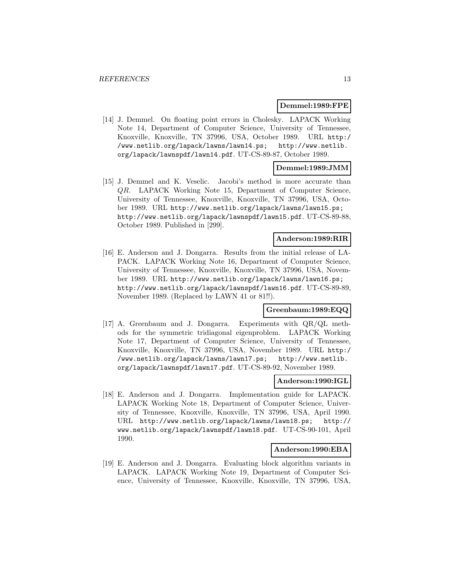#### **Demmel:1989:FPE**

[14] J. Demmel. On floating point errors in Cholesky. LAPACK Working Note 14, Department of Computer Science, University of Tennessee, Knoxville, Knoxville, TN 37996, USA, October 1989. URL http:/ /www.netlib.org/lapack/lawns/lawn14.ps; http://www.netlib. org/lapack/lawnspdf/lawn14.pdf. UT-CS-89-87, October 1989.

## **Demmel:1989:JMM**

[15] J. Demmel and K. Veselic. Jacobi's method is more accurate than QR. LAPACK Working Note 15, Department of Computer Science, University of Tennessee, Knoxville, Knoxville, TN 37996, USA, October 1989. URL http://www.netlib.org/lapack/lawns/lawn15.ps; http://www.netlib.org/lapack/lawnspdf/lawn15.pdf. UT-CS-89-88, October 1989. Published in [299].

## **Anderson:1989:RIR**

[16] E. Anderson and J. Dongarra. Results from the initial release of LA-PACK. LAPACK Working Note 16, Department of Computer Science, University of Tennessee, Knoxville, Knoxville, TN 37996, USA, November 1989. URL http://www.netlib.org/lapack/lawns/lawn16.ps; http://www.netlib.org/lapack/lawnspdf/lawn16.pdf. UT-CS-89-89, November 1989. (Replaced by LAWN 41 or 81!!).

#### **Greenbaum:1989:EQQ**

[17] A. Greenbaum and J. Dongarra. Experiments with QR/QL methods for the symmetric tridiagonal eigenproblem. LAPACK Working Note 17, Department of Computer Science, University of Tennessee, Knoxville, Knoxville, TN 37996, USA, November 1989. URL http:/ /www.netlib.org/lapack/lawns/lawn17.ps; http://www.netlib. org/lapack/lawnspdf/lawn17.pdf. UT-CS-89-92, November 1989.

#### **Anderson:1990:IGL**

[18] E. Anderson and J. Dongarra. Implementation guide for LAPACK. LAPACK Working Note 18, Department of Computer Science, University of Tennessee, Knoxville, Knoxville, TN 37996, USA, April 1990. URL http://www.netlib.org/lapack/lawns/lawn18.ps; http:// www.netlib.org/lapack/lawnspdf/lawn18.pdf. UT-CS-90-101, April 1990.

#### **Anderson:1990:EBA**

[19] E. Anderson and J. Dongarra. Evaluating block algorithm variants in LAPACK. LAPACK Working Note 19, Department of Computer Science, University of Tennessee, Knoxville, Knoxville, TN 37996, USA,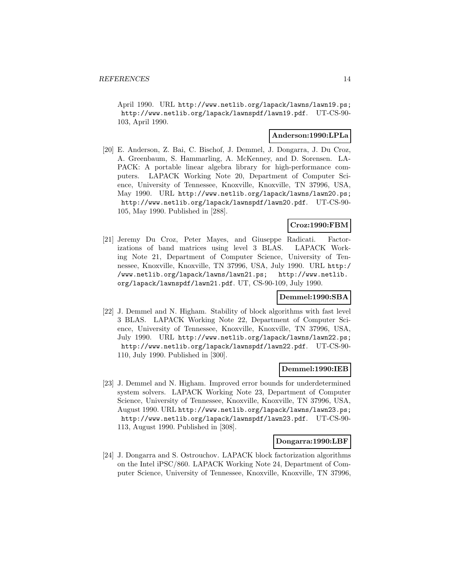April 1990. URL http://www.netlib.org/lapack/lawns/lawn19.ps; http://www.netlib.org/lapack/lawnspdf/lawn19.pdf. UT-CS-90- 103, April 1990.

### **Anderson:1990:LPLa**

[20] E. Anderson, Z. Bai, C. Bischof, J. Demmel, J. Dongarra, J. Du Croz, A. Greenbaum, S. Hammarling, A. McKenney, and D. Sorensen. LA-PACK: A portable linear algebra library for high-performance computers. LAPACK Working Note 20, Department of Computer Science, University of Tennessee, Knoxville, Knoxville, TN 37996, USA, May 1990. URL http://www.netlib.org/lapack/lawns/lawn20.ps; http://www.netlib.org/lapack/lawnspdf/lawn20.pdf. UT-CS-90- 105, May 1990. Published in [288].

## **Croz:1990:FBM**

[21] Jeremy Du Croz, Peter Mayes, and Giuseppe Radicati. Factorizations of band matrices using level 3 BLAS. LAPACK Working Note 21, Department of Computer Science, University of Tennessee, Knoxville, Knoxville, TN 37996, USA, July 1990. URL http:/ /www.netlib.org/lapack/lawns/lawn21.ps; http://www.netlib. org/lapack/lawnspdf/lawn21.pdf. UT, CS-90-109, July 1990.

#### **Demmel:1990:SBA**

[22] J. Demmel and N. Higham. Stability of block algorithms with fast level 3 BLAS. LAPACK Working Note 22, Department of Computer Science, University of Tennessee, Knoxville, Knoxville, TN 37996, USA, July 1990. URL http://www.netlib.org/lapack/lawns/lawn22.ps; http://www.netlib.org/lapack/lawnspdf/lawn22.pdf. UT-CS-90- 110, July 1990. Published in [300].

#### **Demmel:1990:IEB**

[23] J. Demmel and N. Higham. Improved error bounds for underdetermined system solvers. LAPACK Working Note 23, Department of Computer Science, University of Tennessee, Knoxville, Knoxville, TN 37996, USA, August 1990. URL http://www.netlib.org/lapack/lawns/lawn23.ps; http://www.netlib.org/lapack/lawnspdf/lawn23.pdf. UT-CS-90- 113, August 1990. Published in [308].

#### **Dongarra:1990:LBF**

[24] J. Dongarra and S. Ostrouchov. LAPACK block factorization algorithms on the Intel iPSC/860. LAPACK Working Note 24, Department of Computer Science, University of Tennessee, Knoxville, Knoxville, TN 37996,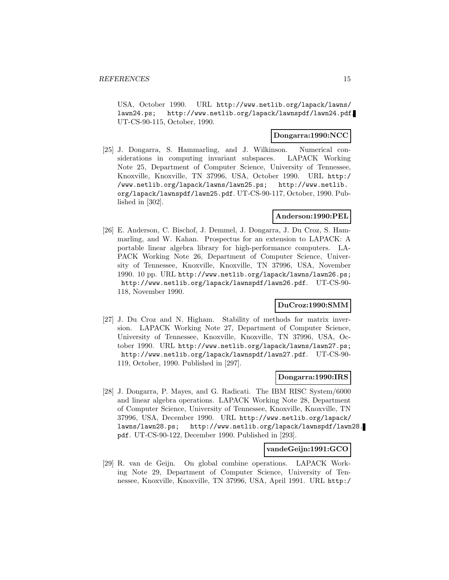USA, October 1990. URL http://www.netlib.org/lapack/lawns/ lawn24.ps; http://www.netlib.org/lapack/lawnspdf/lawn24.pdf. UT-CS-90-115, October, 1990.

### **Dongarra:1990:NCC**

[25] J. Dongarra, S. Hammarling, and J. Wilkinson. Numerical considerations in computing invariant subspaces. LAPACK Working Note 25, Department of Computer Science, University of Tennessee, Knoxville, Knoxville, TN 37996, USA, October 1990. URL http:/ /www.netlib.org/lapack/lawns/lawn25.ps; http://www.netlib. org/lapack/lawnspdf/lawn25.pdf. UT-CS-90-117, October, 1990. Published in [302].

## **Anderson:1990:PEL**

[26] E. Anderson, C. Bischof, J. Demmel, J. Dongarra, J. Du Croz, S. Hammarling, and W. Kahan. Prospectus for an extension to LAPACK: A portable linear algebra library for high-performance computers. LA-PACK Working Note 26, Department of Computer Science, University of Tennessee, Knoxville, Knoxville, TN 37996, USA, November 1990. 10 pp. URL http://www.netlib.org/lapack/lawns/lawn26.ps; http://www.netlib.org/lapack/lawnspdf/lawn26.pdf. UT-CS-90- 118, November 1990.

#### **DuCroz:1990:SMM**

[27] J. Du Croz and N. Higham. Stability of methods for matrix inversion. LAPACK Working Note 27, Department of Computer Science, University of Tennessee, Knoxville, Knoxville, TN 37996, USA, October 1990. URL http://www.netlib.org/lapack/lawns/lawn27.ps; http://www.netlib.org/lapack/lawnspdf/lawn27.pdf. UT-CS-90- 119, October, 1990. Published in [297].

### **Dongarra:1990:IRS**

[28] J. Dongarra, P. Mayes, and G. Radicati. The IBM RISC System/6000 and linear algebra operations. LAPACK Working Note 28, Department of Computer Science, University of Tennessee, Knoxville, Knoxville, TN 37996, USA, December 1990. URL http://www.netlib.org/lapack/ lawns/lawn28.ps; http://www.netlib.org/lapack/lawnspdf/lawn28. pdf. UT-CS-90-122, December 1990. Published in [293].

#### **vandeGeijn:1991:GCO**

[29] R. van de Geijn. On global combine operations. LAPACK Working Note 29, Department of Computer Science, University of Tennessee, Knoxville, Knoxville, TN 37996, USA, April 1991. URL http:/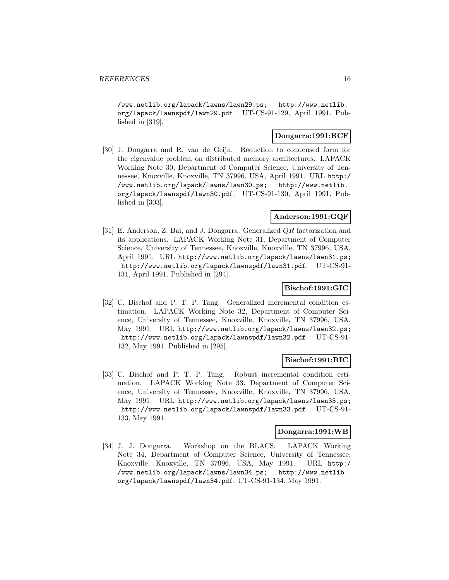/www.netlib.org/lapack/lawns/lawn29.ps; http://www.netlib. org/lapack/lawnspdf/lawn29.pdf. UT-CS-91-129, April 1991. Published in [319].

### **Dongarra:1991:RCF**

[30] J. Dongarra and R. van de Geijn. Reduction to condensed form for the eigenvalue problem on distributed memory architectures. LAPACK Working Note 30, Department of Computer Science, University of Tennessee, Knoxville, Knoxville, TN 37996, USA, April 1991. URL http:/ /www.netlib.org/lapack/lawns/lawn30.ps; http://www.netlib. org/lapack/lawnspdf/lawn30.pdf. UT-CS-91-130, April 1991. Published in [303].

### **Anderson:1991:GQF**

[31] E. Anderson, Z. Bai, and J. Dongarra. Generalized QR factorization and its applications. LAPACK Working Note 31, Department of Computer Science, University of Tennessee, Knoxville, Knoxville, TN 37996, USA, April 1991. URL http://www.netlib.org/lapack/lawns/lawn31.ps; http://www.netlib.org/lapack/lawnspdf/lawn31.pdf. UT-CS-91- 131, April 1991. Published in [294].

## **Bischof:1991:GIC**

[32] C. Bischof and P. T. P. Tang. Generalized incremental condition estimation. LAPACK Working Note 32, Department of Computer Science, University of Tennessee, Knoxville, Knoxville, TN 37996, USA, May 1991. URL http://www.netlib.org/lapack/lawns/lawn32.ps; http://www.netlib.org/lapack/lawnspdf/lawn32.pdf. UT-CS-91- 132, May 1991. Published in [295].

#### **Bischof:1991:RIC**

[33] C. Bischof and P. T. P. Tang. Robust incremental condition estimation. LAPACK Working Note 33, Department of Computer Science, University of Tennessee, Knoxville, Knoxville, TN 37996, USA, May 1991. URL http://www.netlib.org/lapack/lawns/lawn33.ps; http://www.netlib.org/lapack/lawnspdf/lawn33.pdf. UT-CS-91- 133, May 1991.

#### **Dongarra:1991:WB**

[34] J. J. Dongarra. Workshop on the BLACS. LAPACK Working Note 34, Department of Computer Science, University of Tennessee, Knoxville, Knoxville, TN 37996, USA, May 1991. URL http:/ /www.netlib.org/lapack/lawns/lawn34.ps; http://www.netlib. org/lapack/lawnspdf/lawn34.pdf. UT-CS-91-134, May 1991.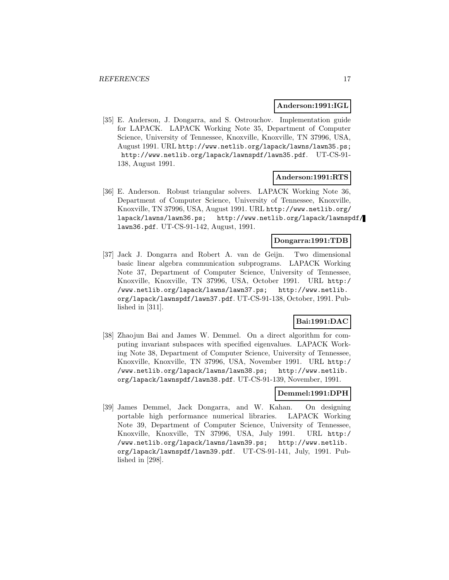#### **Anderson:1991:IGL**

[35] E. Anderson, J. Dongarra, and S. Ostrouchov. Implementation guide for LAPACK. LAPACK Working Note 35, Department of Computer Science, University of Tennessee, Knoxville, Knoxville, TN 37996, USA, August 1991. URL http://www.netlib.org/lapack/lawns/lawn35.ps; http://www.netlib.org/lapack/lawnspdf/lawn35.pdf. UT-CS-91- 138, August 1991.

#### **Anderson:1991:RTS**

[36] E. Anderson. Robust triangular solvers. LAPACK Working Note 36, Department of Computer Science, University of Tennessee, Knoxville, Knoxville, TN 37996, USA, August 1991. URL http://www.netlib.org/ lapack/lawns/lawn36.ps; http://www.netlib.org/lapack/lawnspdf/ lawn36.pdf. UT-CS-91-142, August, 1991.

## **Dongarra:1991:TDB**

[37] Jack J. Dongarra and Robert A. van de Geijn. Two dimensional basic linear algebra communication subprograms. LAPACK Working Note 37, Department of Computer Science, University of Tennessee, Knoxville, Knoxville, TN 37996, USA, October 1991. URL http:/ /www.netlib.org/lapack/lawns/lawn37.ps; http://www.netlib. org/lapack/lawnspdf/lawn37.pdf. UT-CS-91-138, October, 1991. Published in [311].

## **Bai:1991:DAC**

[38] Zhaojun Bai and James W. Demmel. On a direct algorithm for computing invariant subspaces with specified eigenvalues. LAPACK Working Note 38, Department of Computer Science, University of Tennessee, Knoxville, Knoxville, TN 37996, USA, November 1991. URL http:/ /www.netlib.org/lapack/lawns/lawn38.ps; http://www.netlib. org/lapack/lawnspdf/lawn38.pdf. UT-CS-91-139, November, 1991.

#### **Demmel:1991:DPH**

[39] James Demmel, Jack Dongarra, and W. Kahan. On designing portable high performance numerical libraries. LAPACK Working Note 39, Department of Computer Science, University of Tennessee, Knoxville, Knoxville, TN 37996, USA, July 1991. URL http:/ /www.netlib.org/lapack/lawns/lawn39.ps; http://www.netlib. org/lapack/lawnspdf/lawn39.pdf. UT-CS-91-141, July, 1991. Published in [298].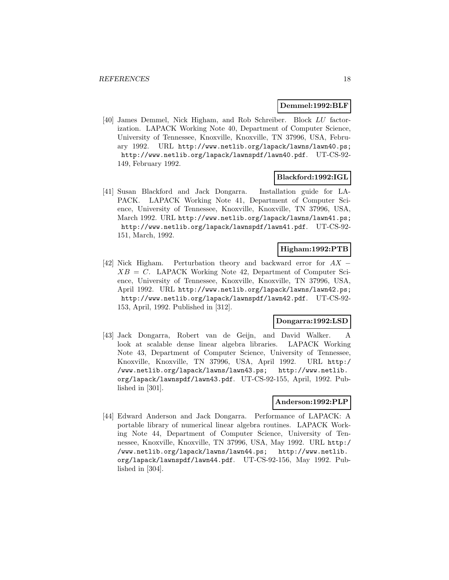#### **Demmel:1992:BLF**

[40] James Demmel, Nick Higham, and Rob Schreiber. Block LU factorization. LAPACK Working Note 40, Department of Computer Science, University of Tennessee, Knoxville, Knoxville, TN 37996, USA, February 1992. URL http://www.netlib.org/lapack/lawns/lawn40.ps; http://www.netlib.org/lapack/lawnspdf/lawn40.pdf. UT-CS-92- 149, February 1992.

## **Blackford:1992:IGL**

[41] Susan Blackford and Jack Dongarra. Installation guide for LA-PACK. LAPACK Working Note 41, Department of Computer Science, University of Tennessee, Knoxville, Knoxville, TN 37996, USA, March 1992. URL http://www.netlib.org/lapack/lawns/lawn41.ps; http://www.netlib.org/lapack/lawnspdf/lawn41.pdf. UT-CS-92- 151, March, 1992.

## **Higham:1992:PTB**

[42] Nick Higham. Perturbation theory and backward error for  $AX$  −  $XB = C$ . LAPACK Working Note 42, Department of Computer Science, University of Tennessee, Knoxville, Knoxville, TN 37996, USA, April 1992. URL http://www.netlib.org/lapack/lawns/lawn42.ps; http://www.netlib.org/lapack/lawnspdf/lawn42.pdf. UT-CS-92- 153, April, 1992. Published in [312].

## **Dongarra:1992:LSD**

[43] Jack Dongarra, Robert van de Geijn, and David Walker. A look at scalable dense linear algebra libraries. LAPACK Working Note 43, Department of Computer Science, University of Tennessee, Knoxville, Knoxville, TN 37996, USA, April 1992. URL http:/ /www.netlib.org/lapack/lawns/lawn43.ps; http://www.netlib. org/lapack/lawnspdf/lawn43.pdf. UT-CS-92-155, April, 1992. Published in [301].

## **Anderson:1992:PLP**

[44] Edward Anderson and Jack Dongarra. Performance of LAPACK: A portable library of numerical linear algebra routines. LAPACK Working Note 44, Department of Computer Science, University of Tennessee, Knoxville, Knoxville, TN 37996, USA, May 1992. URL http:/ /www.netlib.org/lapack/lawns/lawn44.ps; http://www.netlib. org/lapack/lawnspdf/lawn44.pdf. UT-CS-92-156, May 1992. Published in [304].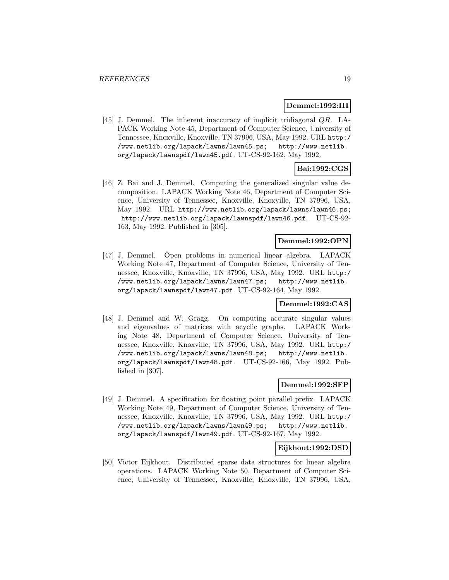#### **Demmel:1992:III**

[45] J. Demmel. The inherent inaccuracy of implicit tridiagonal  $QR$ . LA-PACK Working Note 45, Department of Computer Science, University of Tennessee, Knoxville, Knoxville, TN 37996, USA, May 1992. URL http:/ /www.netlib.org/lapack/lawns/lawn45.ps; http://www.netlib. org/lapack/lawnspdf/lawn45.pdf. UT-CS-92-162, May 1992.

## **Bai:1992:CGS**

[46] Z. Bai and J. Demmel. Computing the generalized singular value decomposition. LAPACK Working Note 46, Department of Computer Science, University of Tennessee, Knoxville, Knoxville, TN 37996, USA, May 1992. URL http://www.netlib.org/lapack/lawns/lawn46.ps; http://www.netlib.org/lapack/lawnspdf/lawn46.pdf. UT-CS-92- 163, May 1992. Published in [305].

## **Demmel:1992:OPN**

[47] J. Demmel. Open problems in numerical linear algebra. LAPACK Working Note 47, Department of Computer Science, University of Tennessee, Knoxville, Knoxville, TN 37996, USA, May 1992. URL http:/ /www.netlib.org/lapack/lawns/lawn47.ps; http://www.netlib. org/lapack/lawnspdf/lawn47.pdf. UT-CS-92-164, May 1992.

#### **Demmel:1992:CAS**

[48] J. Demmel and W. Gragg. On computing accurate singular values and eigenvalues of matrices with acyclic graphs. LAPACK Working Note 48, Department of Computer Science, University of Tennessee, Knoxville, Knoxville, TN 37996, USA, May 1992. URL http:/ /www.netlib.org/lapack/lawns/lawn48.ps; http://www.netlib. org/lapack/lawnspdf/lawn48.pdf. UT-CS-92-166, May 1992. Published in [307].

#### **Demmel:1992:SFP**

[49] J. Demmel. A specification for floating point parallel prefix. LAPACK Working Note 49, Department of Computer Science, University of Tennessee, Knoxville, Knoxville, TN 37996, USA, May 1992. URL http:/ /www.netlib.org/lapack/lawns/lawn49.ps; http://www.netlib. org/lapack/lawnspdf/lawn49.pdf. UT-CS-92-167, May 1992.

#### **Eijkhout:1992:DSD**

[50] Victor Eijkhout. Distributed sparse data structures for linear algebra operations. LAPACK Working Note 50, Department of Computer Science, University of Tennessee, Knoxville, Knoxville, TN 37996, USA,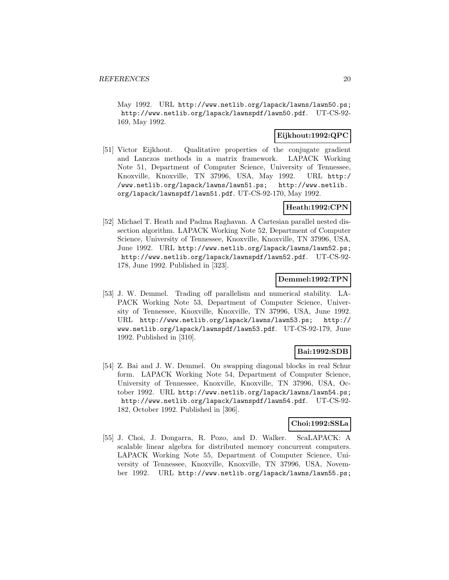May 1992. URL http://www.netlib.org/lapack/lawns/lawn50.ps; http://www.netlib.org/lapack/lawnspdf/lawn50.pdf. UT-CS-92- 169, May 1992.

## **Eijkhout:1992:QPC**

[51] Victor Eijkhout. Qualitative properties of the conjugate gradient and Lanczos methods in a matrix framework. LAPACK Working Note 51, Department of Computer Science, University of Tennessee, Knoxville, Knoxville, TN 37996, USA, May 1992. URL http:/ /www.netlib.org/lapack/lawns/lawn51.ps; http://www.netlib. org/lapack/lawnspdf/lawn51.pdf. UT-CS-92-170, May 1992.

#### **Heath:1992:CPN**

[52] Michael T. Heath and Padma Raghavan. A Cartesian parallel nested dissection algorithm. LAPACK Working Note 52, Department of Computer Science, University of Tennessee, Knoxville, Knoxville, TN 37996, USA, June 1992. URL http://www.netlib.org/lapack/lawns/lawn52.ps; http://www.netlib.org/lapack/lawnspdf/lawn52.pdf. UT-CS-92- 178, June 1992. Published in [323].

#### **Demmel:1992:TPN**

[53] J. W. Demmel. Trading off parallelism and numerical stability. LA-PACK Working Note 53, Department of Computer Science, University of Tennessee, Knoxville, Knoxville, TN 37996, USA, June 1992. URL http://www.netlib.org/lapack/lawns/lawn53.ps; http:// www.netlib.org/lapack/lawnspdf/lawn53.pdf. UT-CS-92-179, June 1992. Published in [310].

## **Bai:1992:SDB**

[54] Z. Bai and J. W. Demmel. On swapping diagonal blocks in real Schur form. LAPACK Working Note 54, Department of Computer Science, University of Tennessee, Knoxville, Knoxville, TN 37996, USA, October 1992. URL http://www.netlib.org/lapack/lawns/lawn54.ps; http://www.netlib.org/lapack/lawnspdf/lawn54.pdf. UT-CS-92- 182, October 1992. Published in [306].

## **Choi:1992:SSLa**

[55] J. Choi, J. Dongarra, R. Pozo, and D. Walker. ScaLAPACK: A scalable linear algebra for distributed memory concurrent computers. LAPACK Working Note 55, Department of Computer Science, University of Tennessee, Knoxville, Knoxville, TN 37996, USA, November 1992. URL http://www.netlib.org/lapack/lawns/lawn55.ps;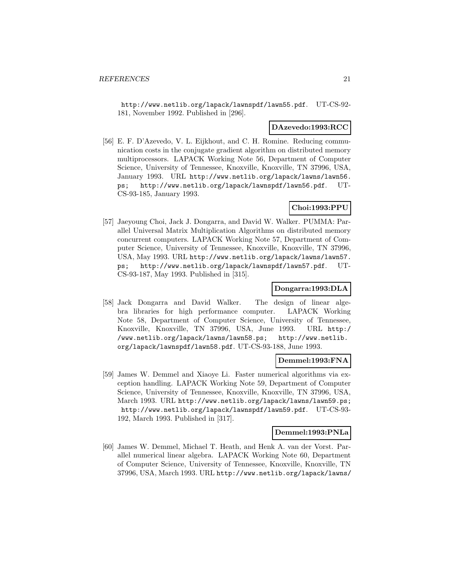http://www.netlib.org/lapack/lawnspdf/lawn55.pdf. UT-CS-92- 181, November 1992. Published in [296].

#### **DAzevedo:1993:RCC**

[56] E. F. D'Azevedo, V. L. Eijkhout, and C. H. Romine. Reducing communication costs in the conjugate gradient algorithm on distributed memory multiprocessors. LAPACK Working Note 56, Department of Computer Science, University of Tennessee, Knoxville, Knoxville, TN 37996, USA, January 1993. URL http://www.netlib.org/lapack/lawns/lawn56. ps; http://www.netlib.org/lapack/lawnspdf/lawn56.pdf. UT-CS-93-185, January 1993.

## **Choi:1993:PPU**

[57] Jaeyoung Choi, Jack J. Dongarra, and David W. Walker. PUMMA: Parallel Universal Matrix Multiplication Algorithms on distributed memory concurrent computers. LAPACK Working Note 57, Department of Computer Science, University of Tennessee, Knoxville, Knoxville, TN 37996, USA, May 1993. URL http://www.netlib.org/lapack/lawns/lawn57. ps; http://www.netlib.org/lapack/lawnspdf/lawn57.pdf. UT-CS-93-187, May 1993. Published in [315].

### **Dongarra:1993:DLA**

[58] Jack Dongarra and David Walker. The design of linear algebra libraries for high performance computer. LAPACK Working Note 58, Department of Computer Science, University of Tennessee, Knoxville, Knoxville, TN 37996, USA, June 1993. URL http:/ /www.netlib.org/lapack/lawns/lawn58.ps; http://www.netlib. org/lapack/lawnspdf/lawn58.pdf. UT-CS-93-188, June 1993.

#### **Demmel:1993:FNA**

[59] James W. Demmel and Xiaoye Li. Faster numerical algorithms via exception handling. LAPACK Working Note 59, Department of Computer Science, University of Tennessee, Knoxville, Knoxville, TN 37996, USA, March 1993. URL http://www.netlib.org/lapack/lawns/lawn59.ps; http://www.netlib.org/lapack/lawnspdf/lawn59.pdf. UT-CS-93- 192, March 1993. Published in [317].

#### **Demmel:1993:PNLa**

[60] James W. Demmel, Michael T. Heath, and Henk A. van der Vorst. Parallel numerical linear algebra. LAPACK Working Note 60, Department of Computer Science, University of Tennessee, Knoxville, Knoxville, TN 37996, USA, March 1993. URL http://www.netlib.org/lapack/lawns/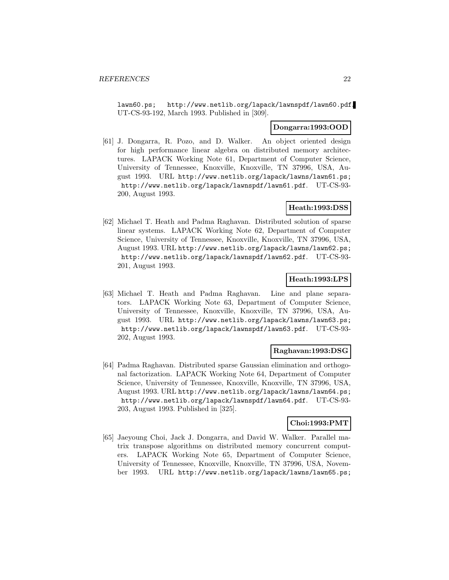lawn60.ps; http://www.netlib.org/lapack/lawnspdf/lawn60.pdf. UT-CS-93-192, March 1993. Published in [309].

#### **Dongarra:1993:OOD**

[61] J. Dongarra, R. Pozo, and D. Walker. An object oriented design for high performance linear algebra on distributed memory architectures. LAPACK Working Note 61, Department of Computer Science, University of Tennessee, Knoxville, Knoxville, TN 37996, USA, August 1993. URL http://www.netlib.org/lapack/lawns/lawn61.ps; http://www.netlib.org/lapack/lawnspdf/lawn61.pdf. UT-CS-93- 200, August 1993.

## **Heath:1993:DSS**

[62] Michael T. Heath and Padma Raghavan. Distributed solution of sparse linear systems. LAPACK Working Note 62, Department of Computer Science, University of Tennessee, Knoxville, Knoxville, TN 37996, USA, August 1993. URL http://www.netlib.org/lapack/lawns/lawn62.ps; http://www.netlib.org/lapack/lawnspdf/lawn62.pdf. UT-CS-93- 201, August 1993.

### **Heath:1993:LPS**

[63] Michael T. Heath and Padma Raghavan. Line and plane separators. LAPACK Working Note 63, Department of Computer Science, University of Tennessee, Knoxville, Knoxville, TN 37996, USA, August 1993. URL http://www.netlib.org/lapack/lawns/lawn63.ps; http://www.netlib.org/lapack/lawnspdf/lawn63.pdf. UT-CS-93- 202, August 1993.

### **Raghavan:1993:DSG**

[64] Padma Raghavan. Distributed sparse Gaussian elimination and orthogonal factorization. LAPACK Working Note 64, Department of Computer Science, University of Tennessee, Knoxville, Knoxville, TN 37996, USA, August 1993. URL http://www.netlib.org/lapack/lawns/lawn64.ps; http://www.netlib.org/lapack/lawnspdf/lawn64.pdf. UT-CS-93- 203, August 1993. Published in [325].

## **Choi:1993:PMT**

[65] Jaeyoung Choi, Jack J. Dongarra, and David W. Walker. Parallel matrix transpose algorithms on distributed memory concurrent computers. LAPACK Working Note 65, Department of Computer Science, University of Tennessee, Knoxville, Knoxville, TN 37996, USA, November 1993. URL http://www.netlib.org/lapack/lawns/lawn65.ps;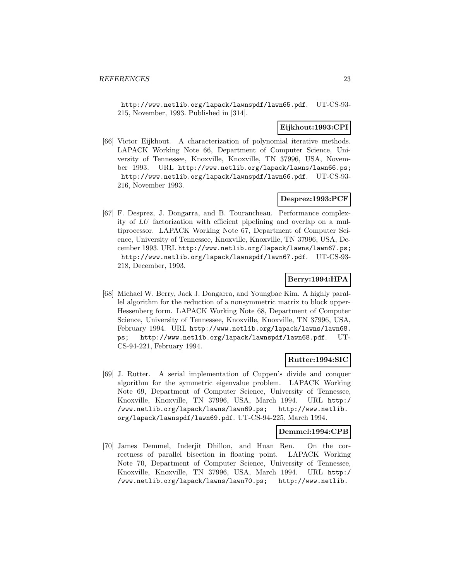http://www.netlib.org/lapack/lawnspdf/lawn65.pdf. UT-CS-93- 215, November, 1993. Published in [314].

## **Eijkhout:1993:CPI**

[66] Victor Eijkhout. A characterization of polynomial iterative methods. LAPACK Working Note 66, Department of Computer Science, University of Tennessee, Knoxville, Knoxville, TN 37996, USA, November 1993. URL http://www.netlib.org/lapack/lawns/lawn66.ps; http://www.netlib.org/lapack/lawnspdf/lawn66.pdf. UT-CS-93- 216, November 1993.

## **Desprez:1993:PCF**

[67] F. Desprez, J. Dongarra, and B. Tourancheau. Performance complexity of LU factorization with efficient pipelining and overlap on a multiprocessor. LAPACK Working Note 67, Department of Computer Science, University of Tennessee, Knoxville, Knoxville, TN 37996, USA, December 1993. URL http://www.netlib.org/lapack/lawns/lawn67.ps; http://www.netlib.org/lapack/lawnspdf/lawn67.pdf. UT-CS-93- 218, December, 1993.

## **Berry:1994:HPA**

[68] Michael W. Berry, Jack J. Dongarra, and Youngbae Kim. A highly parallel algorithm for the reduction of a nonsymmetric matrix to block upper-Hessenberg form. LAPACK Working Note 68, Department of Computer Science, University of Tennessee, Knoxville, Knoxville, TN 37996, USA, February 1994. URL http://www.netlib.org/lapack/lawns/lawn68. ps; http://www.netlib.org/lapack/lawnspdf/lawn68.pdf. UT-CS-94-221, February 1994.

## **Rutter:1994:SIC**

[69] J. Rutter. A serial implementation of Cuppen's divide and conquer algorithm for the symmetric eigenvalue problem. LAPACK Working Note 69, Department of Computer Science, University of Tennessee, Knoxville, Knoxville, TN 37996, USA, March 1994. URL http:/ /www.netlib.org/lapack/lawns/lawn69.ps; http://www.netlib. org/lapack/lawnspdf/lawn69.pdf. UT-CS-94-225, March 1994.

#### **Demmel:1994:CPB**

[70] James Demmel, Inderjit Dhillon, and Huan Ren. On the correctness of parallel bisection in floating point. LAPACK Working Note 70, Department of Computer Science, University of Tennessee, Knoxville, Knoxville, TN 37996, USA, March 1994. URL http:/ /www.netlib.org/lapack/lawns/lawn70.ps; http://www.netlib.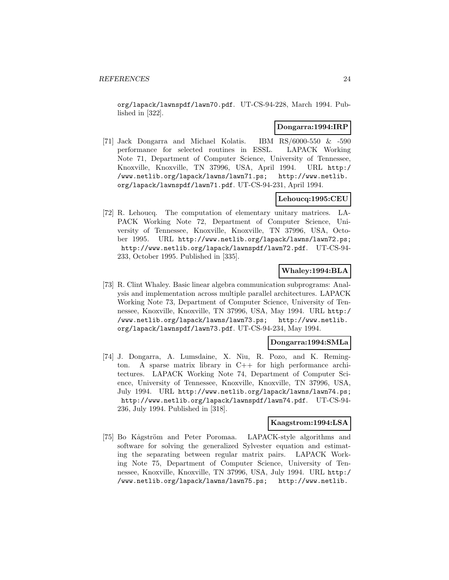org/lapack/lawnspdf/lawn70.pdf. UT-CS-94-228, March 1994. Published in [322].

#### **Dongarra:1994:IRP**

[71] Jack Dongarra and Michael Kolatis. IBM RS/6000-550 & -590 performance for selected routines in ESSL. LAPACK Working Note 71, Department of Computer Science, University of Tennessee, Knoxville, Knoxville, TN 37996, USA, April 1994. URL http:/ /www.netlib.org/lapack/lawns/lawn71.ps; http://www.netlib. org/lapack/lawnspdf/lawn71.pdf. UT-CS-94-231, April 1994.

#### **Lehoucq:1995:CEU**

[72] R. Lehoucq. The computation of elementary unitary matrices. LA-PACK Working Note 72, Department of Computer Science, University of Tennessee, Knoxville, Knoxville, TN 37996, USA, October 1995. URL http://www.netlib.org/lapack/lawns/lawn72.ps; http://www.netlib.org/lapack/lawnspdf/lawn72.pdf. UT-CS-94- 233, October 1995. Published in [335].

## **Whaley:1994:BLA**

[73] R. Clint Whaley. Basic linear algebra communication subprograms: Analysis and implementation across multiple parallel architectures. LAPACK Working Note 73, Department of Computer Science, University of Tennessee, Knoxville, Knoxville, TN 37996, USA, May 1994. URL http:/ /www.netlib.org/lapack/lawns/lawn73.ps; http://www.netlib. org/lapack/lawnspdf/lawn73.pdf. UT-CS-94-234, May 1994.

#### **Dongarra:1994:SMLa**

[74] J. Dongarra, A. Lumsdaine, X. Niu, R. Pozo, and K. Remington. A sparse matrix library in C++ for high performance architectures. LAPACK Working Note 74, Department of Computer Science, University of Tennessee, Knoxville, Knoxville, TN 37996, USA, July 1994. URL http://www.netlib.org/lapack/lawns/lawn74.ps; http://www.netlib.org/lapack/lawnspdf/lawn74.pdf. UT-CS-94- 236, July 1994. Published in [318].

#### **Kaagstrom:1994:LSA**

[75] Bo Kågström and Peter Poromaa. LAPACK-style algorithms and software for solving the generalized Sylvester equation and estimating the separating between regular matrix pairs. LAPACK Working Note 75, Department of Computer Science, University of Tennessee, Knoxville, Knoxville, TN 37996, USA, July 1994. URL http:/ /www.netlib.org/lapack/lawns/lawn75.ps; http://www.netlib.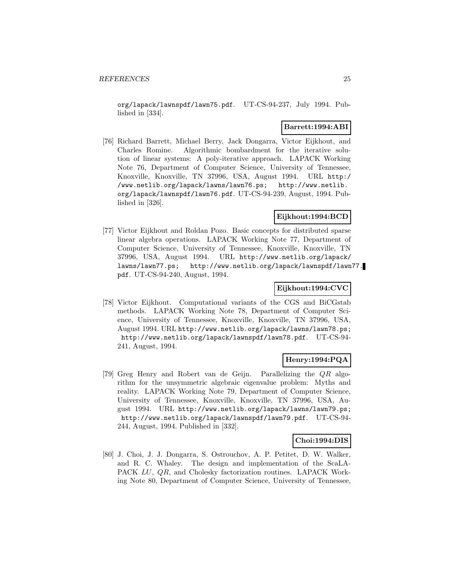org/lapack/lawnspdf/lawn75.pdf. UT-CS-94-237, July 1994. Published in [334].

## **Barrett:1994:ABI**

[76] Richard Barrett, Michael Berry, Jack Dongarra, Victor Eijkhout, and Charles Romine. Algorithmic bombardment for the iterative solution of linear systems: A poly-iterative approach. LAPACK Working Note 76, Department of Computer Science, University of Tennessee, Knoxville, Knoxville, TN 37996, USA, August 1994. URL http:/ /www.netlib.org/lapack/lawns/lawn76.ps; http://www.netlib. org/lapack/lawnspdf/lawn76.pdf. UT-CS-94-239, August, 1994. Published in [326].

## **Eijkhout:1994:BCD**

[77] Victor Eijkhout and Roldan Pozo. Basic concepts for distributed sparse linear algebra operations. LAPACK Working Note 77, Department of Computer Science, University of Tennessee, Knoxville, Knoxville, TN 37996, USA, August 1994. URL http://www.netlib.org/lapack/ lawns/lawn77.ps; http://www.netlib.org/lapack/lawnspdf/lawn77. pdf. UT-CS-94-240, August, 1994.

## **Eijkhout:1994:CVC**

[78] Victor Eijkhout. Computational variants of the CGS and BiCGstab methods. LAPACK Working Note 78, Department of Computer Science, University of Tennessee, Knoxville, Knoxville, TN 37996, USA, August 1994. URL http://www.netlib.org/lapack/lawns/lawn78.ps; http://www.netlib.org/lapack/lawnspdf/lawn78.pdf. UT-CS-94- 241, August, 1994.

## **Henry:1994:PQA**

[79] Greg Henry and Robert van de Geijn. Parallelizing the QR algorithm for the unsymmetric algebraic eigenvalue problem: Myths and reality. LAPACK Working Note 79, Department of Computer Science, University of Tennessee, Knoxville, Knoxville, TN 37996, USA, August 1994. URL http://www.netlib.org/lapack/lawns/lawn79.ps; http://www.netlib.org/lapack/lawnspdf/lawn79.pdf. UT-CS-94- 244, August, 1994. Published in [332].

#### **Choi:1994:DIS**

[80] J. Choi, J. J. Dongarra, S. Ostrouchov, A. P. Petitet, D. W. Walker, and R. C. Whaley. The design and implementation of the ScaLA-PACK LU, QR, and Cholesky factorization routines. LAPACK Working Note 80, Department of Computer Science, University of Tennessee,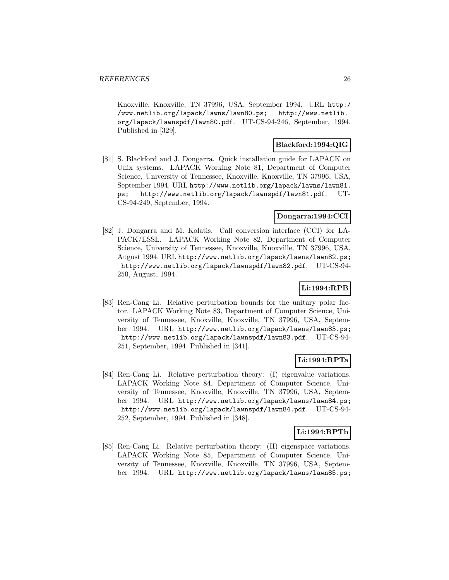Knoxville, Knoxville, TN 37996, USA, September 1994. URL http:/ /www.netlib.org/lapack/lawns/lawn80.ps; http://www.netlib. org/lapack/lawnspdf/lawn80.pdf. UT-CS-94-246, September, 1994. Published in [329].

## **Blackford:1994:QIG**

[81] S. Blackford and J. Dongarra. Quick installation guide for LAPACK on Unix systems. LAPACK Working Note 81, Department of Computer Science, University of Tennessee, Knoxville, Knoxville, TN 37996, USA, September 1994. URL http://www.netlib.org/lapack/lawns/lawn81. ps; http://www.netlib.org/lapack/lawnspdf/lawn81.pdf. UT-CS-94-249, September, 1994.

## **Dongarra:1994:CCI**

[82] J. Dongarra and M. Kolatis. Call conversion interface (CCI) for LA-PACK/ESSL. LAPACK Working Note 82, Department of Computer Science, University of Tennessee, Knoxville, Knoxville, TN 37996, USA, August 1994. URL http://www.netlib.org/lapack/lawns/lawn82.ps; http://www.netlib.org/lapack/lawnspdf/lawn82.pdf. UT-CS-94- 250, August, 1994.

## **Li:1994:RPB**

[83] Ren-Cang Li. Relative perturbation bounds for the unitary polar factor. LAPACK Working Note 83, Department of Computer Science, University of Tennessee, Knoxville, Knoxville, TN 37996, USA, September 1994. URL http://www.netlib.org/lapack/lawns/lawn83.ps; http://www.netlib.org/lapack/lawnspdf/lawn83.pdf. UT-CS-94- 251, September, 1994. Published in [341].

## **Li:1994:RPTa**

[84] Ren-Cang Li. Relative perturbation theory: (I) eigenvalue variations. LAPACK Working Note 84, Department of Computer Science, University of Tennessee, Knoxville, Knoxville, TN 37996, USA, September 1994. URL http://www.netlib.org/lapack/lawns/lawn84.ps; http://www.netlib.org/lapack/lawnspdf/lawn84.pdf. UT-CS-94- 252, September, 1994. Published in [348].

## **Li:1994:RPTb**

[85] Ren-Cang Li. Relative perturbation theory: (II) eigenspace variations. LAPACK Working Note 85, Department of Computer Science, University of Tennessee, Knoxville, Knoxville, TN 37996, USA, September 1994. URL http://www.netlib.org/lapack/lawns/lawn85.ps;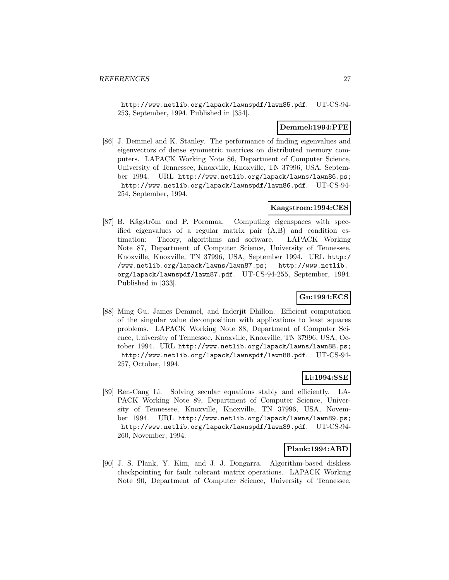http://www.netlib.org/lapack/lawnspdf/lawn85.pdf. UT-CS-94- 253, September, 1994. Published in [354].

## **Demmel:1994:PFE**

[86] J. Demmel and K. Stanley. The performance of finding eigenvalues and eigenvectors of dense symmetric matrices on distributed memory computers. LAPACK Working Note 86, Department of Computer Science, University of Tennessee, Knoxville, Knoxville, TN 37996, USA, September 1994. URL http://www.netlib.org/lapack/lawns/lawn86.ps; http://www.netlib.org/lapack/lawnspdf/lawn86.pdf. UT-CS-94- 254, September, 1994.

#### **Kaagstrom:1994:CES**

[87] B. Kågström and P. Poromaa. Computing eigenspaces with specified eigenvalues of a regular matrix pair (A,B) and condition estimation: Theory, algorithms and software. LAPACK Working Note 87, Department of Computer Science, University of Tennessee, Knoxville, Knoxville, TN 37996, USA, September 1994. URL http:/ /www.netlib.org/lapack/lawns/lawn87.ps; http://www.netlib. org/lapack/lawnspdf/lawn87.pdf. UT-CS-94-255, September, 1994. Published in [333].

## **Gu:1994:ECS**

[88] Ming Gu, James Demmel, and Inderjit Dhillon. Efficient computation of the singular value decomposition with applications to least squares problems. LAPACK Working Note 88, Department of Computer Science, University of Tennessee, Knoxville, Knoxville, TN 37996, USA, October 1994. URL http://www.netlib.org/lapack/lawns/lawn88.ps; http://www.netlib.org/lapack/lawnspdf/lawn88.pdf. UT-CS-94- 257, October, 1994.

#### **Li:1994:SSE**

[89] Ren-Cang Li. Solving secular equations stably and efficiently. LA-PACK Working Note 89, Department of Computer Science, University of Tennessee, Knoxville, Knoxville, TN 37996, USA, November 1994. URL http://www.netlib.org/lapack/lawns/lawn89.ps; http://www.netlib.org/lapack/lawnspdf/lawn89.pdf. UT-CS-94- 260, November, 1994.

#### **Plank:1994:ABD**

[90] J. S. Plank, Y. Kim, and J. J. Dongarra. Algorithm-based diskless checkpointing for fault tolerant matrix operations. LAPACK Working Note 90, Department of Computer Science, University of Tennessee,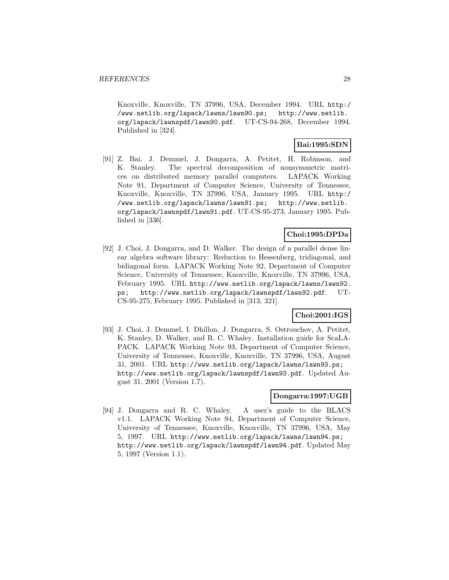Knoxville, Knoxville, TN 37996, USA, December 1994. URL http:/ /www.netlib.org/lapack/lawns/lawn90.ps; http://www.netlib. org/lapack/lawnspdf/lawn90.pdf. UT-CS-94-268, December 1994. Published in [324].

## **Bai:1995:SDN**

[91] Z. Bai, J. Demmel, J. Dongarra, A. Petitet, H. Robinson, and K. Stanley. The spectral decomposition of nonsymmetric matrices on distributed memory parallel computers. LAPACK Working Note 91, Department of Computer Science, University of Tennessee, Knoxville, Knoxville, TN 37996, USA, January 1995. URL http:/ /www.netlib.org/lapack/lawns/lawn91.ps; http://www.netlib. org/lapack/lawnspdf/lawn91.pdf. UT-CS-95-273, January 1995. Published in [336].

## **Choi:1995:DPDa**

[92] J. Choi, J. Dongarra, and D. Walker. The design of a parallel dense linear algebra software library: Reduction to Hessenberg, tridiagonal, and bidiagonal form. LAPACK Working Note 92, Department of Computer Science, University of Tennessee, Knoxville, Knoxville, TN 37996, USA, February 1995. URL http://www.netlib.org/lapack/lawns/lawn92. ps; http://www.netlib.org/lapack/lawnspdf/lawn92.pdf. UT-CS-95-275, February 1995. Published in [313, 321].

## **Choi:2001:IGS**

[93] J. Choi, J. Demmel, I. Dhillon, J. Dongarra, S. Ostrouchov, A. Petitet, K. Stanley, D. Walker, and R. C. Whaley. Installation guide for ScaLA-PACK. LAPACK Working Note 93, Department of Computer Science, University of Tennessee, Knoxville, Knoxville, TN 37996, USA, August 31, 2001. URL http://www.netlib.org/lapack/lawns/lawn93.ps; http://www.netlib.org/lapack/lawnspdf/lawn93.pdf. Updated August 31, 2001 (Version 1.7).

#### **Dongarra:1997:UGB**

[94] J. Dongarra and R. C. Whaley. A user's guide to the BLACS v1.1. LAPACK Working Note 94, Department of Computer Science, University of Tennessee, Knoxville, Knoxville, TN 37996, USA, May 5, 1997. URL http://www.netlib.org/lapack/lawns/lawn94.ps; http://www.netlib.org/lapack/lawnspdf/lawn94.pdf. Updated May 5, 1997 (Version 1.1).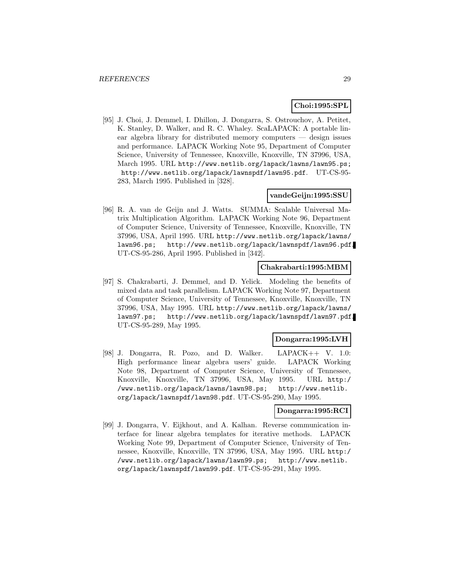## **Choi:1995:SPL**

[95] J. Choi, J. Demmel, I. Dhillon, J. Dongarra, S. Ostrouchov, A. Petitet, K. Stanley, D. Walker, and R. C. Whaley. ScaLAPACK: A portable linear algebra library for distributed memory computers — design issues and performance. LAPACK Working Note 95, Department of Computer Science, University of Tennessee, Knoxville, Knoxville, TN 37996, USA, March 1995. URL http://www.netlib.org/lapack/lawns/lawn95.ps; http://www.netlib.org/lapack/lawnspdf/lawn95.pdf. UT-CS-95- 283, March 1995. Published in [328].

## **vandeGeijn:1995:SSU**

[96] R. A. van de Geijn and J. Watts. SUMMA: Scalable Universal Matrix Multiplication Algorithm. LAPACK Working Note 96, Department of Computer Science, University of Tennessee, Knoxville, Knoxville, TN 37996, USA, April 1995. URL http://www.netlib.org/lapack/lawns/ lawn96.ps; http://www.netlib.org/lapack/lawnspdf/lawn96.pdf. UT-CS-95-286, April 1995. Published in [342].

## **Chakrabarti:1995:MBM**

[97] S. Chakrabarti, J. Demmel, and D. Yelick. Modeling the benefits of mixed data and task parallelism. LAPACK Working Note 97, Department of Computer Science, University of Tennessee, Knoxville, Knoxville, TN 37996, USA, May 1995. URL http://www.netlib.org/lapack/lawns/ lawn97.ps; http://www.netlib.org/lapack/lawnspdf/lawn97.pdf. UT-CS-95-289, May 1995.

#### **Dongarra:1995:LVH**

[98] J. Dongarra, R. Pozo, and D. Walker. LAPACK++ V. 1.0: High performance linear algebra users' guide. LAPACK Working Note 98, Department of Computer Science, University of Tennessee, Knoxville, Knoxville, TN 37996, USA, May 1995. URL http:/ /www.netlib.org/lapack/lawns/lawn98.ps; http://www.netlib. org/lapack/lawnspdf/lawn98.pdf. UT-CS-95-290, May 1995.

#### **Dongarra:1995:RCI**

[99] J. Dongarra, V. Eijkhout, and A. Kalhan. Reverse communication interface for linear algebra templates for iterative methods. LAPACK Working Note 99, Department of Computer Science, University of Tennessee, Knoxville, Knoxville, TN 37996, USA, May 1995. URL http:/ /www.netlib.org/lapack/lawns/lawn99.ps; http://www.netlib. org/lapack/lawnspdf/lawn99.pdf. UT-CS-95-291, May 1995.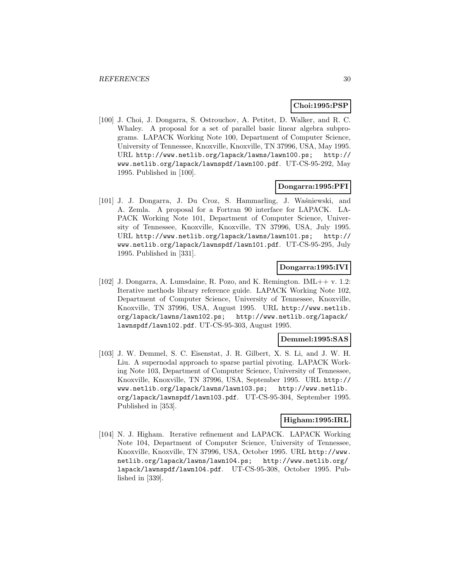## **Choi:1995:PSP**

[100] J. Choi, J. Dongarra, S. Ostrouchov, A. Petitet, D. Walker, and R. C. Whaley. A proposal for a set of parallel basic linear algebra subprograms. LAPACK Working Note 100, Department of Computer Science, University of Tennessee, Knoxville, Knoxville, TN 37996, USA, May 1995. URL http://www.netlib.org/lapack/lawns/lawn100.ps; http:// www.netlib.org/lapack/lawnspdf/lawn100.pdf. UT-CS-95-292, May 1995. Published in [100].

#### **Dongarra:1995:PFI**

[101] J. J. Dongarra, J. Du Croz, S. Hammarling, J. Waśniewski, and A. Zemla. A proposal for a Fortran 90 interface for LAPACK. LA-PACK Working Note 101, Department of Computer Science, University of Tennessee, Knoxville, Knoxville, TN 37996, USA, July 1995. URL http://www.netlib.org/lapack/lawns/lawn101.ps; http:// www.netlib.org/lapack/lawnspdf/lawn101.pdf. UT-CS-95-295, July 1995. Published in [331].

## **Dongarra:1995:IVI**

[102] J. Dongarra, A. Lumsdaine, R. Pozo, and K. Remington. IML++ v. 1.2: Iterative methods library reference guide. LAPACK Working Note 102, Department of Computer Science, University of Tennessee, Knoxville, Knoxville, TN 37996, USA, August 1995. URL http://www.netlib. org/lapack/lawns/lawn102.ps; http://www.netlib.org/lapack/ lawnspdf/lawn102.pdf. UT-CS-95-303, August 1995.

#### **Demmel:1995:SAS**

[103] J. W. Demmel, S. C. Eisenstat, J. R. Gilbert, X. S. Li, and J. W. H. Liu. A supernodal approach to sparse partial pivoting. LAPACK Working Note 103, Department of Computer Science, University of Tennessee, Knoxville, Knoxville, TN 37996, USA, September 1995. URL http:// www.netlib.org/lapack/lawns/lawn103.ps; http://www.netlib. org/lapack/lawnspdf/lawn103.pdf. UT-CS-95-304, September 1995. Published in [353].

#### **Higham:1995:IRL**

[104] N. J. Higham. Iterative refinement and LAPACK. LAPACK Working Note 104, Department of Computer Science, University of Tennessee, Knoxville, Knoxville, TN 37996, USA, October 1995. URL http://www. netlib.org/lapack/lawns/lawn104.ps; http://www.netlib.org/ lapack/lawnspdf/lawn104.pdf. UT-CS-95-308, October 1995. Published in [339].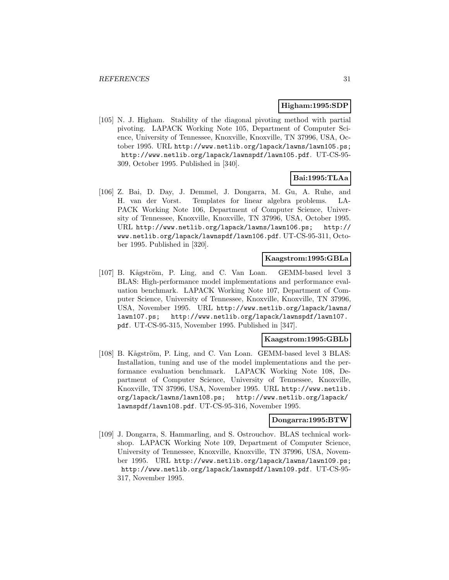#### **Higham:1995:SDP**

[105] N. J. Higham. Stability of the diagonal pivoting method with partial pivoting. LAPACK Working Note 105, Department of Computer Science, University of Tennessee, Knoxville, Knoxville, TN 37996, USA, October 1995. URL http://www.netlib.org/lapack/lawns/lawn105.ps; http://www.netlib.org/lapack/lawnspdf/lawn105.pdf. UT-CS-95- 309, October 1995. Published in [340].

## **Bai:1995:TLAa**

[106] Z. Bai, D. Day, J. Demmel, J. Dongarra, M. Gu, A. Ruhe, and H. van der Vorst. Templates for linear algebra problems. LA-PACK Working Note 106, Department of Computer Science, University of Tennessee, Knoxville, Knoxville, TN 37996, USA, October 1995. URL http://www.netlib.org/lapack/lawns/lawn106.ps; http:// www.netlib.org/lapack/lawnspdf/lawn106.pdf. UT-CS-95-311, October 1995. Published in [320].

#### **Kaagstrom:1995:GBLa**

[107] B. Kågström, P. Ling, and C. Van Loan. GEMM-based level 3 BLAS: High-performance model implementations and performance evaluation benchmark. LAPACK Working Note 107, Department of Computer Science, University of Tennessee, Knoxville, Knoxville, TN 37996, USA, November 1995. URL http://www.netlib.org/lapack/lawns/ lawn107.ps; http://www.netlib.org/lapack/lawnspdf/lawn107. pdf. UT-CS-95-315, November 1995. Published in [347].

#### **Kaagstrom:1995:GBLb**

[108] B. Kågström, P. Ling, and C. Van Loan. GEMM-based level 3 BLAS: Installation, tuning and use of the model implementations and the performance evaluation benchmark. LAPACK Working Note 108, Department of Computer Science, University of Tennessee, Knoxville, Knoxville, TN 37996, USA, November 1995. URL http://www.netlib. org/lapack/lawns/lawn108.ps; http://www.netlib.org/lapack/ lawnspdf/lawn108.pdf. UT-CS-95-316, November 1995.

## **Dongarra:1995:BTW**

[109] J. Dongarra, S. Hammarling, and S. Ostrouchov. BLAS technical workshop. LAPACK Working Note 109, Department of Computer Science, University of Tennessee, Knoxville, Knoxville, TN 37996, USA, November 1995. URL http://www.netlib.org/lapack/lawns/lawn109.ps; http://www.netlib.org/lapack/lawnspdf/lawn109.pdf. UT-CS-95- 317, November 1995.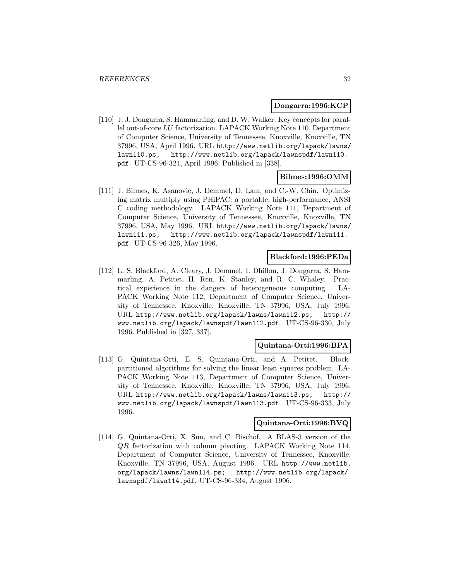#### **Dongarra:1996:KCP**

[110] J. J. Dongarra, S. Hammarling, and D. W. Walker. Key concepts for parallel out-of-core LU factorization. LAPACK Working Note 110, Department of Computer Science, University of Tennessee, Knoxville, Knoxville, TN 37996, USA, April 1996. URL http://www.netlib.org/lapack/lawns/ lawn110.ps; http://www.netlib.org/lapack/lawnspdf/lawn110. pdf. UT-CS-96-324, April 1996. Published in [338].

#### **Bilmes:1996:OMM**

[111] J. Bilmes, K. Asanovic, J. Demmel, D. Lam, and C.-W. Chin. Optimizing matrix multiply using PHiPAC: a portable, high-performance, ANSI C coding methodology. LAPACK Working Note 111, Department of Computer Science, University of Tennessee, Knoxville, Knoxville, TN 37996, USA, May 1996. URL http://www.netlib.org/lapack/lawns/ lawn111.ps; http://www.netlib.org/lapack/lawnspdf/lawn111. pdf. UT-CS-96-326, May 1996.

#### **Blackford:1996:PEDa**

[112] L. S. Blackford, A. Cleary, J. Demmel, I. Dhillon, J. Dongarra, S. Hammarling, A. Petitet, H. Ren, K. Stanley, and R. C. Whaley. Practical experience in the dangers of heterogeneous computing. LA-PACK Working Note 112, Department of Computer Science, University of Tennessee, Knoxville, Knoxville, TN 37996, USA, July 1996. URL http://www.netlib.org/lapack/lawns/lawn112.ps; http:// www.netlib.org/lapack/lawnspdf/lawn112.pdf. UT-CS-96-330, July 1996. Published in [327, 337].

#### **Quintana-Orti:1996:BPA**

[113] G. Quintana-Orti, E. S. Quintana-Orti, and A. Petitet. Blockpartitioned algorithms for solving the linear least squares problem. LA-PACK Working Note 113, Department of Computer Science, University of Tennessee, Knoxville, Knoxville, TN 37996, USA, July 1996. URL http://www.netlib.org/lapack/lawns/lawn113.ps; http:// www.netlib.org/lapack/lawnspdf/lawn113.pdf. UT-CS-96-333, July 1996.

## **Quintana-Orti:1996:BVQ**

[114] G. Quintana-Orti, X. Sun, and C. Bischof. A BLAS-3 version of the QR factorization with column pivoting. LAPACK Working Note 114, Department of Computer Science, University of Tennessee, Knoxville, Knoxville, TN 37996, USA, August 1996. URL http://www.netlib. org/lapack/lawns/lawn114.ps; http://www.netlib.org/lapack/ lawnspdf/lawn114.pdf. UT-CS-96-334, August 1996.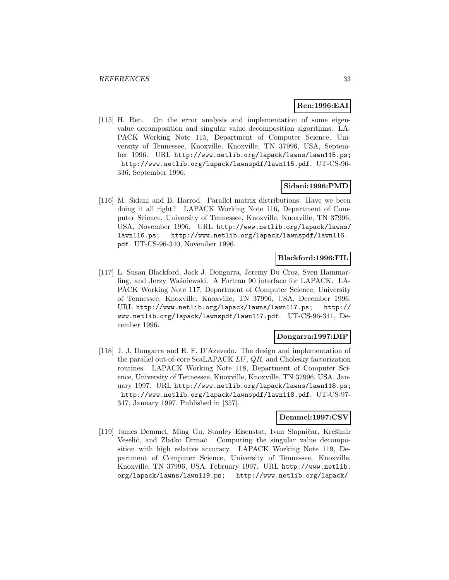## **Ren:1996:EAI**

[115] H. Ren. On the error analysis and implementation of some eigenvalue decomposition and singular value decomposition algorithms. LA-PACK Working Note 115, Department of Computer Science, University of Tennessee, Knoxville, Knoxville, TN 37996, USA, September 1996. URL http://www.netlib.org/lapack/lawns/lawn115.ps; http://www.netlib.org/lapack/lawnspdf/lawn115.pdf. UT-CS-96- 336, September 1996.

#### **Sidani:1996:PMD**

[116] M. Sidani and B. Harrod. Parallel matrix distributions: Have we been doing it all right? LAPACK Working Note 116, Department of Computer Science, University of Tennessee, Knoxville, Knoxville, TN 37996, USA, November 1996. URL http://www.netlib.org/lapack/lawns/ lawn116.ps; http://www.netlib.org/lapack/lawnspdf/lawn116. pdf. UT-CS-96-340, November 1996.

### **Blackford:1996:FIL**

[117] L. Susan Blackford, Jack J. Dongarra, Jeremy Du Croz, Sven Hammarling, and Jerzy Waśniewski. A Fortran 90 interface for LAPACK. LA-PACK Working Note 117, Department of Computer Science, University of Tennessee, Knoxville, Knoxville, TN 37996, USA, December 1996. URL http://www.netlib.org/lapack/lawns/lawn117.ps; http:// www.netlib.org/lapack/lawnspdf/lawn117.pdf. UT-CS-96-341, December 1996.

#### **Dongarra:1997:DIP**

[118] J. J. Dongarra and E. F. D'Azevedo. The design and implementation of the parallel out-of-core ScaLAPACK LU, QR, and Cholesky factorization routines. LAPACK Working Note 118, Department of Computer Science, University of Tennessee, Knoxville, Knoxville, TN 37996, USA, January 1997. URL http://www.netlib.org/lapack/lawns/lawn118.ps; http://www.netlib.org/lapack/lawnspdf/lawn118.pdf. UT-CS-97- 347, January 1997. Published in [357].

#### **Demmel:1997:CSV**

[119] James Demmel, Ming Gu, Stanley Eisenstat, Ivan Slapničar, Krešimir Veselić, and Zlatko Drmač. Computing the singular value decomposition with high relative accuracy. LAPACK Working Note 119, Department of Computer Science, University of Tennessee, Knoxville, Knoxville, TN 37996, USA, February 1997. URL http://www.netlib. org/lapack/lawns/lawn119.ps; http://www.netlib.org/lapack/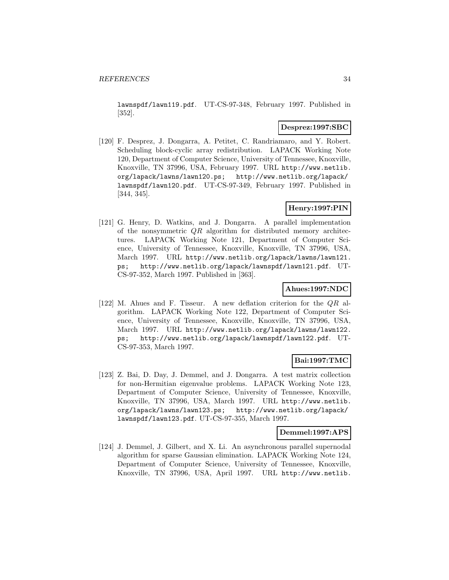lawnspdf/lawn119.pdf. UT-CS-97-348, February 1997. Published in [352].

#### **Desprez:1997:SBC**

[120] F. Desprez, J. Dongarra, A. Petitet, C. Randriamaro, and Y. Robert. Scheduling block-cyclic array redistribution. LAPACK Working Note 120, Department of Computer Science, University of Tennessee, Knoxville, Knoxville, TN 37996, USA, February 1997. URL http://www.netlib. org/lapack/lawns/lawn120.ps; http://www.netlib.org/lapack/ lawnspdf/lawn120.pdf. UT-CS-97-349, February 1997. Published in [344, 345].

## **Henry:1997:PIN**

[121] G. Henry, D. Watkins, and J. Dongarra. A parallel implementation of the nonsymmetric QR algorithm for distributed memory architectures. LAPACK Working Note 121, Department of Computer Science, University of Tennessee, Knoxville, Knoxville, TN 37996, USA, March 1997. URL http://www.netlib.org/lapack/lawns/lawn121. ps; http://www.netlib.org/lapack/lawnspdf/lawn121.pdf. UT-CS-97-352, March 1997. Published in [363].

## **Ahues:1997:NDC**

[122] M. Ahues and F. Tisseur. A new deflation criterion for the QR algorithm. LAPACK Working Note 122, Department of Computer Science, University of Tennessee, Knoxville, Knoxville, TN 37996, USA, March 1997. URL http://www.netlib.org/lapack/lawns/lawn122. ps; http://www.netlib.org/lapack/lawnspdf/lawn122.pdf. UT-CS-97-353, March 1997.

## **Bai:1997:TMC**

[123] Z. Bai, D. Day, J. Demmel, and J. Dongarra. A test matrix collection for non-Hermitian eigenvalue problems. LAPACK Working Note 123, Department of Computer Science, University of Tennessee, Knoxville, Knoxville, TN 37996, USA, March 1997. URL http://www.netlib. org/lapack/lawns/lawn123.ps; http://www.netlib.org/lapack/ lawnspdf/lawn123.pdf. UT-CS-97-355, March 1997.

#### **Demmel:1997:APS**

[124] J. Demmel, J. Gilbert, and X. Li. An asynchronous parallel supernodal algorithm for sparse Gaussian elimination. LAPACK Working Note 124, Department of Computer Science, University of Tennessee, Knoxville, Knoxville, TN 37996, USA, April 1997. URL http://www.netlib.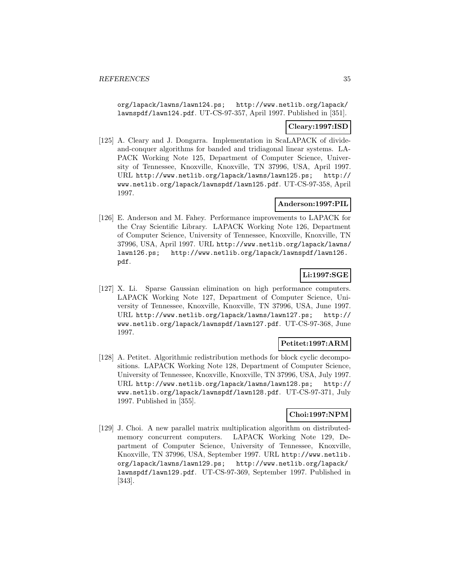org/lapack/lawns/lawn124.ps; http://www.netlib.org/lapack/ lawnspdf/lawn124.pdf. UT-CS-97-357, April 1997. Published in [351].

## **Cleary:1997:ISD**

[125] A. Cleary and J. Dongarra. Implementation in ScaLAPACK of divideand-conquer algorithms for banded and tridiagonal linear systems. LA-PACK Working Note 125, Department of Computer Science, University of Tennessee, Knoxville, Knoxville, TN 37996, USA, April 1997. URL http://www.netlib.org/lapack/lawns/lawn125.ps; http:// www.netlib.org/lapack/lawnspdf/lawn125.pdf. UT-CS-97-358, April 1997.

## **Anderson:1997:PIL**

[126] E. Anderson and M. Fahey. Performance improvements to LAPACK for the Cray Scientific Library. LAPACK Working Note 126, Department of Computer Science, University of Tennessee, Knoxville, Knoxville, TN 37996, USA, April 1997. URL http://www.netlib.org/lapack/lawns/ lawn126.ps; http://www.netlib.org/lapack/lawnspdf/lawn126. pdf.

## **Li:1997:SGE**

[127] X. Li. Sparse Gaussian elimination on high performance computers. LAPACK Working Note 127, Department of Computer Science, University of Tennessee, Knoxville, Knoxville, TN 37996, USA, June 1997. URL http://www.netlib.org/lapack/lawns/lawn127.ps; http:// www.netlib.org/lapack/lawnspdf/lawn127.pdf. UT-CS-97-368, June 1997.

## **Petitet:1997:ARM**

[128] A. Petitet. Algorithmic redistribution methods for block cyclic decompositions. LAPACK Working Note 128, Department of Computer Science, University of Tennessee, Knoxville, Knoxville, TN 37996, USA, July 1997. URL http://www.netlib.org/lapack/lawns/lawn128.ps; http:// www.netlib.org/lapack/lawnspdf/lawn128.pdf. UT-CS-97-371, July 1997. Published in [355].

## **Choi:1997:NPM**

[129] J. Choi. A new parallel matrix multiplication algorithm on distributedmemory concurrent computers. LAPACK Working Note 129, Department of Computer Science, University of Tennessee, Knoxville, Knoxville, TN 37996, USA, September 1997. URL http://www.netlib. org/lapack/lawns/lawn129.ps; http://www.netlib.org/lapack/ lawnspdf/lawn129.pdf. UT-CS-97-369, September 1997. Published in [343].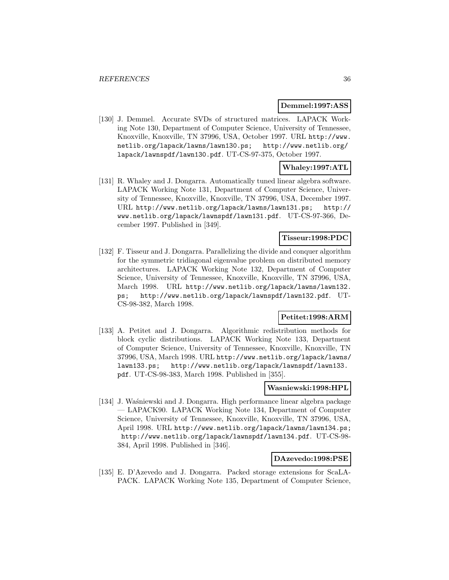#### **Demmel:1997:ASS**

[130] J. Demmel. Accurate SVDs of structured matrices. LAPACK Working Note 130, Department of Computer Science, University of Tennessee, Knoxville, Knoxville, TN 37996, USA, October 1997. URL http://www. netlib.org/lapack/lawns/lawn130.ps; http://www.netlib.org/ lapack/lawnspdf/lawn130.pdf. UT-CS-97-375, October 1997.

## **Whaley:1997:ATL**

[131] R. Whaley and J. Dongarra. Automatically tuned linear algebra software. LAPACK Working Note 131, Department of Computer Science, University of Tennessee, Knoxville, Knoxville, TN 37996, USA, December 1997. URL http://www.netlib.org/lapack/lawns/lawn131.ps; http:// www.netlib.org/lapack/lawnspdf/lawn131.pdf. UT-CS-97-366, December 1997. Published in [349].

#### **Tisseur:1998:PDC**

[132] F. Tisseur and J. Dongarra. Parallelizing the divide and conquer algorithm for the symmetric tridiagonal eigenvalue problem on distributed memory architectures. LAPACK Working Note 132, Department of Computer Science, University of Tennessee, Knoxville, Knoxville, TN 37996, USA, March 1998. URL http://www.netlib.org/lapack/lawns/lawn132. ps; http://www.netlib.org/lapack/lawnspdf/lawn132.pdf. UT-CS-98-382, March 1998.

## **Petitet:1998:ARM**

[133] A. Petitet and J. Dongarra. Algorithmic redistribution methods for block cyclic distributions. LAPACK Working Note 133, Department of Computer Science, University of Tennessee, Knoxville, Knoxville, TN 37996, USA, March 1998. URL http://www.netlib.org/lapack/lawns/ lawn133.ps; http://www.netlib.org/lapack/lawnspdf/lawn133. pdf. UT-CS-98-383, March 1998. Published in [355].

#### **Wasniewski:1998:HPL**

[134] J. Wa´sniewski and J. Dongarra. High performance linear algebra package — LAPACK90. LAPACK Working Note 134, Department of Computer Science, University of Tennessee, Knoxville, Knoxville, TN 37996, USA, April 1998. URL http://www.netlib.org/lapack/lawns/lawn134.ps; http://www.netlib.org/lapack/lawnspdf/lawn134.pdf. UT-CS-98- 384, April 1998. Published in [346].

#### **DAzevedo:1998:PSE**

[135] E. D'Azevedo and J. Dongarra. Packed storage extensions for ScaLA-PACK. LAPACK Working Note 135, Department of Computer Science,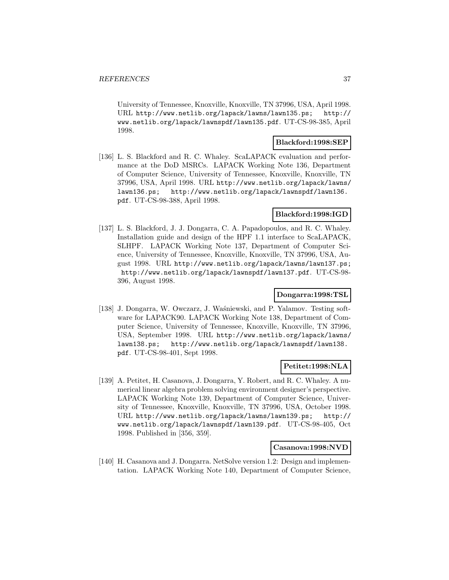University of Tennessee, Knoxville, Knoxville, TN 37996, USA, April 1998. URL http://www.netlib.org/lapack/lawns/lawn135.ps; http:// www.netlib.org/lapack/lawnspdf/lawn135.pdf. UT-CS-98-385, April 1998.

#### **Blackford:1998:SEP**

[136] L. S. Blackford and R. C. Whaley. ScaLAPACK evaluation and performance at the DoD MSRCs. LAPACK Working Note 136, Department of Computer Science, University of Tennessee, Knoxville, Knoxville, TN 37996, USA, April 1998. URL http://www.netlib.org/lapack/lawns/ lawn136.ps; http://www.netlib.org/lapack/lawnspdf/lawn136. pdf. UT-CS-98-388, April 1998.

### **Blackford:1998:IGD**

[137] L. S. Blackford, J. J. Dongarra, C. A. Papadopoulos, and R. C. Whaley. Installation guide and design of the HPF 1.1 interface to ScaLAPACK, SLHPF. LAPACK Working Note 137, Department of Computer Science, University of Tennessee, Knoxville, Knoxville, TN 37996, USA, August 1998. URL http://www.netlib.org/lapack/lawns/lawn137.ps; http://www.netlib.org/lapack/lawnspdf/lawn137.pdf. UT-CS-98- 396, August 1998.

## **Dongarra:1998:TSL**

[138] J. Dongarra, W. Owczarz, J. Waśniewski, and P. Yalamov. Testing software for LAPACK90. LAPACK Working Note 138, Department of Computer Science, University of Tennessee, Knoxville, Knoxville, TN 37996, USA, September 1998. URL http://www.netlib.org/lapack/lawns/ lawn138.ps; http://www.netlib.org/lapack/lawnspdf/lawn138. pdf. UT-CS-98-401, Sept 1998.

### **Petitet:1998:NLA**

[139] A. Petitet, H. Casanova, J. Dongarra, Y. Robert, and R. C. Whaley. A numerical linear algebra problem solving environment designer's perspective. LAPACK Working Note 139, Department of Computer Science, University of Tennessee, Knoxville, Knoxville, TN 37996, USA, October 1998. URL http://www.netlib.org/lapack/lawns/lawn139.ps; http:// www.netlib.org/lapack/lawnspdf/lawn139.pdf. UT-CS-98-405, Oct 1998. Published in [356, 359].

#### **Casanova:1998:NVD**

[140] H. Casanova and J. Dongarra. NetSolve version 1.2: Design and implementation. LAPACK Working Note 140, Department of Computer Science,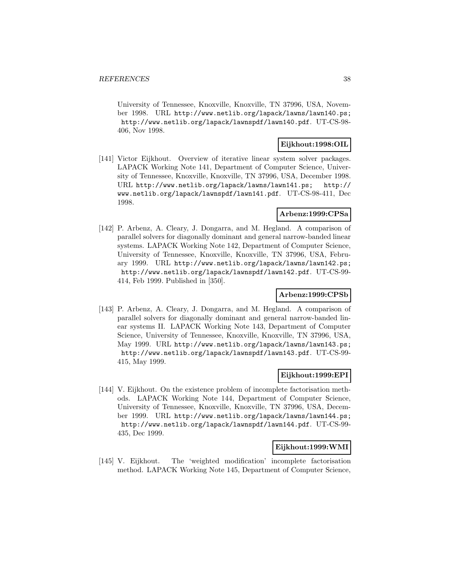University of Tennessee, Knoxville, Knoxville, TN 37996, USA, November 1998. URL http://www.netlib.org/lapack/lawns/lawn140.ps; http://www.netlib.org/lapack/lawnspdf/lawn140.pdf. UT-CS-98- 406, Nov 1998.

### **Eijkhout:1998:OIL**

[141] Victor Eijkhout. Overview of iterative linear system solver packages. LAPACK Working Note 141, Department of Computer Science, University of Tennessee, Knoxville, Knoxville, TN 37996, USA, December 1998. URL http://www.netlib.org/lapack/lawns/lawn141.ps; http:// www.netlib.org/lapack/lawnspdf/lawn141.pdf. UT-CS-98-411, Dec 1998.

## **Arbenz:1999:CPSa**

[142] P. Arbenz, A. Cleary, J. Dongarra, and M. Hegland. A comparison of parallel solvers for diagonally dominant and general narrow-banded linear systems. LAPACK Working Note 142, Department of Computer Science, University of Tennessee, Knoxville, Knoxville, TN 37996, USA, February 1999. URL http://www.netlib.org/lapack/lawns/lawn142.ps; http://www.netlib.org/lapack/lawnspdf/lawn142.pdf. UT-CS-99- 414, Feb 1999. Published in [350].

### **Arbenz:1999:CPSb**

[143] P. Arbenz, A. Cleary, J. Dongarra, and M. Hegland. A comparison of parallel solvers for diagonally dominant and general narrow-banded linear systems II. LAPACK Working Note 143, Department of Computer Science, University of Tennessee, Knoxville, Knoxville, TN 37996, USA, May 1999. URL http://www.netlib.org/lapack/lawns/lawn143.ps; http://www.netlib.org/lapack/lawnspdf/lawn143.pdf. UT-CS-99- 415, May 1999.

### **Eijkhout:1999:EPI**

[144] V. Eijkhout. On the existence problem of incomplete factorisation methods. LAPACK Working Note 144, Department of Computer Science, University of Tennessee, Knoxville, Knoxville, TN 37996, USA, December 1999. URL http://www.netlib.org/lapack/lawns/lawn144.ps; http://www.netlib.org/lapack/lawnspdf/lawn144.pdf. UT-CS-99- 435, Dec 1999.

### **Eijkhout:1999:WMI**

[145] V. Eijkhout. The 'weighted modification' incomplete factorisation method. LAPACK Working Note 145, Department of Computer Science,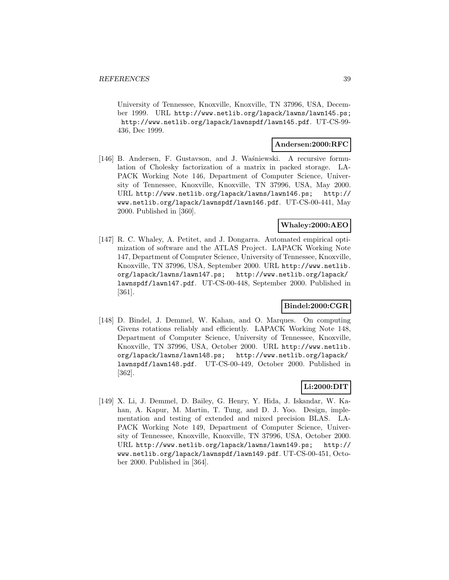University of Tennessee, Knoxville, Knoxville, TN 37996, USA, December 1999. URL http://www.netlib.org/lapack/lawns/lawn145.ps; http://www.netlib.org/lapack/lawnspdf/lawn145.pdf. UT-CS-99- 436, Dec 1999.

### **Andersen:2000:RFC**

[146] B. Andersen, F. Gustavson, and J. Waśniewski. A recursive formulation of Cholesky factorization of a matrix in packed storage. LA-PACK Working Note 146, Department of Computer Science, University of Tennessee, Knoxville, Knoxville, TN 37996, USA, May 2000. URL http://www.netlib.org/lapack/lawns/lawn146.ps; http:// www.netlib.org/lapack/lawnspdf/lawn146.pdf. UT-CS-00-441, May 2000. Published in [360].

## **Whaley:2000:AEO**

[147] R. C. Whaley, A. Petitet, and J. Dongarra. Automated empirical optimization of software and the ATLAS Project. LAPACK Working Note 147, Department of Computer Science, University of Tennessee, Knoxville, Knoxville, TN 37996, USA, September 2000. URL http://www.netlib. org/lapack/lawns/lawn147.ps; http://www.netlib.org/lapack/ lawnspdf/lawn147.pdf. UT-CS-00-448, September 2000. Published in [361].

## **Bindel:2000:CGR**

[148] D. Bindel, J. Demmel, W. Kahan, and O. Marques. On computing Givens rotations reliably and efficiently. LAPACK Working Note 148, Department of Computer Science, University of Tennessee, Knoxville, Knoxville, TN 37996, USA, October 2000. URL http://www.netlib. org/lapack/lawns/lawn148.ps; http://www.netlib.org/lapack/ lawnspdf/lawn148.pdf. UT-CS-00-449, October 2000. Published in [362].

# **Li:2000:DIT**

[149] X. Li, J. Demmel, D. Bailey, G. Henry, Y. Hida, J. Iskandar, W. Kahan, A. Kapur, M. Martin, T. Tung, and D. J. Yoo. Design, implementation and testing of extended and mixed precision BLAS. LA-PACK Working Note 149, Department of Computer Science, University of Tennessee, Knoxville, Knoxville, TN 37996, USA, October 2000. URL http://www.netlib.org/lapack/lawns/lawn149.ps; http:// www.netlib.org/lapack/lawnspdf/lawn149.pdf. UT-CS-00-451, October 2000. Published in [364].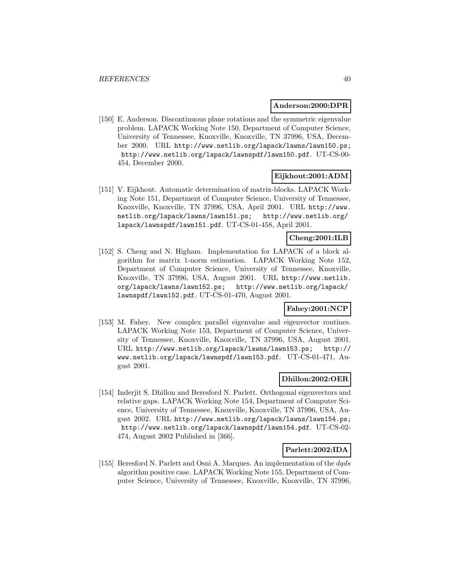#### **Anderson:2000:DPR**

[150] E. Anderson. Discontinuous plane rotations and the symmetric eigenvalue problem. LAPACK Working Note 150, Department of Computer Science, University of Tennessee, Knoxville, Knoxville, TN 37996, USA, December 2000. URL http://www.netlib.org/lapack/lawns/lawn150.ps; http://www.netlib.org/lapack/lawnspdf/lawn150.pdf. UT-CS-00- 454, December 2000.

## **Eijkhout:2001:ADM**

[151] V. Eijkhout. Automatic determination of matrix-blocks. LAPACK Working Note 151, Department of Computer Science, University of Tennessee, Knoxville, Knoxville, TN 37996, USA, April 2001. URL http://www. netlib.org/lapack/lawns/lawn151.ps; http://www.netlib.org/ lapack/lawnspdf/lawn151.pdf. UT-CS-01-458, April 2001.

# **Cheng:2001:ILB**

[152] S. Cheng and N. Higham. Implementation for LAPACK of a block algorithm for matrix 1-norm estimation. LAPACK Working Note 152, Department of Computer Science, University of Tennessee, Knoxville, Knoxville, TN 37996, USA, August 2001. URL http://www.netlib. org/lapack/lawns/lawn152.ps; http://www.netlib.org/lapack/ lawnspdf/lawn152.pdf. UT-CS-01-470, August 2001.

### **Fahey:2001:NCP**

[153] M. Fahey. New complex parallel eigenvalue and eigenvector routines. LAPACK Working Note 153, Department of Computer Science, University of Tennessee, Knoxville, Knoxville, TN 37996, USA, August 2001. URL http://www.netlib.org/lapack/lawns/lawn153.ps; http:// www.netlib.org/lapack/lawnspdf/lawn153.pdf. UT-CS-01-471, August 2001.

### **Dhillon:2002:OER**

[154] Inderjit S. Dhillon and Beresford N. Parlett. Orthogonal eigenvectors and relative gaps. LAPACK Working Note 154, Department of Computer Science, University of Tennessee, Knoxville, Knoxville, TN 37996, USA, August 2002. URL http://www.netlib.org/lapack/lawns/lawn154.ps; http://www.netlib.org/lapack/lawnspdf/lawn154.pdf. UT-CS-02- 474, August 2002 Published in [366].

### **Parlett:2002:IDA**

[155] Beresford N. Parlett and Osni A. Marques. An implementation of the *dqds* algorithm positive case. LAPACK Working Note 155, Department of Computer Science, University of Tennessee, Knoxville, Knoxville, TN 37996,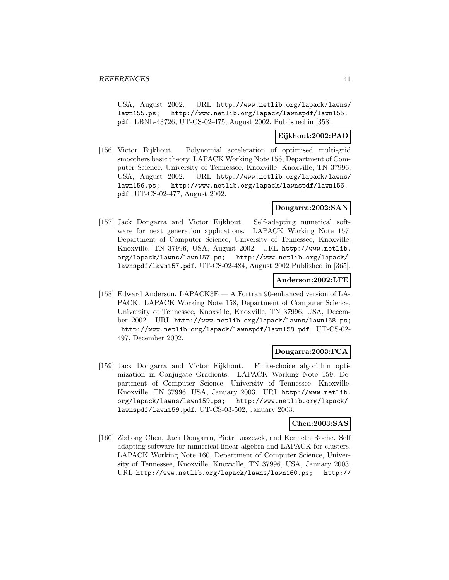USA, August 2002. URL http://www.netlib.org/lapack/lawns/ lawn155.ps; http://www.netlib.org/lapack/lawnspdf/lawn155. pdf. LBNL-43726, UT-CS-02-475, August 2002. Published in [358].

## **Eijkhout:2002:PAO**

[156] Victor Eijkhout. Polynomial acceleration of optimised multi-grid smoothers basic theory. LAPACK Working Note 156, Department of Computer Science, University of Tennessee, Knoxville, Knoxville, TN 37996, USA, August 2002. URL http://www.netlib.org/lapack/lawns/ lawn156.ps; http://www.netlib.org/lapack/lawnspdf/lawn156. pdf. UT-CS-02-477, August 2002.

## **Dongarra:2002:SAN**

[157] Jack Dongarra and Victor Eijkhout. Self-adapting numerical software for next generation applications. LAPACK Working Note 157, Department of Computer Science, University of Tennessee, Knoxville, Knoxville, TN 37996, USA, August 2002. URL http://www.netlib. org/lapack/lawns/lawn157.ps; http://www.netlib.org/lapack/ lawnspdf/lawn157.pdf. UT-CS-02-484, August 2002 Published in [365].

### **Anderson:2002:LFE**

[158] Edward Anderson. LAPACK3E — A Fortran 90-enhanced version of LA-PACK. LAPACK Working Note 158, Department of Computer Science, University of Tennessee, Knoxville, Knoxville, TN 37996, USA, December 2002. URL http://www.netlib.org/lapack/lawns/lawn158.ps; http://www.netlib.org/lapack/lawnspdf/lawn158.pdf. UT-CS-02- 497, December 2002.

### **Dongarra:2003:FCA**

[159] Jack Dongarra and Victor Eijkhout. Finite-choice algorithm optimization in Conjugate Gradients. LAPACK Working Note 159, Department of Computer Science, University of Tennessee, Knoxville, Knoxville, TN 37996, USA, January 2003. URL http://www.netlib. org/lapack/lawns/lawn159.ps; http://www.netlib.org/lapack/ lawnspdf/lawn159.pdf. UT-CS-03-502, January 2003.

## **Chen:2003:SAS**

[160] Zizhong Chen, Jack Dongarra, Piotr Luszczek, and Kenneth Roche. Self adapting software for numerical linear algebra and LAPACK for clusters. LAPACK Working Note 160, Department of Computer Science, University of Tennessee, Knoxville, Knoxville, TN 37996, USA, January 2003. URL http://www.netlib.org/lapack/lawns/lawn160.ps; http://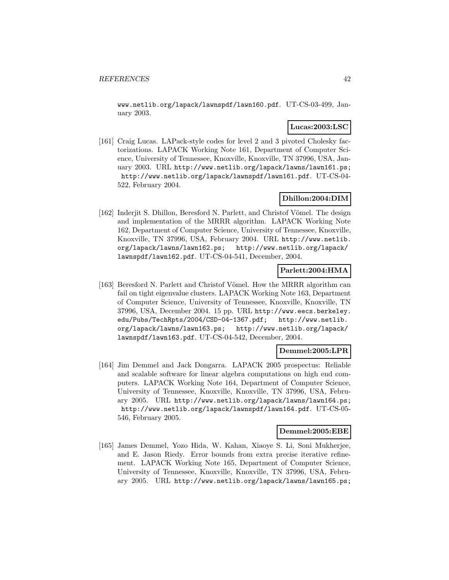www.netlib.org/lapack/lawnspdf/lawn160.pdf. UT-CS-03-499, January 2003.

### **Lucas:2003:LSC**

[161] Craig Lucas. LAPack-style codes for level 2 and 3 pivoted Cholesky factorizations. LAPACK Working Note 161, Department of Computer Science, University of Tennessee, Knoxville, Knoxville, TN 37996, USA, January 2003. URL http://www.netlib.org/lapack/lawns/lawn161.ps; http://www.netlib.org/lapack/lawnspdf/lawn161.pdf. UT-CS-04- 522, February 2004.

### **Dhillon:2004:DIM**

[162] Inderjit S. Dhillon, Beresford N. Parlett, and Christof Vömel. The design and implementation of the MRRR algorithm. LAPACK Working Note 162, Department of Computer Science, University of Tennessee, Knoxville, Knoxville, TN 37996, USA, February 2004. URL http://www.netlib. org/lapack/lawns/lawn162.ps; http://www.netlib.org/lapack/ lawnspdf/lawn162.pdf. UT-CS-04-541, December, 2004.

### **Parlett:2004:HMA**

[163] Beresford N. Parlett and Christof Vömel. How the MRRR algorithm can fail on tight eigenvalue clusters. LAPACK Working Note 163, Department of Computer Science, University of Tennessee, Knoxville, Knoxville, TN 37996, USA, December 2004. 15 pp. URL http://www.eecs.berkeley. edu/Pubs/TechRpts/2004/CSD-04-1367.pdf; http://www.netlib. org/lapack/lawns/lawn163.ps; http://www.netlib.org/lapack/ lawnspdf/lawn163.pdf. UT-CS-04-542, December, 2004.

### **Demmel:2005:LPR**

[164] Jim Demmel and Jack Dongarra. LAPACK 2005 prospectus: Reliable and scalable software for linear algebra computations on high end computers. LAPACK Working Note 164, Department of Computer Science, University of Tennessee, Knoxville, Knoxville, TN 37996, USA, February 2005. URL http://www.netlib.org/lapack/lawns/lawn164.ps; http://www.netlib.org/lapack/lawnspdf/lawn164.pdf. UT-CS-05- 546, February 2005.

#### **Demmel:2005:EBE**

[165] James Demmel, Yozo Hida, W. Kahan, Xiaoye S. Li, Soni Mukherjee, and E. Jason Riedy. Error bounds from extra precise iterative refinement. LAPACK Working Note 165, Department of Computer Science, University of Tennessee, Knoxville, Knoxville, TN 37996, USA, February 2005. URL http://www.netlib.org/lapack/lawns/lawn165.ps;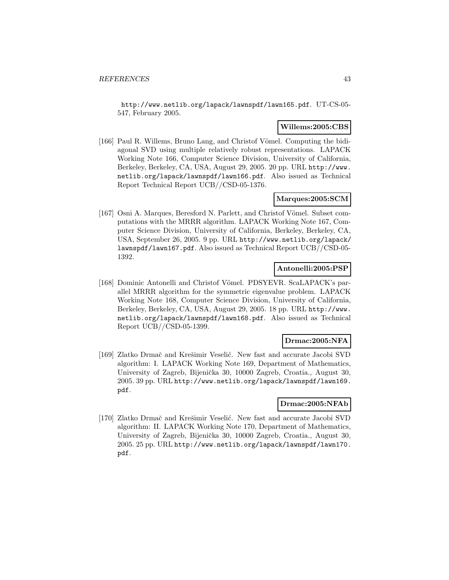http://www.netlib.org/lapack/lawnspdf/lawn165.pdf. UT-CS-05- 547, February 2005.

### **Willems:2005:CBS**

[166] Paul R. Willems, Bruno Lang, and Christof Vömel. Computing the bidiagonal SVD using multiple relatively robust representations. LAPACK Working Note 166, Computer Science Division, University of California, Berkeley, Berkeley, CA, USA, August 29, 2005. 20 pp. URL http://www. netlib.org/lapack/lawnspdf/lawn166.pdf. Also issued as Technical Report Technical Report UCB//CSD-05-1376.

## **Marques:2005:SCM**

[167] Osni A. Marques, Beresford N. Parlett, and Christof Vömel. Subset computations with the MRRR algorithm. LAPACK Working Note 167, Computer Science Division, University of California, Berkeley, Berkeley, CA, USA, September 26, 2005. 9 pp. URL http://www.netlib.org/lapack/ lawnspdf/lawn167.pdf. Also issued as Technical Report UCB//CSD-05- 1392.

## **Antonelli:2005:PSP**

[168] Dominic Antonelli and Christof Vömel. PDSYEVR. ScaLAPACK's parallel MRRR algorithm for the symmetric eigenvalue problem. LAPACK Working Note 168, Computer Science Division, University of California, Berkeley, Berkeley, CA, USA, August 29, 2005. 18 pp. URL http://www. netlib.org/lapack/lawnspdf/lawn168.pdf. Also issued as Technical Report UCB//CSD-05-1399.

## **Drmac:2005:NFA**

[169] Zlatko Drmač and Krešimir Veselić. New fast and accurate Jacobi SVD algorithm: I. LAPACK Working Note 169, Department of Mathematics, University of Zagreb, Bijenička 30, 10000 Zagreb, Croatia., August 30, 2005. 39 pp. URL http://www.netlib.org/lapack/lawnspdf/lawn169. pdf.

### **Drmac:2005:NFAb**

[170] Zlatko Drmač and Krešimir Veselić. New fast and accurate Jacobi SVD algorithm: II. LAPACK Working Note 170, Department of Mathematics, University of Zagreb, Bijenička 30, 10000 Zagreb, Croatia., August 30, 2005. 25 pp. URL http://www.netlib.org/lapack/lawnspdf/lawn170. pdf.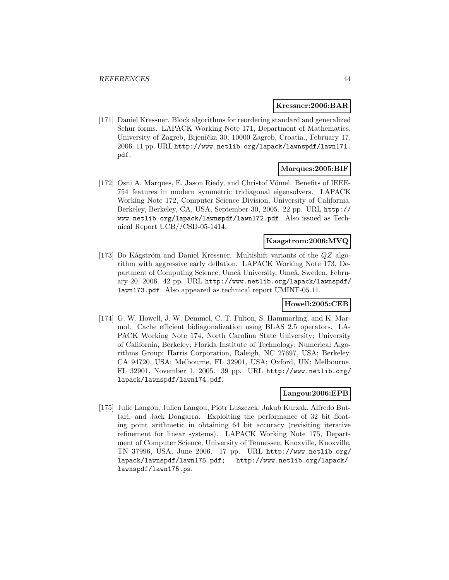#### **Kressner:2006:BAR**

[171] Daniel Kressner. Block algorithms for reordering standard and generalized Schur forms. LAPACK Working Note 171, Department of Mathematics, University of Zagreb, Bijenička 30, 10000 Zagreb, Croatia., February 17, 2006. 11 pp. URL http://www.netlib.org/lapack/lawnspdf/lawn171. pdf.

## **Marques:2005:BIF**

[172] Osni A. Marques, E. Jason Riedy, and Christof Vömel. Benefits of IEEE-754 features in modern symmetric tridiagonal eigensolvers. LAPACK Working Note 172, Computer Science Division, University of California, Berkeley, Berkeley, CA, USA, September 30, 2005. 22 pp. URL http:// www.netlib.org/lapack/lawnspdf/lawn172.pdf. Also issued as Technical Report UCB//CSD-05-1414.

## **Kaagstrom:2006:MVQ**

[173] Bo Kågström and Daniel Kressner. Multishift variants of the  $QZ$  algorithm with aggressive early deflation. LAPACK Working Note 173, Department of Computing Science, Umeå University, Umeå, Sweden, February 20, 2006. 42 pp. URL http://www.netlib.org/lapack/lawnspdf/ lawn173.pdf. Also appeared as technical report UMINF-05.11.

# **Howell:2005:CEB**

[174] G. W. Howell, J. W. Demmel, C. T. Fulton, S. Hammarling, and K. Marmol. Cache efficient bidiagonalization using BLAS 2.5 operators. LA-PACK Working Note 174, North Carolina State University; University of California, Berkeley; Florida Institute of Technology; Numerical Algorithms Group; Harris Corporation, Raleigh, NC 27697, USA; Berkeley, CA 94720, USA; Melbourne, FL 32901, USA; Oxford, UK; Melbourne, FL 32901, November 1, 2005. 39 pp. URL http://www.netlib.org/ lapack/lawnspdf/lawn174.pdf.

### **Langou:2006:EPB**

[175] Julie Langou, Julien Langou, Piotr Luszczek, Jakub Kurzak, Alfredo Buttari, and Jack Dongarra. Exploiting the performance of 32 bit floating point arithmetic in obtaining 64 bit accuracy (revisiting iterative refinement for linear systems). LAPACK Working Note 175, Department of Computer Science, University of Tennessee, Knoxville, Knoxville, TN 37996, USA, June 2006. 17 pp. URL http://www.netlib.org/ lapack/lawnspdf/lawn175.pdf; http://www.netlib.org/lapack/ lawnspdf/lawn175.ps.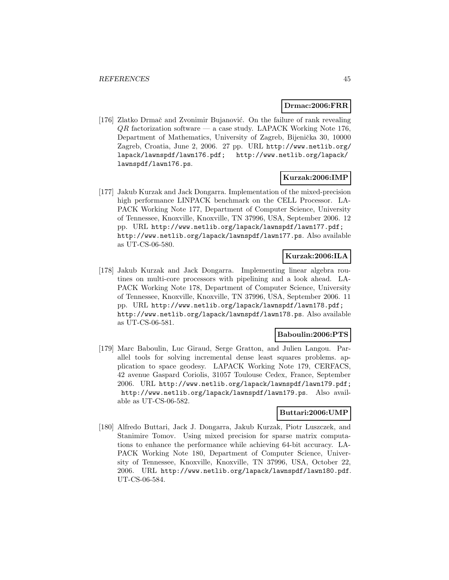### **Drmac:2006:FRR**

[176] Zlatko Drmač and Zvonimir Bujanović. On the failure of rank revealing  $QR$  factorization software — a case study. LAPACK Working Note 176, Department of Mathematics, University of Zagreb, Bijenička 30, 10000 Zagreb, Croatia, June 2, 2006. 27 pp. URL http://www.netlib.org/ lapack/lawnspdf/lawn176.pdf; http://www.netlib.org/lapack/ lawnspdf/lawn176.ps.

### **Kurzak:2006:IMP**

[177] Jakub Kurzak and Jack Dongarra. Implementation of the mixed-precision high performance LINPACK benchmark on the CELL Processor. LA-PACK Working Note 177, Department of Computer Science, University of Tennessee, Knoxville, Knoxville, TN 37996, USA, September 2006. 12 pp. URL http://www.netlib.org/lapack/lawnspdf/lawn177.pdf; http://www.netlib.org/lapack/lawnspdf/lawn177.ps. Also available as UT-CS-06-580.

# **Kurzak:2006:ILA**

[178] Jakub Kurzak and Jack Dongarra. Implementing linear algebra routines on multi-core processors with pipelining and a look ahead. LA-PACK Working Note 178, Department of Computer Science, University of Tennessee, Knoxville, Knoxville, TN 37996, USA, September 2006. 11 pp. URL http://www.netlib.org/lapack/lawnspdf/lawn178.pdf; http://www.netlib.org/lapack/lawnspdf/lawn178.ps. Also available as UT-CS-06-581.

### **Baboulin:2006:PTS**

[179] Marc Baboulin, Luc Giraud, Serge Gratton, and Julien Langou. Parallel tools for solving incremental dense least squares problems. application to space geodesy. LAPACK Working Note 179, CERFACS, 42 avenue Gaspard Coriolis, 31057 Toulouse Cedex, France, September 2006. URL http://www.netlib.org/lapack/lawnspdf/lawn179.pdf; http://www.netlib.org/lapack/lawnspdf/lawn179.ps. Also available as UT-CS-06-582.

## **Buttari:2006:UMP**

[180] Alfredo Buttari, Jack J. Dongarra, Jakub Kurzak, Piotr Luszczek, and Stanimire Tomov. Using mixed precision for sparse matrix computations to enhance the performance while achieving 64-bit accuracy. LA-PACK Working Note 180, Department of Computer Science, University of Tennessee, Knoxville, Knoxville, TN 37996, USA, October 22, 2006. URL http://www.netlib.org/lapack/lawnspdf/lawn180.pdf. UT-CS-06-584.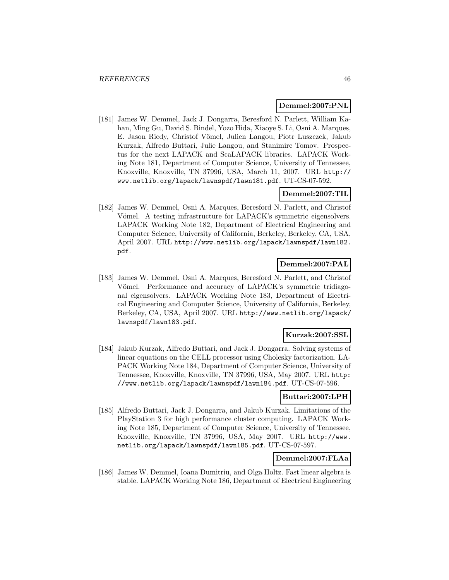### **Demmel:2007:PNL**

[181] James W. Demmel, Jack J. Dongarra, Beresford N. Parlett, William Kahan, Ming Gu, David S. Bindel, Yozo Hida, Xiaoye S. Li, Osni A. Marques, E. Jason Riedy, Christof Vömel, Julien Langou, Piotr Luszczek, Jakub Kurzak, Alfredo Buttari, Julie Langou, and Stanimire Tomov. Prospectus for the next LAPACK and ScaLAPACK libraries. LAPACK Working Note 181, Department of Computer Science, University of Tennessee, Knoxville, Knoxville, TN 37996, USA, March 11, 2007. URL http:// www.netlib.org/lapack/lawnspdf/lawn181.pdf. UT-CS-07-592.

## **Demmel:2007:TIL**

[182] James W. Demmel, Osni A. Marques, Beresford N. Parlett, and Christof Vömel. A testing infrastructure for LAPACK's symmetric eigensolvers. LAPACK Working Note 182, Department of Electrical Engineering and Computer Science, University of California, Berkeley, Berkeley, CA, USA, April 2007. URL http://www.netlib.org/lapack/lawnspdf/lawn182. pdf.

## **Demmel:2007:PAL**

[183] James W. Demmel, Osni A. Marques, Beresford N. Parlett, and Christof Vömel. Performance and accuracy of LAPACK's symmetric tridiagonal eigensolvers. LAPACK Working Note 183, Department of Electrical Engineering and Computer Science, University of California, Berkeley, Berkeley, CA, USA, April 2007. URL http://www.netlib.org/lapack/ lawnspdf/lawn183.pdf.

## **Kurzak:2007:SSL**

[184] Jakub Kurzak, Alfredo Buttari, and Jack J. Dongarra. Solving systems of linear equations on the CELL processor using Cholesky factorization. LA-PACK Working Note 184, Department of Computer Science, University of Tennessee, Knoxville, Knoxville, TN 37996, USA, May 2007. URL http: //www.netlib.org/lapack/lawnspdf/lawn184.pdf. UT-CS-07-596.

## **Buttari:2007:LPH**

[185] Alfredo Buttari, Jack J. Dongarra, and Jakub Kurzak. Limitations of the PlayStation 3 for high performance cluster computing. LAPACK Working Note 185, Department of Computer Science, University of Tennessee, Knoxville, Knoxville, TN 37996, USA, May 2007. URL http://www. netlib.org/lapack/lawnspdf/lawn185.pdf. UT-CS-07-597.

## **Demmel:2007:FLAa**

[186] James W. Demmel, Ioana Dumitriu, and Olga Holtz. Fast linear algebra is stable. LAPACK Working Note 186, Department of Electrical Engineering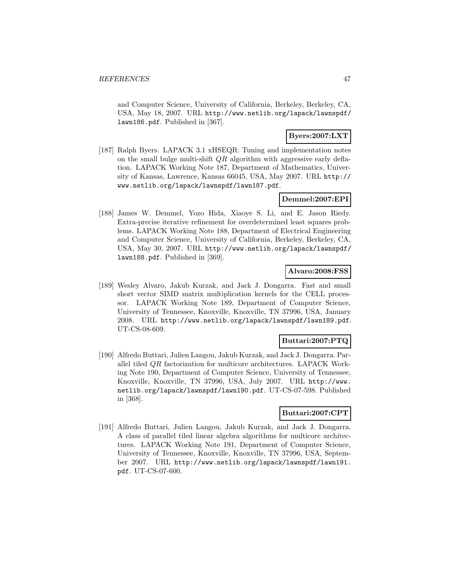and Computer Science, University of California, Berkeley, Berkeley, CA, USA, May 18, 2007. URL http://www.netlib.org/lapack/lawnspdf/ lawn186.pdf. Published in [367].

# **Byers:2007:LXT**

[187] Ralph Byers. LAPACK 3.1 xHSEQR: Tuning and implementation notes on the small bulge multi-shift  $QR$  algorithm with aggressive early deflation. LAPACK Working Note 187, Department of Mathematics, University of Kansas, Lawrence, Kansas 66045, USA, May 2007. URL http:// www.netlib.org/lapack/lawnspdf/lawn187.pdf.

### **Demmel:2007:EPI**

[188] James W. Demmel, Yozo Hida, Xiaoye S. Li, and E. Jason Riedy. Extra-precise iterative refinement for overdetermined least squares problems. LAPACK Working Note 188, Department of Electrical Engineering and Computer Science, University of California, Berkeley, Berkeley, CA, USA, May 30, 2007. URL http://www.netlib.org/lapack/lawnspdf/ lawn188.pdf. Published in [369].

### **Alvaro:2008:FSS**

[189] Wesley Alvaro, Jakub Kurzak, and Jack J. Dongarra. Fast and small short vector SIMD matrix multiplication kernels for the CELL processor. LAPACK Working Note 189, Department of Computer Science, University of Tennessee, Knoxville, Knoxville, TN 37996, USA, January 2008. URL http://www.netlib.org/lapack/lawnspdf/lawn189.pdf. UT-CS-08-609.

### **Buttari:2007:PTQ**

[190] Alfredo Buttari, Julien Langou, Jakub Kurzak, and Jack J. Dongarra. Parallel tiled QR factorization for multicore architectures. LAPACK Working Note 190, Department of Computer Science, University of Tennessee, Knoxville, Knoxville, TN 37996, USA, July 2007. URL http://www. netlib.org/lapack/lawnspdf/lawn190.pdf. UT-CS-07-598. Published in [368].

### **Buttari:2007:CPT**

[191] Alfredo Buttari, Julien Langou, Jakub Kurzak, and Jack J. Dongarra. A class of parallel tiled linear algebra algorithms for multicore architectures. LAPACK Working Note 191, Department of Computer Science, University of Tennessee, Knoxville, Knoxville, TN 37996, USA, September 2007. URL http://www.netlib.org/lapack/lawnspdf/lawn191. pdf. UT-CS-07-600.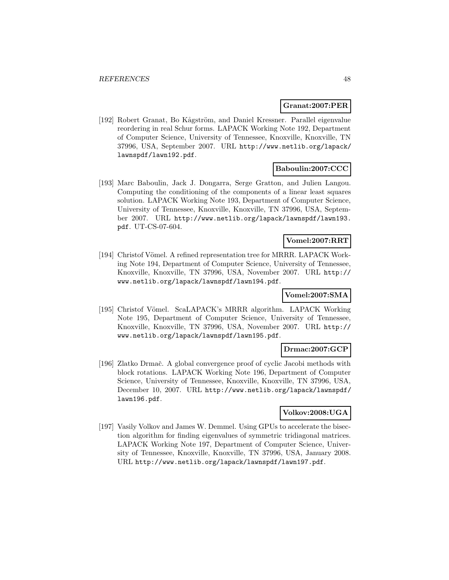#### **Granat:2007:PER**

[192] Robert Granat, Bo Kågström, and Daniel Kressner. Parallel eigenvalue reordering in real Schur forms. LAPACK Working Note 192, Department of Computer Science, University of Tennessee, Knoxville, Knoxville, TN 37996, USA, September 2007. URL http://www.netlib.org/lapack/ lawnspdf/lawn192.pdf.

## **Baboulin:2007:CCC**

[193] Marc Baboulin, Jack J. Dongarra, Serge Gratton, and Julien Langou. Computing the conditioning of the components of a linear least squares solution. LAPACK Working Note 193, Department of Computer Science, University of Tennessee, Knoxville, Knoxville, TN 37996, USA, September 2007. URL http://www.netlib.org/lapack/lawnspdf/lawn193. pdf. UT-CS-07-604.

# **Vomel:2007:RRT**

[194] Christof Vömel. A refined representation tree for MRRR. LAPACK Working Note 194, Department of Computer Science, University of Tennessee, Knoxville, Knoxville, TN 37996, USA, November 2007. URL http:// www.netlib.org/lapack/lawnspdf/lawn194.pdf.

## **Vomel:2007:SMA**

[195] Christof Vömel. ScaLAPACK's MRRR algorithm. LAPACK Working Note 195, Department of Computer Science, University of Tennessee, Knoxville, Knoxville, TN 37996, USA, November 2007. URL http:// www.netlib.org/lapack/lawnspdf/lawn195.pdf.

### **Drmac:2007:GCP**

[196] Zlatko Drmač. A global convergence proof of cyclic Jacobi methods with block rotations. LAPACK Working Note 196, Department of Computer Science, University of Tennessee, Knoxville, Knoxville, TN 37996, USA, December 10, 2007. URL http://www.netlib.org/lapack/lawnspdf/ lawn196.pdf.

## **Volkov:2008:UGA**

[197] Vasily Volkov and James W. Demmel. Using GPUs to accelerate the bisection algorithm for finding eigenvalues of symmetric tridiagonal matrices. LAPACK Working Note 197, Department of Computer Science, University of Tennessee, Knoxville, Knoxville, TN 37996, USA, January 2008. URL http://www.netlib.org/lapack/lawnspdf/lawn197.pdf.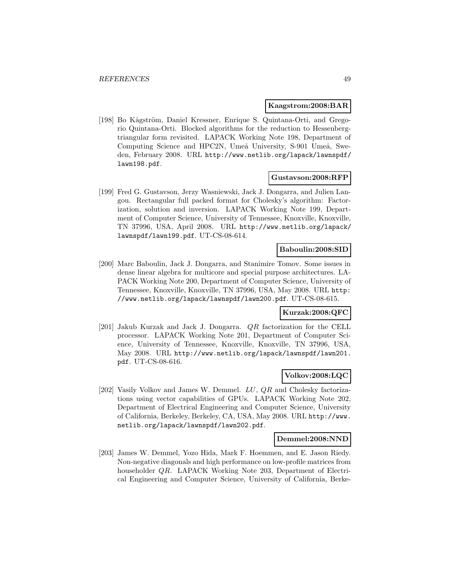#### **Kaagstrom:2008:BAR**

[198] Bo Kågström, Daniel Kressner, Enrique S. Quintana-Orti, and Gregorio Quintana-Orti. Blocked algorithms for the reduction to Hessenbergtriangular form revisited. LAPACK Working Note 198, Department of Computing Science and HPC2N, Umeå University, S-901 Umeå, Sweden, February 2008. URL http://www.netlib.org/lapack/lawnspdf/ lawn198.pdf.

#### **Gustavson:2008:RFP**

[199] Fred G. Gustavson, Jerzy Wasniewski, Jack J. Dongarra, and Julien Langou. Rectangular full packed format for Cholesky's algorithm: Factorization, solution and inversion. LAPACK Working Note 199, Department of Computer Science, University of Tennessee, Knoxville, Knoxville, TN 37996, USA, April 2008. URL http://www.netlib.org/lapack/ lawnspdf/lawn199.pdf. UT-CS-08-614.

### **Baboulin:2008:SID**

[200] Marc Baboulin, Jack J. Dongarra, and Stanimire Tomov. Some issues in dense linear algebra for multicore and special purpose architectures. LA-PACK Working Note 200, Department of Computer Science, University of Tennessee, Knoxville, Knoxville, TN 37996, USA, May 2008. URL http: //www.netlib.org/lapack/lawnspdf/lawn200.pdf. UT-CS-08-615.

### **Kurzak:2008:QFC**

[201] Jakub Kurzak and Jack J. Dongarra. QR factorization for the CELL processor. LAPACK Working Note 201, Department of Computer Science, University of Tennessee, Knoxville, Knoxville, TN 37996, USA, May 2008. URL http://www.netlib.org/lapack/lawnspdf/lawn201. pdf. UT-CS-08-616.

### **Volkov:2008:LQC**

[202] Vasily Volkov and James W. Demmel. LU, QR and Cholesky factorizations using vector capabilities of GPUs. LAPACK Working Note 202, Department of Electrical Engineering and Computer Science, University of California, Berkeley, Berkeley, CA, USA, May 2008. URL http://www. netlib.org/lapack/lawnspdf/lawn202.pdf.

#### **Demmel:2008:NND**

[203] James W. Demmel, Yozo Hida, Mark F. Hoemmen, and E. Jason Riedy. Non-negative diagonals and high performance on low-profile matrices from householder QR. LAPACK Working Note 203, Department of Electrical Engineering and Computer Science, University of California, Berke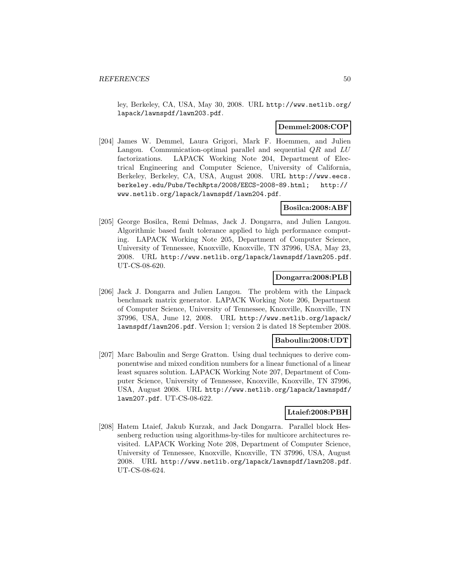ley, Berkeley, CA, USA, May 30, 2008. URL http://www.netlib.org/ lapack/lawnspdf/lawn203.pdf.

### **Demmel:2008:COP**

[204] James W. Demmel, Laura Grigori, Mark F. Hoemmen, and Julien Langou. Communication-optimal parallel and sequential  $QR$  and  $LU$ factorizations. LAPACK Working Note 204, Department of Electrical Engineering and Computer Science, University of California, Berkeley, Berkeley, CA, USA, August 2008. URL http://www.eecs. berkeley.edu/Pubs/TechRpts/2008/EECS-2008-89.html; http:// www.netlib.org/lapack/lawnspdf/lawn204.pdf.

### **Bosilca:2008:ABF**

[205] George Bosilca, Remi Delmas, Jack J. Dongarra, and Julien Langou. Algorithmic based fault tolerance applied to high performance computing. LAPACK Working Note 205, Department of Computer Science, University of Tennessee, Knoxville, Knoxville, TN 37996, USA, May 23, 2008. URL http://www.netlib.org/lapack/lawnspdf/lawn205.pdf. UT-CS-08-620.

### **Dongarra:2008:PLB**

[206] Jack J. Dongarra and Julien Langou. The problem with the Linpack benchmark matrix generator. LAPACK Working Note 206, Department of Computer Science, University of Tennessee, Knoxville, Knoxville, TN 37996, USA, June 12, 2008. URL http://www.netlib.org/lapack/ lawnspdf/lawn206.pdf. Version 1; version 2 is dated 18 September 2008.

### **Baboulin:2008:UDT**

[207] Marc Baboulin and Serge Gratton. Using dual techniques to derive componentwise and mixed condition numbers for a linear functional of a linear least squares solution. LAPACK Working Note 207, Department of Computer Science, University of Tennessee, Knoxville, Knoxville, TN 37996, USA, August 2008. URL http://www.netlib.org/lapack/lawnspdf/ lawn207.pdf. UT-CS-08-622.

### **Ltaief:2008:PBH**

[208] Hatem Ltaief, Jakub Kurzak, and Jack Dongarra. Parallel block Hessenberg reduction using algorithms-by-tiles for multicore architectures revisited. LAPACK Working Note 208, Department of Computer Science, University of Tennessee, Knoxville, Knoxville, TN 37996, USA, August 2008. URL http://www.netlib.org/lapack/lawnspdf/lawn208.pdf. UT-CS-08-624.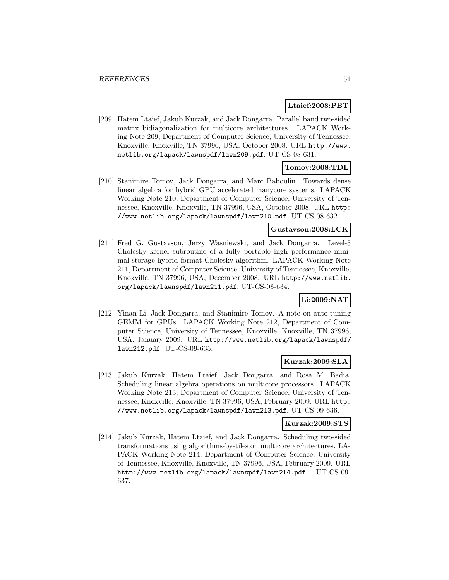## **Ltaief:2008:PBT**

[209] Hatem Ltaief, Jakub Kurzak, and Jack Dongarra. Parallel band two-sided matrix bidiagonalization for multicore architectures. LAPACK Working Note 209, Department of Computer Science, University of Tennessee, Knoxville, Knoxville, TN 37996, USA, October 2008. URL http://www. netlib.org/lapack/lawnspdf/lawn209.pdf. UT-CS-08-631.

## **Tomov:2008:TDL**

[210] Stanimire Tomov, Jack Dongarra, and Marc Baboulin. Towards dense linear algebra for hybrid GPU accelerated manycore systems. LAPACK Working Note 210, Department of Computer Science, University of Tennessee, Knoxville, Knoxville, TN 37996, USA, October 2008. URL http: //www.netlib.org/lapack/lawnspdf/lawn210.pdf. UT-CS-08-632.

## **Gustavson:2008:LCK**

[211] Fred G. Gustavson, Jerzy Wasniewski, and Jack Dongarra. Level-3 Cholesky kernel subroutine of a fully portable high performance minimal storage hybrid format Cholesky algorithm. LAPACK Working Note 211, Department of Computer Science, University of Tennessee, Knoxville, Knoxville, TN 37996, USA, December 2008. URL http://www.netlib. org/lapack/lawnspdf/lawn211.pdf. UT-CS-08-634.

## **Li:2009:NAT**

[212] Yinan Li, Jack Dongarra, and Stanimire Tomov. A note on auto-tuning GEMM for GPUs. LAPACK Working Note 212, Department of Computer Science, University of Tennessee, Knoxville, Knoxville, TN 37996, USA, January 2009. URL http://www.netlib.org/lapack/lawnspdf/ lawn212.pdf. UT-CS-09-635.

## **Kurzak:2009:SLA**

[213] Jakub Kurzak, Hatem Ltaief, Jack Dongarra, and Rosa M. Badia. Scheduling linear algebra operations on multicore processors. LAPACK Working Note 213, Department of Computer Science, University of Tennessee, Knoxville, Knoxville, TN 37996, USA, February 2009. URL http: //www.netlib.org/lapack/lawnspdf/lawn213.pdf. UT-CS-09-636.

### **Kurzak:2009:STS**

[214] Jakub Kurzak, Hatem Ltaief, and Jack Dongarra. Scheduling two-sided transformations using algorithms-by-tiles on multicore architectures. LA-PACK Working Note 214, Department of Computer Science, University of Tennessee, Knoxville, Knoxville, TN 37996, USA, February 2009. URL http://www.netlib.org/lapack/lawnspdf/lawn214.pdf. UT-CS-09- 637.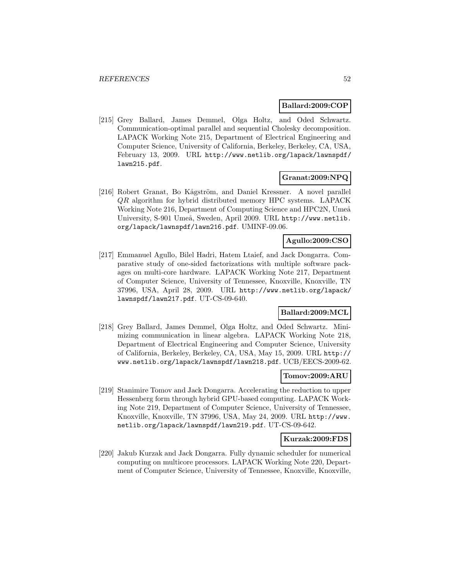### **Ballard:2009:COP**

[215] Grey Ballard, James Demmel, Olga Holtz, and Oded Schwartz. Communication-optimal parallel and sequential Cholesky decomposition. LAPACK Working Note 215, Department of Electrical Engineering and Computer Science, University of California, Berkeley, Berkeley, CA, USA, February 13, 2009. URL http://www.netlib.org/lapack/lawnspdf/ lawn215.pdf.

### **Granat:2009:NPQ**

[216] Robert Granat, Bo Kågström, and Daniel Kressner. A novel parallel QR algorithm for hybrid distributed memory HPC systems. LAPACK Working Note 216, Department of Computing Science and HPC2N, Umeå University, S-901 Umeå, Sweden, April 2009. URL http://www.netlib. org/lapack/lawnspdf/lawn216.pdf. UMINF-09.06.

## **Agullo:2009:CSO**

[217] Emmanuel Agullo, Bilel Hadri, Hatem Ltaief, and Jack Dongarra. Comparative study of one-sided factorizations with multiple software packages on multi-core hardware. LAPACK Working Note 217, Department of Computer Science, University of Tennessee, Knoxville, Knoxville, TN 37996, USA, April 28, 2009. URL http://www.netlib.org/lapack/ lawnspdf/lawn217.pdf. UT-CS-09-640.

### **Ballard:2009:MCL**

[218] Grey Ballard, James Demmel, Olga Holtz, and Oded Schwartz. Minimizing communication in linear algebra. LAPACK Working Note 218, Department of Electrical Engineering and Computer Science, University of California, Berkeley, Berkeley, CA, USA, May 15, 2009. URL http:// www.netlib.org/lapack/lawnspdf/lawn218.pdf. UCB/EECS-2009-62.

### **Tomov:2009:ARU**

[219] Stanimire Tomov and Jack Dongarra. Accelerating the reduction to upper Hessenberg form through hybrid GPU-based computing. LAPACK Working Note 219, Department of Computer Science, University of Tennessee, Knoxville, Knoxville, TN 37996, USA, May 24, 2009. URL http://www. netlib.org/lapack/lawnspdf/lawn219.pdf. UT-CS-09-642.

### **Kurzak:2009:FDS**

[220] Jakub Kurzak and Jack Dongarra. Fully dynamic scheduler for numerical computing on multicore processors. LAPACK Working Note 220, Department of Computer Science, University of Tennessee, Knoxville, Knoxville,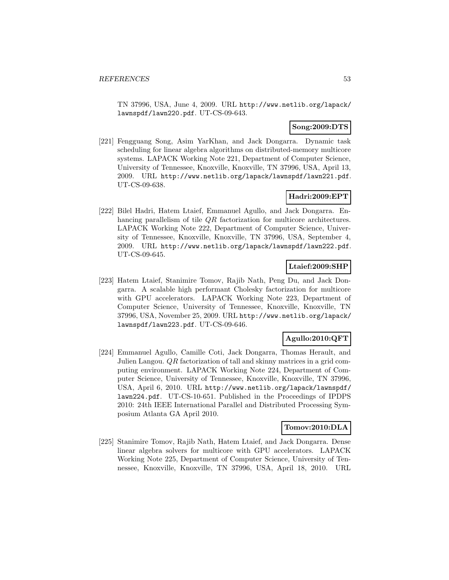TN 37996, USA, June 4, 2009. URL http://www.netlib.org/lapack/ lawnspdf/lawn220.pdf. UT-CS-09-643.

## **Song:2009:DTS**

[221] Fengguang Song, Asim YarKhan, and Jack Dongarra. Dynamic task scheduling for linear algebra algorithms on distributed-memory multicore systems. LAPACK Working Note 221, Department of Computer Science, University of Tennessee, Knoxville, Knoxville, TN 37996, USA, April 13, 2009. URL http://www.netlib.org/lapack/lawnspdf/lawn221.pdf. UT-CS-09-638.

## **Hadri:2009:EPT**

[222] Bilel Hadri, Hatem Ltaief, Emmanuel Agullo, and Jack Dongarra. Enhancing parallelism of tile *QR* factorization for multicore architectures. LAPACK Working Note 222, Department of Computer Science, University of Tennessee, Knoxville, Knoxville, TN 37996, USA, September 4, 2009. URL http://www.netlib.org/lapack/lawnspdf/lawn222.pdf. UT-CS-09-645.

## **Ltaief:2009:SHP**

[223] Hatem Ltaief, Stanimire Tomov, Rajib Nath, Peng Du, and Jack Dongarra. A scalable high performant Cholesky factorization for multicore with GPU accelerators. LAPACK Working Note 223, Department of Computer Science, University of Tennessee, Knoxville, Knoxville, TN 37996, USA, November 25, 2009. URL http://www.netlib.org/lapack/ lawnspdf/lawn223.pdf. UT-CS-09-646.

## **Agullo:2010:QFT**

[224] Emmanuel Agullo, Camille Coti, Jack Dongarra, Thomas Herault, and Julien Langou. QR factorization of tall and skinny matrices in a grid computing environment. LAPACK Working Note 224, Department of Computer Science, University of Tennessee, Knoxville, Knoxville, TN 37996, USA, April 6, 2010. URL http://www.netlib.org/lapack/lawnspdf/ lawn224.pdf. UT-CS-10-651. Published in the Proceedings of IPDPS 2010: 24th IEEE International Parallel and Distributed Processing Symposium Atlanta GA April 2010.

## **Tomov:2010:DLA**

[225] Stanimire Tomov, Rajib Nath, Hatem Ltaief, and Jack Dongarra. Dense linear algebra solvers for multicore with GPU accelerators. LAPACK Working Note 225, Department of Computer Science, University of Tennessee, Knoxville, Knoxville, TN 37996, USA, April 18, 2010. URL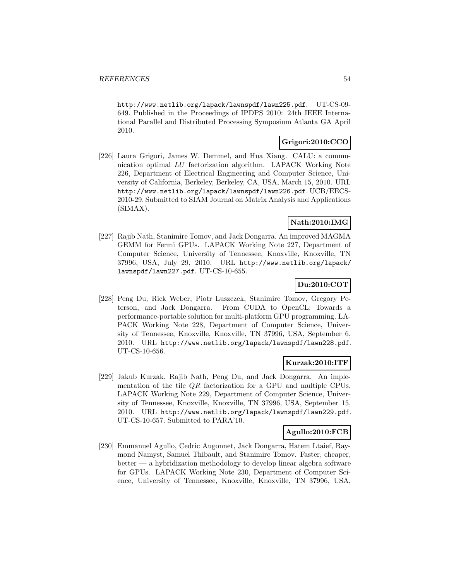http://www.netlib.org/lapack/lawnspdf/lawn225.pdf. UT-CS-09- 649. Published in the Proceedings of IPDPS 2010: 24th IEEE International Parallel and Distributed Processing Symposium Atlanta GA April 2010.

## **Grigori:2010:CCO**

[226] Laura Grigori, James W. Demmel, and Hua Xiang. CALU: a communication optimal LU factorization algorithm. LAPACK Working Note 226, Department of Electrical Engineering and Computer Science, University of California, Berkeley, Berkeley, CA, USA, March 15, 2010. URL http://www.netlib.org/lapack/lawnspdf/lawn226.pdf. UCB/EECS-2010-29. Submitted to SIAM Journal on Matrix Analysis and Applications (SIMAX).

# **Nath:2010:IMG**

[227] Rajib Nath, Stanimire Tomov, and Jack Dongarra. An improved MAGMA GEMM for Fermi GPUs. LAPACK Working Note 227, Department of Computer Science, University of Tennessee, Knoxville, Knoxville, TN 37996, USA, July 29, 2010. URL http://www.netlib.org/lapack/ lawnspdf/lawn227.pdf. UT-CS-10-655.

# **Du:2010:COT**

[228] Peng Du, Rick Weber, Piotr Luszczek, Stanimire Tomov, Gregory Peterson, and Jack Dongarra. From CUDA to OpenCL: Towards a performance-portable solution for multi-platform GPU programming. LA-PACK Working Note 228, Department of Computer Science, University of Tennessee, Knoxville, Knoxville, TN 37996, USA, September 6, 2010. URL http://www.netlib.org/lapack/lawnspdf/lawn228.pdf. UT-CS-10-656.

## **Kurzak:2010:ITF**

[229] Jakub Kurzak, Rajib Nath, Peng Du, and Jack Dongarra. An implementation of the tile QR factorization for a GPU and multiple CPUs. LAPACK Working Note 229, Department of Computer Science, University of Tennessee, Knoxville, Knoxville, TN 37996, USA, September 15, 2010. URL http://www.netlib.org/lapack/lawnspdf/lawn229.pdf. UT-CS-10-657. Submitted to PARA'10.

## **Agullo:2010:FCB**

[230] Emmanuel Agullo, Cedric Augonnet, Jack Dongarra, Hatem Ltaief, Raymond Namyst, Samuel Thibault, and Stanimire Tomov. Faster, cheaper,  $\text{better} \longrightarrow$  a hybridization methodology to develop linear algebra software for GPUs. LAPACK Working Note 230, Department of Computer Science, University of Tennessee, Knoxville, Knoxville, TN 37996, USA,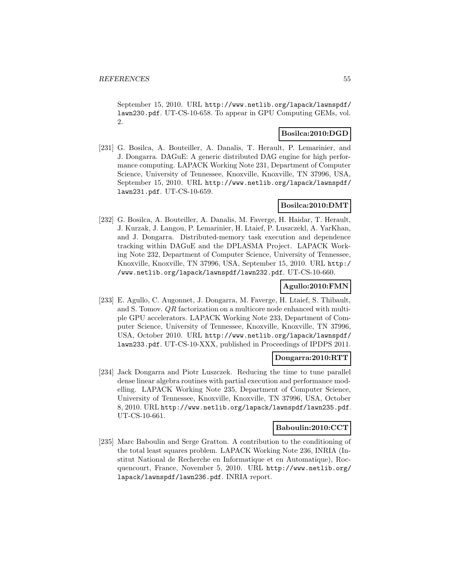September 15, 2010. URL http://www.netlib.org/lapack/lawnspdf/ lawn230.pdf. UT-CS-10-658. To appear in GPU Computing GEMs, vol. 2.

## **Bosilca:2010:DGD**

[231] G. Bosilca, A. Bouteiller, A. Danalis, T. Herault, P. Lemarinier, and J. Dongarra. DAGuE: A generic distributed DAG engine for high performance computing. LAPACK Working Note 231, Department of Computer Science, University of Tennessee, Knoxville, Knoxville, TN 37996, USA, September 15, 2010. URL http://www.netlib.org/lapack/lawnspdf/ lawn231.pdf. UT-CS-10-659.

## **Bosilca:2010:DMT**

[232] G. Bosilca, A. Bouteiller, A. Danalis, M. Faverge, H. Haidar, T. Herault, J. Kurzak, J. Langou, P. Lemarinier, H. Ltaief, P. Luszczekl, A. YarKhan, and J. Dongarra. Distributed-memory task execution and dependence tracking within DAGuE and the DPLASMA Project. LAPACK Working Note 232, Department of Computer Science, University of Tennessee, Knoxville, Knoxville, TN 37996, USA, September 15, 2010. URL http:/ /www.netlib.org/lapack/lawnspdf/lawn232.pdf. UT-CS-10-660.

### **Agullo:2010:FMN**

[233] E. Agullo, C. Augonnet, J. Dongarra, M. Faverge, H. Ltaief, S. Thibault, and S. Tomov. QR factorization on a multicore node enhanced with multiple GPU accelerators. LAPACK Working Note 233, Department of Computer Science, University of Tennessee, Knoxville, Knoxville, TN 37996, USA, October 2010. URL http://www.netlib.org/lapack/lawnspdf/ lawn233.pdf. UT-CS-10-XXX, published in Proceedings of IPDPS 2011.

### **Dongarra:2010:RTT**

[234] Jack Dongarra and Piotr Luszczek. Reducing the time to tune parallel dense linear algebra routines with partial execution and performance modelling. LAPACK Working Note 235, Department of Computer Science, University of Tennessee, Knoxville, Knoxville, TN 37996, USA, October 8, 2010. URL http://www.netlib.org/lapack/lawnspdf/lawn235.pdf. UT-CS-10-661.

### **Baboulin:2010:CCT**

[235] Marc Baboulin and Serge Gratton. A contribution to the conditioning of the total least squares problem. LAPACK Working Note 236, INRIA (Institut National de Recherche en Informatique et en Automatique), Rocquencourt, France, November 5, 2010. URL http://www.netlib.org/ lapack/lawnspdf/lawn236.pdf. INRIA report.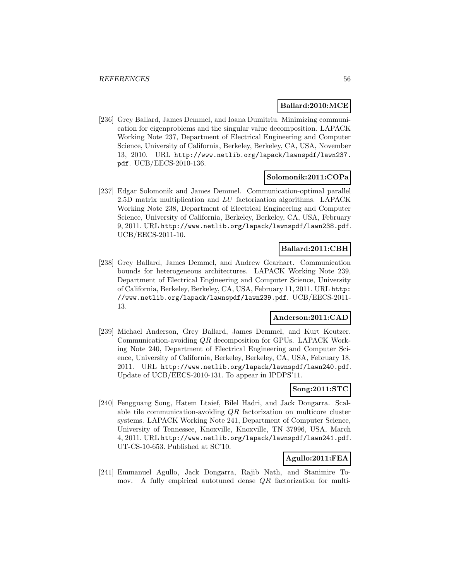### **Ballard:2010:MCE**

[236] Grey Ballard, James Demmel, and Ioana Dumitriu. Minimizing communication for eigenproblems and the singular value decomposition. LAPACK Working Note 237, Department of Electrical Engineering and Computer Science, University of California, Berkeley, Berkeley, CA, USA, November 13, 2010. URL http://www.netlib.org/lapack/lawnspdf/lawn237. pdf. UCB/EECS-2010-136.

## **Solomonik:2011:COPa**

[237] Edgar Solomonik and James Demmel. Communication-optimal parallel 2.5D matrix multiplication and LU factorization algorithms. LAPACK Working Note 238, Department of Electrical Engineering and Computer Science, University of California, Berkeley, Berkeley, CA, USA, February 9, 2011. URL http://www.netlib.org/lapack/lawnspdf/lawn238.pdf. UCB/EECS-2011-10.

### **Ballard:2011:CBH**

[238] Grey Ballard, James Demmel, and Andrew Gearhart. Communication bounds for heterogeneous architectures. LAPACK Working Note 239, Department of Electrical Engineering and Computer Science, University of California, Berkeley, Berkeley, CA, USA, February 11, 2011. URL http: //www.netlib.org/lapack/lawnspdf/lawn239.pdf. UCB/EECS-2011- 13.

## **Anderson:2011:CAD**

[239] Michael Anderson, Grey Ballard, James Demmel, and Kurt Keutzer. Communication-avoiding QR decomposition for GPUs. LAPACK Working Note 240, Department of Electrical Engineering and Computer Science, University of California, Berkeley, Berkeley, CA, USA, February 18, 2011. URL http://www.netlib.org/lapack/lawnspdf/lawn240.pdf. Update of UCB/EECS-2010-131. To appear in IPDPS'11.

# **Song:2011:STC**

[240] Fengguang Song, Hatem Ltaief, Bilel Hadri, and Jack Dongarra. Scalable tile communication-avoiding QR factorization on multicore cluster systems. LAPACK Working Note 241, Department of Computer Science, University of Tennessee, Knoxville, Knoxville, TN 37996, USA, March 4, 2011. URL http://www.netlib.org/lapack/lawnspdf/lawn241.pdf. UT-CS-10-653. Published at SC'10.

## **Agullo:2011:FEA**

[241] Emmanuel Agullo, Jack Dongarra, Rajib Nath, and Stanimire Tomov. A fully empirical autotuned dense QR factorization for multi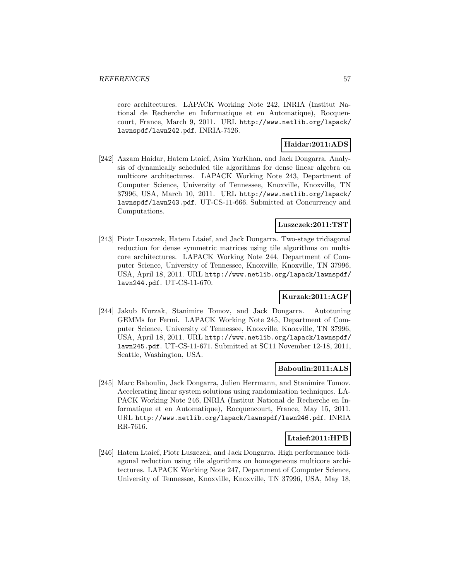core architectures. LAPACK Working Note 242, INRIA (Institut National de Recherche en Informatique et en Automatique), Rocquencourt, France, March 9, 2011. URL http://www.netlib.org/lapack/ lawnspdf/lawn242.pdf. INRIA-7526.

## **Haidar:2011:ADS**

[242] Azzam Haidar, Hatem Ltaief, Asim YarKhan, and Jack Dongarra. Analysis of dynamically scheduled tile algorithms for dense linear algebra on multicore architectures. LAPACK Working Note 243, Department of Computer Science, University of Tennessee, Knoxville, Knoxville, TN 37996, USA, March 10, 2011. URL http://www.netlib.org/lapack/ lawnspdf/lawn243.pdf. UT-CS-11-666. Submitted at Concurrency and Computations.

## **Luszczek:2011:TST**

[243] Piotr Luszczek, Hatem Ltaief, and Jack Dongarra. Two-stage tridiagonal reduction for dense symmetric matrices using tile algorithms on multicore architectures. LAPACK Working Note 244, Department of Computer Science, University of Tennessee, Knoxville, Knoxville, TN 37996, USA, April 18, 2011. URL http://www.netlib.org/lapack/lawnspdf/ lawn244.pdf. UT-CS-11-670.

## **Kurzak:2011:AGF**

[244] Jakub Kurzak, Stanimire Tomov, and Jack Dongarra. Autotuning GEMMs for Fermi. LAPACK Working Note 245, Department of Computer Science, University of Tennessee, Knoxville, Knoxville, TN 37996, USA, April 18, 2011. URL http://www.netlib.org/lapack/lawnspdf/ lawn245.pdf. UT-CS-11-671. Submitted at SC11 November 12-18, 2011, Seattle, Washington, USA.

### **Baboulin:2011:ALS**

[245] Marc Baboulin, Jack Dongarra, Julien Herrmann, and Stanimire Tomov. Accelerating linear system solutions using randomization techniques. LA-PACK Working Note 246, INRIA (Institut National de Recherche en Informatique et en Automatique), Rocquencourt, France, May 15, 2011. URL http://www.netlib.org/lapack/lawnspdf/lawn246.pdf. INRIA RR-7616.

## **Ltaief:2011:HPB**

[246] Hatem Ltaief, Piotr Luszczek, and Jack Dongarra. High performance bidiagonal reduction using tile algorithms on homogeneous multicore architectures. LAPACK Working Note 247, Department of Computer Science, University of Tennessee, Knoxville, Knoxville, TN 37996, USA, May 18,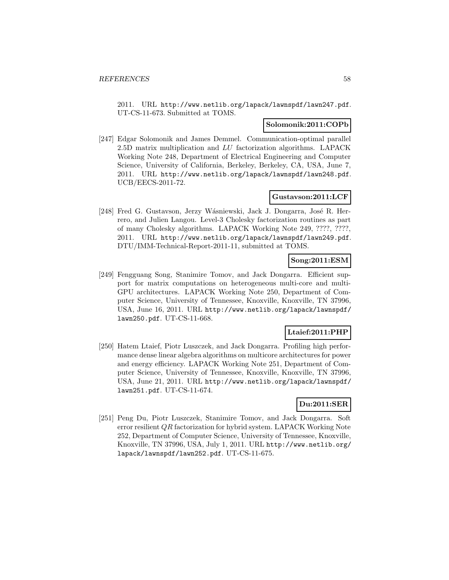2011. URL http://www.netlib.org/lapack/lawnspdf/lawn247.pdf. UT-CS-11-673. Submitted at TOMS.

### **Solomonik:2011:COPb**

[247] Edgar Solomonik and James Demmel. Communication-optimal parallel 2.5D matrix multiplication and LU factorization algorithms. LAPACK Working Note 248, Department of Electrical Engineering and Computer Science, University of California, Berkeley, Berkeley, CA, USA, June 7, 2011. URL http://www.netlib.org/lapack/lawnspdf/lawn248.pdf. UCB/EECS-2011-72.

## **Gustavson:2011:LCF**

[248] Fred G. Gustavson, Jerzy Wásniewski, Jack J. Dongarra, José R. Herrero, and Julien Langou. Level-3 Cholesky factorization routines as part of many Cholesky algorithms. LAPACK Working Note 249, ????, ????, 2011. URL http://www.netlib.org/lapack/lawnspdf/lawn249.pdf. DTU/IMM-Technical-Report-2011-11, submitted at TOMS.

## **Song:2011:ESM**

[249] Fengguang Song, Stanimire Tomov, and Jack Dongarra. Efficient support for matrix computations on heterogeneous multi-core and multi-GPU architectures. LAPACK Working Note 250, Department of Computer Science, University of Tennessee, Knoxville, Knoxville, TN 37996, USA, June 16, 2011. URL http://www.netlib.org/lapack/lawnspdf/ lawn250.pdf. UT-CS-11-668.

## **Ltaief:2011:PHP**

[250] Hatem Ltaief, Piotr Luszczek, and Jack Dongarra. Profiling high performance dense linear algebra algorithms on multicore architectures for power and energy efficiency. LAPACK Working Note 251, Department of Computer Science, University of Tennessee, Knoxville, Knoxville, TN 37996, USA, June 21, 2011. URL http://www.netlib.org/lapack/lawnspdf/ lawn251.pdf. UT-CS-11-674.

### **Du:2011:SER**

[251] Peng Du, Piotr Luszczek, Stanimire Tomov, and Jack Dongarra. Soft error resilient QR factorization for hybrid system. LAPACK Working Note 252, Department of Computer Science, University of Tennessee, Knoxville, Knoxville, TN 37996, USA, July 1, 2011. URL http://www.netlib.org/ lapack/lawnspdf/lawn252.pdf. UT-CS-11-675.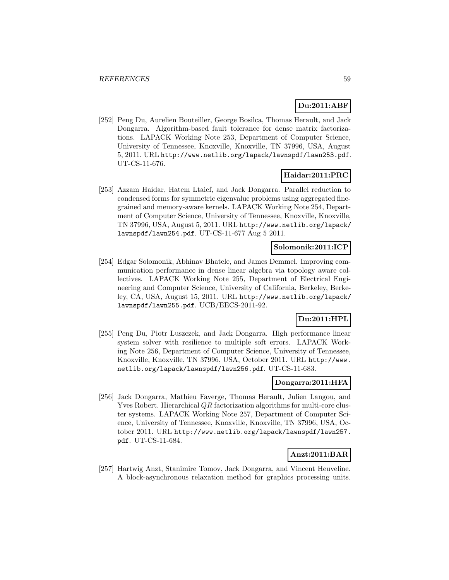# **Du:2011:ABF**

[252] Peng Du, Aurelien Bouteiller, George Bosilca, Thomas Herault, and Jack Dongarra. Algorithm-based fault tolerance for dense matrix factorizations. LAPACK Working Note 253, Department of Computer Science, University of Tennessee, Knoxville, Knoxville, TN 37996, USA, August 5, 2011. URL http://www.netlib.org/lapack/lawnspdf/lawn253.pdf. UT-CS-11-676.

## **Haidar:2011:PRC**

[253] Azzam Haidar, Hatem Ltaief, and Jack Dongarra. Parallel reduction to condensed forms for symmetric eigenvalue problems using aggregated finegrained and memory-aware kernels. LAPACK Working Note 254, Department of Computer Science, University of Tennessee, Knoxville, Knoxville, TN 37996, USA, August 5, 2011. URL http://www.netlib.org/lapack/ lawnspdf/lawn254.pdf. UT-CS-11-677 Aug 5 2011.

### **Solomonik:2011:ICP**

[254] Edgar Solomonik, Abhinav Bhatele, and James Demmel. Improving communication performance in dense linear algebra via topology aware collectives. LAPACK Working Note 255, Department of Electrical Engineering and Computer Science, University of California, Berkeley, Berkeley, CA, USA, August 15, 2011. URL http://www.netlib.org/lapack/ lawnspdf/lawn255.pdf. UCB/EECS-2011-92.

## **Du:2011:HPL**

[255] Peng Du, Piotr Luszczek, and Jack Dongarra. High performance linear system solver with resilience to multiple soft errors. LAPACK Working Note 256, Department of Computer Science, University of Tennessee, Knoxville, Knoxville, TN 37996, USA, October 2011. URL http://www. netlib.org/lapack/lawnspdf/lawn256.pdf. UT-CS-11-683.

#### **Dongarra:2011:HFA**

[256] Jack Dongarra, Mathieu Faverge, Thomas Herault, Julien Langou, and Yves Robert. Hierarchical QR factorization algorithms for multi-core cluster systems. LAPACK Working Note 257, Department of Computer Science, University of Tennessee, Knoxville, Knoxville, TN 37996, USA, October 2011. URL http://www.netlib.org/lapack/lawnspdf/lawn257. pdf. UT-CS-11-684.

### **Anzt:2011:BAR**

[257] Hartwig Anzt, Stanimire Tomov, Jack Dongarra, and Vincent Heuveline. A block-asynchronous relaxation method for graphics processing units.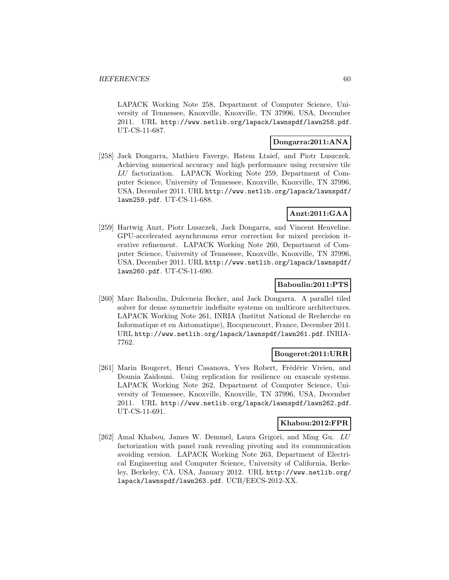LAPACK Working Note 258, Department of Computer Science, University of Tennessee, Knoxville, Knoxville, TN 37996, USA, December 2011. URL http://www.netlib.org/lapack/lawnspdf/lawn258.pdf. UT-CS-11-687.

## **Dongarra:2011:ANA**

[258] Jack Dongarra, Mathieu Faverge, Hatem Ltaief, and Piotr Luszczek. Achieving numerical accuracy and high performance using recursive tile LU factorization. LAPACK Working Note 259, Department of Computer Science, University of Tennessee, Knoxville, Knoxville, TN 37996, USA, December 2011. URL http://www.netlib.org/lapack/lawnspdf/ lawn259.pdf. UT-CS-11-688.

## **Anzt:2011:GAA**

[259] Hartwig Anzt, Piotr Luszczek, Jack Dongarra, and Vincent Heuveline. GPU-accelerated asynchronous error correction for mixed precision iterative refinement. LAPACK Working Note 260, Department of Computer Science, University of Tennessee, Knoxville, Knoxville, TN 37996, USA, December 2011. URL http://www.netlib.org/lapack/lawnspdf/ lawn260.pdf. UT-CS-11-690.

## **Baboulin:2011:PTS**

[260] Marc Baboulin, Dulceneia Becker, and Jack Dongarra. A parallel tiled solver for dense symmetric indefinite systems on multicore architectures. LAPACK Working Note 261, INRIA (Institut National de Recherche en Informatique et en Automatique), Rocquencourt, France, December 2011. URL http://www.netlib.org/lapack/lawnspdf/lawn261.pdf. INRIA-7762.

### **Bougeret:2011:URR**

[261] Marin Bougeret, Henri Casanova, Yves Robert, Frédéric Vivien, and Dounia Zaidouni. Using replication for resilience on exascale systems. LAPACK Working Note 262, Department of Computer Science, University of Tennessee, Knoxville, Knoxville, TN 37996, USA, December 2011. URL http://www.netlib.org/lapack/lawnspdf/lawn262.pdf. UT-CS-11-691.

# **Khabou:2012:FPR**

[262] Amal Khabou, James W. Demmel, Laura Grigori, and Ming Gu. LU factorization with panel rank revealing pivoting and its communication avoiding version. LAPACK Working Note 263, Department of Electrical Engineering and Computer Science, University of California, Berkeley, Berkeley, CA, USA, January 2012. URL http://www.netlib.org/ lapack/lawnspdf/lawn263.pdf. UCB/EECS-2012-XX.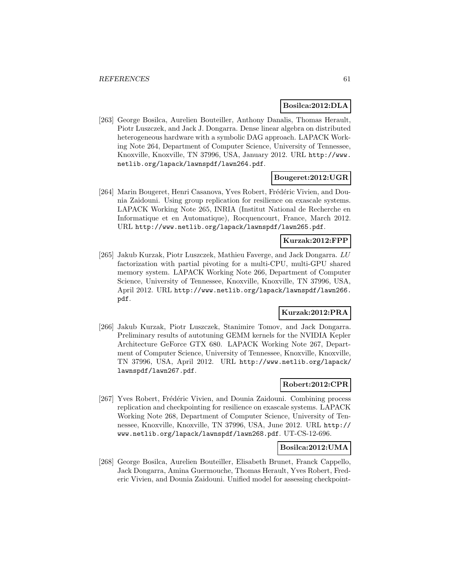### **Bosilca:2012:DLA**

[263] George Bosilca, Aurelien Bouteiller, Anthony Danalis, Thomas Herault, Piotr Luszczek, and Jack J. Dongarra. Dense linear algebra on distributed heterogeneous hardware with a symbolic DAG approach. LAPACK Working Note 264, Department of Computer Science, University of Tennessee, Knoxville, Knoxville, TN 37996, USA, January 2012. URL http://www. netlib.org/lapack/lawnspdf/lawn264.pdf.

### **Bougeret:2012:UGR**

[264] Marin Bougeret, Henri Casanova, Yves Robert, Frédéric Vivien, and Dounia Zaidouni. Using group replication for resilience on exascale systems. LAPACK Working Note 265, INRIA (Institut National de Recherche en Informatique et en Automatique), Rocquencourt, France, March 2012. URL http://www.netlib.org/lapack/lawnspdf/lawn265.pdf.

## **Kurzak:2012:FPP**

[265] Jakub Kurzak, Piotr Luszczek, Mathieu Faverge, and Jack Dongarra. LU factorization with partial pivoting for a multi-CPU, multi-GPU shared memory system. LAPACK Working Note 266, Department of Computer Science, University of Tennessee, Knoxville, Knoxville, TN 37996, USA, April 2012. URL http://www.netlib.org/lapack/lawnspdf/lawn266. pdf.

### **Kurzak:2012:PRA**

[266] Jakub Kurzak, Piotr Luszczek, Stanimire Tomov, and Jack Dongarra. Preliminary results of autotuning GEMM kernels for the NVIDIA Kepler Architecture GeForce GTX 680. LAPACK Working Note 267, Department of Computer Science, University of Tennessee, Knoxville, Knoxville, TN 37996, USA, April 2012. URL http://www.netlib.org/lapack/ lawnspdf/lawn267.pdf.

### **Robert:2012:CPR**

[267] Yves Robert, Frédéric Vivien, and Dounia Zaidouni. Combining process replication and checkpointing for resilience on exascale systems. LAPACK Working Note 268, Department of Computer Science, University of Tennessee, Knoxville, Knoxville, TN 37996, USA, June 2012. URL http:// www.netlib.org/lapack/lawnspdf/lawn268.pdf. UT-CS-12-696.

#### **Bosilca:2012:UMA**

[268] George Bosilca, Aurelien Bouteiller, Elisabeth Brunet, Franck Cappello, Jack Dongarra, Amina Guermouche, Thomas Herault, Yves Robert, Frederic Vivien, and Dounia Zaidouni. Unified model for assessing checkpoint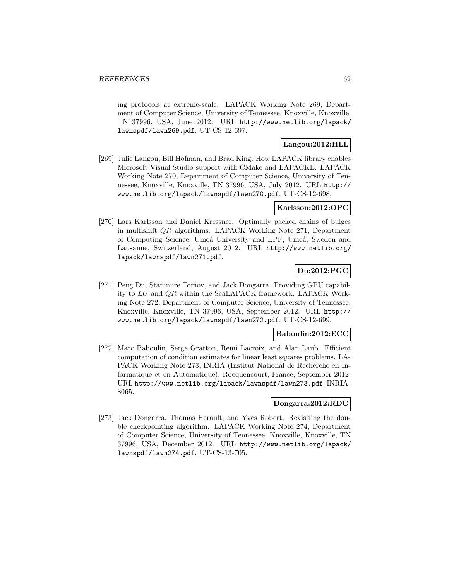ing protocols at extreme-scale. LAPACK Working Note 269, Department of Computer Science, University of Tennessee, Knoxville, Knoxville, TN 37996, USA, June 2012. URL http://www.netlib.org/lapack/ lawnspdf/lawn269.pdf. UT-CS-12-697.

## **Langou:2012:HLL**

[269] Julie Langou, Bill Hofman, and Brad King. How LAPACK library enables Microsoft Visual Studio support with CMake and LAPACKE. LAPACK Working Note 270, Department of Computer Science, University of Tennessee, Knoxville, Knoxville, TN 37996, USA, July 2012. URL http:// www.netlib.org/lapack/lawnspdf/lawn270.pdf. UT-CS-12-698.

## **Karlsson:2012:OPC**

[270] Lars Karlsson and Daniel Kressner. Optimally packed chains of bulges in multishift QR algorithms. LAPACK Working Note 271, Department of Computing Science, Umeå University and EPF, Umeå, Sweden and Lausanne, Switzerland, August 2012. URL http://www.netlib.org/ lapack/lawnspdf/lawn271.pdf.

# **Du:2012:PGC**

[271] Peng Du, Stanimire Tomov, and Jack Dongarra. Providing GPU capability to LU and QR within the ScaLAPACK framework. LAPACK Working Note 272, Department of Computer Science, University of Tennessee, Knoxville, Knoxville, TN 37996, USA, September 2012. URL http:// www.netlib.org/lapack/lawnspdf/lawn272.pdf. UT-CS-12-699.

### **Baboulin:2012:ECC**

[272] Marc Baboulin, Serge Gratton, Remi Lacroix, and Alan Laub. Efficient computation of condition estimates for linear least squares problems. LA-PACK Working Note 273, INRIA (Institut National de Recherche en Informatique et en Automatique), Rocquencourt, France, September 2012. URL http://www.netlib.org/lapack/lawnspdf/lawn273.pdf. INRIA-8065.

### **Dongarra:2012:RDC**

[273] Jack Dongarra, Thomas Herault, and Yves Robert. Revisiting the double checkpointing algorithm. LAPACK Working Note 274, Department of Computer Science, University of Tennessee, Knoxville, Knoxville, TN 37996, USA, December 2012. URL http://www.netlib.org/lapack/ lawnspdf/lawn274.pdf. UT-CS-13-705.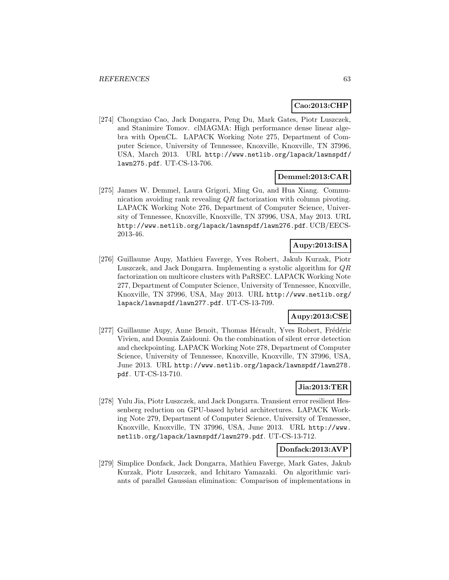# **Cao:2013:CHP**

[274] Chongxiao Cao, Jack Dongarra, Peng Du, Mark Gates, Piotr Luszczek, and Stanimire Tomov. clMAGMA: High performance dense linear algebra with OpenCL. LAPACK Working Note 275, Department of Computer Science, University of Tennessee, Knoxville, Knoxville, TN 37996, USA, March 2013. URL http://www.netlib.org/lapack/lawnspdf/ lawn275.pdf. UT-CS-13-706.

## **Demmel:2013:CAR**

[275] James W. Demmel, Laura Grigori, Ming Gu, and Hua Xiang. Communication avoiding rank revealing QR factorization with column pivoting. LAPACK Working Note 276, Department of Computer Science, University of Tennessee, Knoxville, Knoxville, TN 37996, USA, May 2013. URL http://www.netlib.org/lapack/lawnspdf/lawn276.pdf. UCB/EECS-2013-46.

# **Aupy:2013:ISA**

[276] Guillaume Aupy, Mathieu Faverge, Yves Robert, Jakub Kurzak, Piotr Luszczek, and Jack Dongarra. Implementing a systolic algorithm for QR factorization on multicore clusters with PaRSEC. LAPACK Working Note 277, Department of Computer Science, University of Tennessee, Knoxville, Knoxville, TN 37996, USA, May 2013. URL http://www.netlib.org/ lapack/lawnspdf/lawn277.pdf. UT-CS-13-709.

# **Aupy:2013:CSE**

[277] Guillaume Aupy, Anne Benoit, Thomas Hérault, Yves Robert, Frédéric Vivien, and Dounia Zaidouni. On the combination of silent error detection and checkpointing. LAPACK Working Note 278, Department of Computer Science, University of Tennessee, Knoxville, Knoxville, TN 37996, USA, June 2013. URL http://www.netlib.org/lapack/lawnspdf/lawn278. pdf. UT-CS-13-710.

# **Jia:2013:TER**

[278] Yulu Jia, Piotr Luszczek, and Jack Dongarra. Transient error resilient Hessenberg reduction on GPU-based hybrid architectures. LAPACK Working Note 279, Department of Computer Science, University of Tennessee, Knoxville, Knoxville, TN 37996, USA, June 2013. URL http://www. netlib.org/lapack/lawnspdf/lawn279.pdf. UT-CS-13-712.

## **Donfack:2013:AVP**

[279] Simplice Donfack, Jack Dongarra, Mathieu Faverge, Mark Gates, Jakub Kurzak, Piotr Luszczek, and Ichitaro Yamazaki. On algorithmic variants of parallel Gaussian elimination: Comparison of implementations in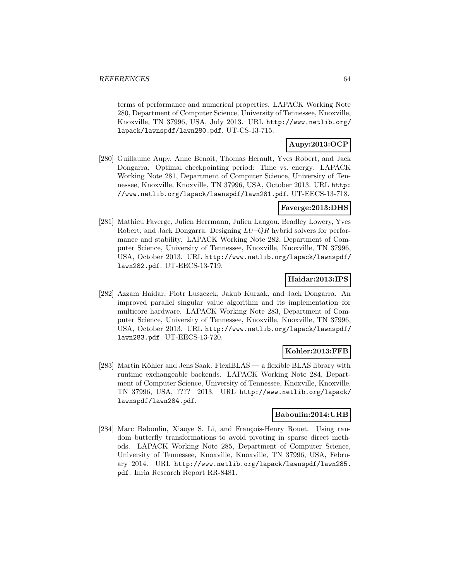terms of performance and numerical properties. LAPACK Working Note 280, Department of Computer Science, University of Tennessee, Knoxville, Knoxville, TN 37996, USA, July 2013. URL http://www.netlib.org/ lapack/lawnspdf/lawn280.pdf. UT-CS-13-715.

# **Aupy:2013:OCP**

[280] Guillaume Aupy, Anne Benoit, Thomas Herault, Yves Robert, and Jack Dongarra. Optimal checkpointing period: Time vs. energy. LAPACK Working Note 281, Department of Computer Science, University of Tennessee, Knoxville, Knoxville, TN 37996, USA, October 2013. URL http: //www.netlib.org/lapack/lawnspdf/lawn281.pdf. UT-EECS-13-718.

### **Faverge:2013:DHS**

[281] Mathieu Faverge, Julien Herrmann, Julien Langou, Bradley Lowery, Yves Robert, and Jack Dongarra. Designing  $LU-QR$  hybrid solvers for performance and stability. LAPACK Working Note 282, Department of Computer Science, University of Tennessee, Knoxville, Knoxville, TN 37996, USA, October 2013. URL http://www.netlib.org/lapack/lawnspdf/ lawn282.pdf. UT-EECS-13-719.

### **Haidar:2013:IPS**

[282] Azzam Haidar, Piotr Luszczek, Jakub Kurzak, and Jack Dongarra. An improved parallel singular value algorithm and its implementation for multicore hardware. LAPACK Working Note 283, Department of Computer Science, University of Tennessee, Knoxville, Knoxville, TN 37996, USA, October 2013. URL http://www.netlib.org/lapack/lawnspdf/ lawn283.pdf. UT-EECS-13-720.

### **Kohler:2013:FFB**

[283] Martin Köhler and Jens Saak. FlexiBLAS — a flexible BLAS library with runtime exchangeable backends. LAPACK Working Note 284, Department of Computer Science, University of Tennessee, Knoxville, Knoxville, TN 37996, USA, ???? 2013. URL http://www.netlib.org/lapack/ lawnspdf/lawn284.pdf.

## **Baboulin:2014:URB**

[284] Marc Baboulin, Xiaoye S. Li, and François-Henry Rouet. Using random butterfly transformations to avoid pivoting in sparse direct methods. LAPACK Working Note 285, Department of Computer Science, University of Tennessee, Knoxville, Knoxville, TN 37996, USA, February 2014. URL http://www.netlib.org/lapack/lawnspdf/lawn285. pdf. Inria Research Report RR-8481.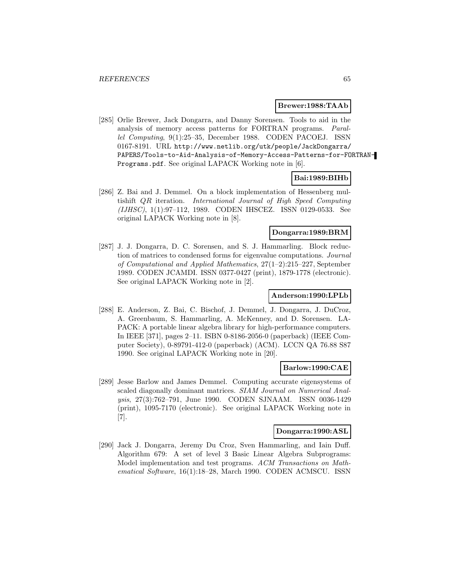### **Brewer:1988:TAAb**

[285] Orlie Brewer, Jack Dongarra, and Danny Sorensen. Tools to aid in the analysis of memory access patterns for FORTRAN programs. Parallel Computing, 9(1):25–35, December 1988. CODEN PACOEJ. ISSN 0167-8191. URL http://www.netlib.org/utk/people/JackDongarra/ PAPERS/Tools-to-Aid-Analysis-of-Memory-Access-Patterns-for-FORTRAN-Programs.pdf. See original LAPACK Working note in [6].

#### **Bai:1989:BIHb**

[286] Z. Bai and J. Demmel. On a block implementation of Hessenberg multishift QR iteration. International Journal of High Speed Computing (IJHSC), 1(1):97–112, 1989. CODEN IHSCEZ. ISSN 0129-0533. See original LAPACK Working note in [8].

### **Dongarra:1989:BRM**

[287] J. J. Dongarra, D. C. Sorensen, and S. J. Hammarling. Block reduction of matrices to condensed forms for eigenvalue computations. Journal of Computational and Applied Mathematics, 27(1–2):215–227, September 1989. CODEN JCAMDI. ISSN 0377-0427 (print), 1879-1778 (electronic). See original LAPACK Working note in [2].

### **Anderson:1990:LPLb**

[288] E. Anderson, Z. Bai, C. Bischof, J. Demmel, J. Dongarra, J. DuCroz, A. Greenbaum, S. Hammarling, A. McKenney, and D. Sorensen. LA-PACK: A portable linear algebra library for high-performance computers. In IEEE [371], pages 2–11. ISBN 0-8186-2056-0 (paperback) (IEEE Computer Society), 0-89791-412-0 (paperback) (ACM). LCCN QA 76.88 S87 1990. See original LAPACK Working note in [20].

### **Barlow:1990:CAE**

[289] Jesse Barlow and James Demmel. Computing accurate eigensystems of scaled diagonally dominant matrices. SIAM Journal on Numerical Analysis, 27(3):762–791, June 1990. CODEN SJNAAM. ISSN 0036-1429 (print), 1095-7170 (electronic). See original LAPACK Working note in [7].

### **Dongarra:1990:ASL**

[290] Jack J. Dongarra, Jeremy Du Croz, Sven Hammarling, and Iain Duff. Algorithm 679: A set of level 3 Basic Linear Algebra Subprograms: Model implementation and test programs. ACM Transactions on Mathematical Software, 16(1):18–28, March 1990. CODEN ACMSCU. ISSN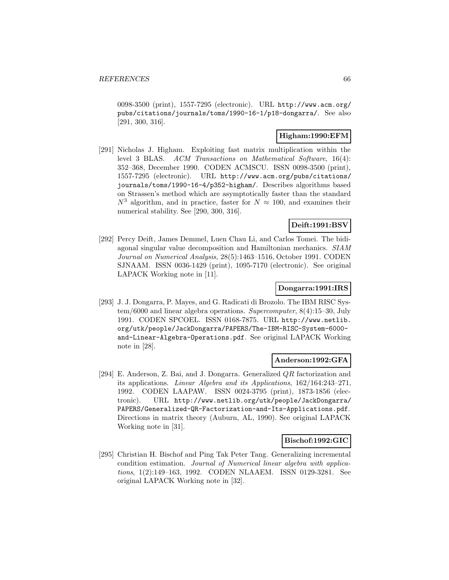0098-3500 (print), 1557-7295 (electronic). URL http://www.acm.org/ pubs/citations/journals/toms/1990-16-1/p18-dongarra/. See also [291, 300, 316].

### **Higham:1990:EFM**

[291] Nicholas J. Higham. Exploiting fast matrix multiplication within the level 3 BLAS. ACM Transactions on Mathematical Software, 16(4): 352–368, December 1990. CODEN ACMSCU. ISSN 0098-3500 (print), 1557-7295 (electronic). URL http://www.acm.org/pubs/citations/ journals/toms/1990-16-4/p352-higham/. Describes algorithms based on Strassen's method which are asymptotically faster than the standard  $N^3$  algorithm, and in practice, faster for  $N \approx 100$ , and examines their numerical stability. See [290, 300, 316].

## **Deift:1991:BSV**

[292] Percy Deift, James Demmel, Luen Chau Li, and Carlos Tomei. The bidiagonal singular value decomposition and Hamiltonian mechanics. SIAM Journal on Numerical Analysis, 28(5):1463–1516, October 1991. CODEN SJNAAM. ISSN 0036-1429 (print), 1095-7170 (electronic). See original LAPACK Working note in [11].

## **Dongarra:1991:IRS**

[293] J. J. Dongarra, P. Mayes, and G. Radicati di Brozolo. The IBM RISC System/6000 and linear algebra operations. Supercomputer, 8(4):15–30, July 1991. CODEN SPCOEL. ISSN 0168-7875. URL http://www.netlib. org/utk/people/JackDongarra/PAPERS/The-IBM-RISC-System-6000 and-Linear-Algebra-Operations.pdf. See original LAPACK Working note in [28].

### **Anderson:1992:GFA**

[294] E. Anderson, Z. Bai, and J. Dongarra. Generalized QR factorization and its applications. Linear Algebra and its Applications, 162/164:243–271, 1992. CODEN LAAPAW. ISSN 0024-3795 (print), 1873-1856 (electronic). URL http://www.netlib.org/utk/people/JackDongarra/ PAPERS/Generalized-QR-Factorization-and-Its-Applications.pdf. Directions in matrix theory (Auburn, AL, 1990). See original LAPACK Working note in [31].

### **Bischof:1992:GIC**

[295] Christian H. Bischof and Ping Tak Peter Tang. Generalizing incremental condition estimation. Journal of Numerical linear algebra with applications, 1(2):149–163, 1992. CODEN NLAAEM. ISSN 0129-3281. See original LAPACK Working note in [32].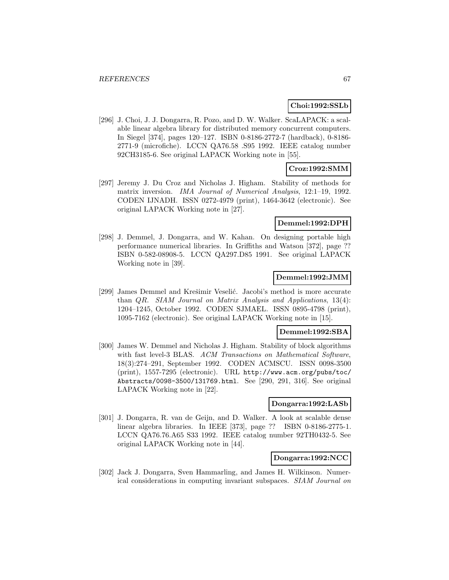## **Choi:1992:SSLb**

[296] J. Choi, J. J. Dongarra, R. Pozo, and D. W. Walker. ScaLAPACK: a scalable linear algebra library for distributed memory concurrent computers. In Siegel [374], pages 120–127. ISBN 0-8186-2772-7 (hardback), 0-8186- 2771-9 (microfiche). LCCN QA76.58 .S95 1992. IEEE catalog number 92CH3185-6. See original LAPACK Working note in [55].

## **Croz:1992:SMM**

[297] Jeremy J. Du Croz and Nicholas J. Higham. Stability of methods for matrix inversion. IMA Journal of Numerical Analysis, 12:1–19, 1992. CODEN IJNADH. ISSN 0272-4979 (print), 1464-3642 (electronic). See original LAPACK Working note in [27].

### **Demmel:1992:DPH**

[298] J. Demmel, J. Dongarra, and W. Kahan. On designing portable high performance numerical libraries. In Griffiths and Watson [372], page ?? ISBN 0-582-08908-5. LCCN QA297.D85 1991. See original LAPACK Working note in [39].

### **Demmel:1992:JMM**

[299] James Demmel and Krešimir Veselić. Jacobi's method is more accurate than QR. SIAM Journal on Matrix Analysis and Applications, 13(4): 1204–1245, October 1992. CODEN SJMAEL. ISSN 0895-4798 (print), 1095-7162 (electronic). See original LAPACK Working note in [15].

#### **Demmel:1992:SBA**

[300] James W. Demmel and Nicholas J. Higham. Stability of block algorithms with fast level-3 BLAS. ACM Transactions on Mathematical Software, 18(3):274–291, September 1992. CODEN ACMSCU. ISSN 0098-3500 (print), 1557-7295 (electronic). URL http://www.acm.org/pubs/toc/ Abstracts/0098-3500/131769.html. See [290, 291, 316]. See original LAPACK Working note in [22].

#### **Dongarra:1992:LASb**

[301] J. Dongarra, R. van de Geijn, and D. Walker. A look at scalable dense linear algebra libraries. In IEEE [373], page ?? ISBN 0-8186-2775-1. LCCN QA76.76.A65 S33 1992. IEEE catalog number 92TH0432-5. See original LAPACK Working note in [44].

### **Dongarra:1992:NCC**

[302] Jack J. Dongarra, Sven Hammarling, and James H. Wilkinson. Numerical considerations in computing invariant subspaces. SIAM Journal on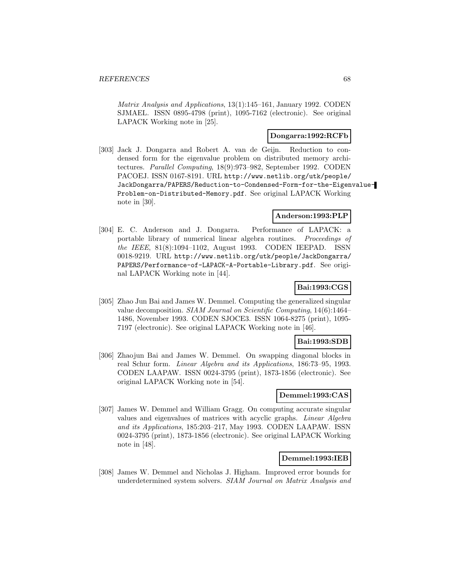Matrix Analysis and Applications, 13(1):145–161, January 1992. CODEN SJMAEL. ISSN 0895-4798 (print), 1095-7162 (electronic). See original LAPACK Working note in [25].

## **Dongarra:1992:RCFb**

[303] Jack J. Dongarra and Robert A. van de Geijn. Reduction to condensed form for the eigenvalue problem on distributed memory architectures. Parallel Computing, 18(9):973–982, September 1992. CODEN PACOEJ. ISSN 0167-8191. URL http://www.netlib.org/utk/people/ JackDongarra/PAPERS/Reduction-to-Condensed-Form-for-the-Eigenvalue-Problem-on-Distributed-Memory.pdf. See original LAPACK Working note in [30].

### **Anderson:1993:PLP**

[304] E. C. Anderson and J. Dongarra. Performance of LAPACK: a portable library of numerical linear algebra routines. Proceedings of the IEEE, 81(8):1094–1102, August 1993. CODEN IEEPAD. ISSN 0018-9219. URL http://www.netlib.org/utk/people/JackDongarra/ PAPERS/Performance-of-LAPACK-A-Portable-Library.pdf. See original LAPACK Working note in [44].

# **Bai:1993:CGS**

[305] Zhao Jun Bai and James W. Demmel. Computing the generalized singular value decomposition. SIAM Journal on Scientific Computing, 14(6):1464– 1486, November 1993. CODEN SJOCE3. ISSN 1064-8275 (print), 1095- 7197 (electronic). See original LAPACK Working note in [46].

## **Bai:1993:SDB**

[306] Zhaojun Bai and James W. Demmel. On swapping diagonal blocks in real Schur form. Linear Algebra and its Applications, 186:73–95, 1993. CODEN LAAPAW. ISSN 0024-3795 (print), 1873-1856 (electronic). See original LAPACK Working note in [54].

## **Demmel:1993:CAS**

[307] James W. Demmel and William Gragg. On computing accurate singular values and eigenvalues of matrices with acyclic graphs. Linear Algebra and its Applications, 185:203–217, May 1993. CODEN LAAPAW. ISSN 0024-3795 (print), 1873-1856 (electronic). See original LAPACK Working note in [48].

### **Demmel:1993:IEB**

[308] James W. Demmel and Nicholas J. Higham. Improved error bounds for underdetermined system solvers. SIAM Journal on Matrix Analysis and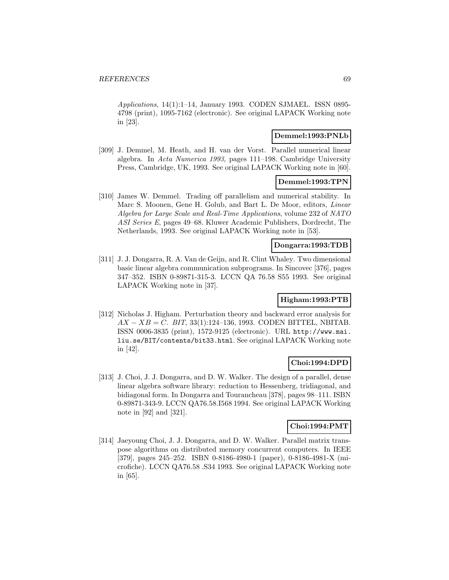Applications, 14(1):1–14, January 1993. CODEN SJMAEL. ISSN 0895- 4798 (print), 1095-7162 (electronic). See original LAPACK Working note in [23].

## **Demmel:1993:PNLb**

[309] J. Demmel, M. Heath, and H. van der Vorst. Parallel numerical linear algebra. In Acta Numerica 1993, pages 111–198. Cambridge University Press, Cambridge, UK, 1993. See original LAPACK Working note in [60].

### **Demmel:1993:TPN**

[310] James W. Demmel. Trading off parallelism and numerical stability. In Marc S. Moonen, Gene H. Golub, and Bart L. De Moor, editors, Linear Algebra for Large Scale and Real-Time Applications, volume 232 of NATO ASI Series E, pages 49–68. Kluwer Academic Publishers, Dordrecht, The Netherlands, 1993. See original LAPACK Working note in [53].

### **Dongarra:1993:TDB**

[311] J. J. Dongarra, R. A. Van de Geijn, and R. Clint Whaley. Two dimensional basic linear algebra communication subprograms. In Sincovec [376], pages 347–352. ISBN 0-89871-315-3. LCCN QA 76.58 S55 1993. See original LAPACK Working note in [37].

### **Higham:1993:PTB**

[312] Nicholas J. Higham. Perturbation theory and backward error analysis for  $AX - XB = C$ . BIT, 33(1):124–136, 1993. CODEN BITTEL, NBITAB. ISSN 0006-3835 (print), 1572-9125 (electronic). URL http://www.mai. liu.se/BIT/contents/bit33.html. See original LAPACK Working note in [42].

## **Choi:1994:DPD**

[313] J. Choi, J. J. Dongarra, and D. W. Walker. The design of a parallel, dense linear algebra software library: reduction to Hessenberg, tridiagonal, and bidiagonal form. In Dongarra and Tourancheau [378], pages 98–111. ISBN 0-89871-343-9. LCCN QA76.58.I568 1994. See original LAPACK Working note in [92] and [321].

## **Choi:1994:PMT**

[314] Jaeyoung Choi, J. J. Dongarra, and D. W. Walker. Parallel matrix transpose algorithms on distributed memory concurrent computers. In IEEE [379], pages 245–252. ISBN 0-8186-4980-1 (paper), 0-8186-4981-X (microfiche). LCCN QA76.58 .S34 1993. See original LAPACK Working note in [65].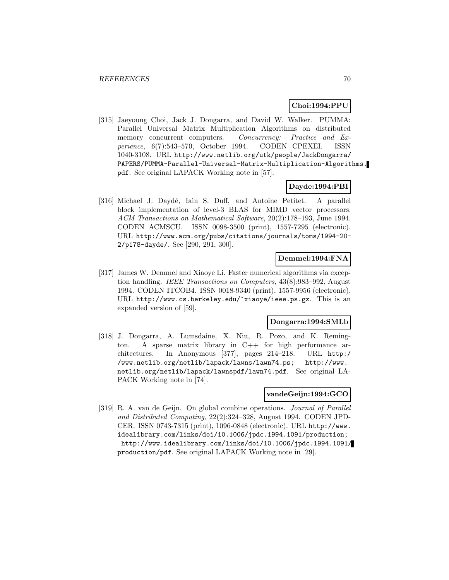### **Choi:1994:PPU**

[315] Jaeyoung Choi, Jack J. Dongarra, and David W. Walker. PUMMA: Parallel Universal Matrix Multiplication Algorithms on distributed memory concurrent computers. Concurrency: Practice and Experience, 6(7):543–570, October 1994. CODEN CPEXEI. ISSN 1040-3108. URL http://www.netlib.org/utk/people/JackDongarra/ PAPERS/PUMMA-Parallel-Universal-Matrix-Multiplication-Algorithms. pdf. See original LAPACK Working note in [57].

### **Dayde:1994:PBI**

[316] Michael J. Daydé, Iain S. Duff, and Antoine Petitet. A parallel block implementation of level-3 BLAS for MIMD vector processors. ACM Transactions on Mathematical Software, 20(2):178–193, June 1994. CODEN ACMSCU. ISSN 0098-3500 (print), 1557-7295 (electronic). URL http://www.acm.org/pubs/citations/journals/toms/1994-20- 2/p178-dayde/. See [290, 291, 300].

### **Demmel:1994:FNA**

[317] James W. Demmel and Xiaoye Li. Faster numerical algorithms via exception handling. IEEE Transactions on Computers, 43(8):983–992, August 1994. CODEN ITCOB4. ISSN 0018-9340 (print), 1557-9956 (electronic). URL http://www.cs.berkeley.edu/~xiaoye/ieee.ps.gz. This is an expanded version of [59].

### **Dongarra:1994:SMLb**

[318] J. Dongarra, A. Lumsdaine, X. Niu, R. Pozo, and K. Remington. A sparse matrix library in C++ for high performance architectures. In Anonymous [377], pages 214–218. URL http:/ /www.netlib.org/netlib/lapack/lawns/lawn74.ps; http://www. netlib.org/netlib/lapack/lawnspdf/lawn74.pdf. See original LA-PACK Working note in [74].

#### **vandeGeijn:1994:GCO**

[319] R. A. van de Geijn. On global combine operations. Journal of Parallel and Distributed Computing, 22(2):324–328, August 1994. CODEN JPD-CER. ISSN 0743-7315 (print), 1096-0848 (electronic). URL http://www. idealibrary.com/links/doi/10.1006/jpdc.1994.1091/production; http://www.idealibrary.com/links/doi/10.1006/jpdc.1994.1091/ production/pdf. See original LAPACK Working note in [29].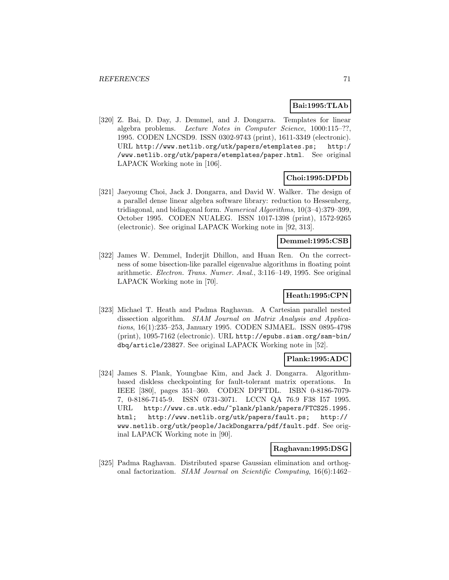## **Bai:1995:TLAb**

[320] Z. Bai, D. Day, J. Demmel, and J. Dongarra. Templates for linear algebra problems. Lecture Notes in Computer Science, 1000:115–??, 1995. CODEN LNCSD9. ISSN 0302-9743 (print), 1611-3349 (electronic). URL http://www.netlib.org/utk/papers/etemplates.ps; http:/ /www.netlib.org/utk/papers/etemplates/paper.html. See original LAPACK Working note in [106].

### **Choi:1995:DPDb**

[321] Jaeyoung Choi, Jack J. Dongarra, and David W. Walker. The design of a parallel dense linear algebra software library: reduction to Hessenberg, tridiagonal, and bidiagonal form. Numerical Algorithms, 10(3–4):379–399, October 1995. CODEN NUALEG. ISSN 1017-1398 (print), 1572-9265 (electronic). See original LAPACK Working note in [92, 313].

## **Demmel:1995:CSB**

[322] James W. Demmel, Inderjit Dhillon, and Huan Ren. On the correctness of some bisection-like parallel eigenvalue algorithms in floating point arithmetic. Electron. Trans. Numer. Anal., 3:116–149, 1995. See original LAPACK Working note in [70].

## **Heath:1995:CPN**

[323] Michael T. Heath and Padma Raghavan. A Cartesian parallel nested dissection algorithm. SIAM Journal on Matrix Analysis and Applications, 16(1):235–253, January 1995. CODEN SJMAEL. ISSN 0895-4798 (print), 1095-7162 (electronic). URL http://epubs.siam.org/sam-bin/ dbq/article/23827. See original LAPACK Working note in [52].

### **Plank:1995:ADC**

[324] James S. Plank, Youngbae Kim, and Jack J. Dongarra. Algorithmbased diskless checkpointing for fault-tolerant matrix operations. In IEEE [380], pages 351–360. CODEN DPFTDL. ISBN 0-8186-7079- 7, 0-8186-7145-9. ISSN 0731-3071. LCCN QA 76.9 F38 I57 1995. URL http://www.cs.utk.edu/~plank/plank/papers/FTCS25.1995. html; http://www.netlib.org/utk/papers/fault.ps; http:// www.netlib.org/utk/people/JackDongarra/pdf/fault.pdf. See original LAPACK Working note in [90].

#### **Raghavan:1995:DSG**

[325] Padma Raghavan. Distributed sparse Gaussian elimination and orthogonal factorization. SIAM Journal on Scientific Computing, 16(6):1462–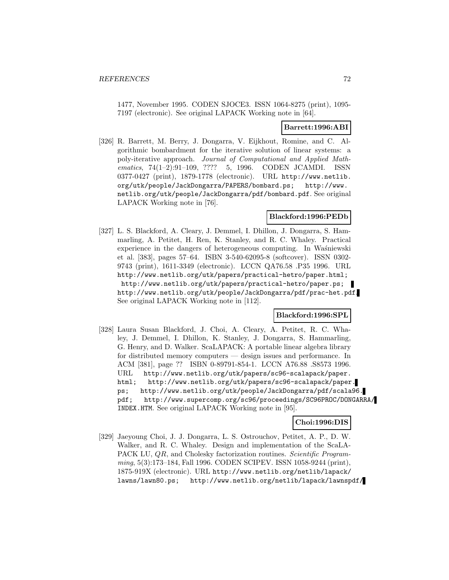1477, November 1995. CODEN SJOCE3. ISSN 1064-8275 (print), 1095- 7197 (electronic). See original LAPACK Working note in [64].

### **Barrett:1996:ABI**

[326] R. Barrett, M. Berry, J. Dongarra, V. Eijkhout, Romine, and C. Algorithmic bombardment for the iterative solution of linear systems: a poly-iterative approach. Journal of Computational and Applied Mathematics, 74(1-2):91-109, ???? 5, 1996. CODEN JCAMDI. ISSN 0377-0427 (print), 1879-1778 (electronic). URL http://www.netlib. org/utk/people/JackDongarra/PAPERS/bombard.ps; http://www. netlib.org/utk/people/JackDongarra/pdf/bombard.pdf. See original LAPACK Working note in [76].

## **Blackford:1996:PEDb**

[327] L. S. Blackford, A. Cleary, J. Demmel, I. Dhillon, J. Dongarra, S. Hammarling, A. Petitet, H. Ren, K. Stanley, and R. C. Whaley. Practical experience in the dangers of heterogeneous computing. In Waśniewski et al. [383], pages 57–64. ISBN 3-540-62095-8 (softcover). ISSN 0302- 9743 (print), 1611-3349 (electronic). LCCN QA76.58 .P35 1996. URL http://www.netlib.org/utk/papers/practical-hetro/paper.html; http://www.netlib.org/utk/papers/practical-hetro/paper.ps; http://www.netlib.org/utk/people/JackDongarra/pdf/prac-het.pdf. See original LAPACK Working note in [112].

### **Blackford:1996:SPL**

[328] Laura Susan Blackford, J. Choi, A. Cleary, A. Petitet, R. C. Whaley, J. Demmel, I. Dhillon, K. Stanley, J. Dongarra, S. Hammarling, G. Henry, and D. Walker. ScaLAPACK: A portable linear algebra library for distributed memory computers — design issues and performance. In ACM [381], page ?? ISBN 0-89791-854-1. LCCN A76.88 .S8573 1996. URL http://www.netlib.org/utk/papers/sc96-scalapack/paper. html; http://www.netlib.org/utk/papers/sc96-scalapack/paper. ps; http://www.netlib.org/utk/people/JackDongarra/pdf/scala96. pdf; http://www.supercomp.org/sc96/proceedings/SC96PROC/DONGARRA/ INDEX.HTM. See original LAPACK Working note in [95].

## **Choi:1996:DIS**

[329] Jaeyoung Choi, J. J. Dongarra, L. S. Ostrouchov, Petitet, A. P., D. W. Walker, and R. C. Whaley. Design and implementation of the ScaLA-PACK LU, QR, and Cholesky factorization routines. Scientific Programming, 5(3):173–184, Fall 1996. CODEN SCIPEV. ISSN 1058-9244 (print), 1875-919X (electronic). URL http://www.netlib.org/netlib/lapack/ lawns/lawn80.ps; http://www.netlib.org/netlib/lapack/lawnspdf/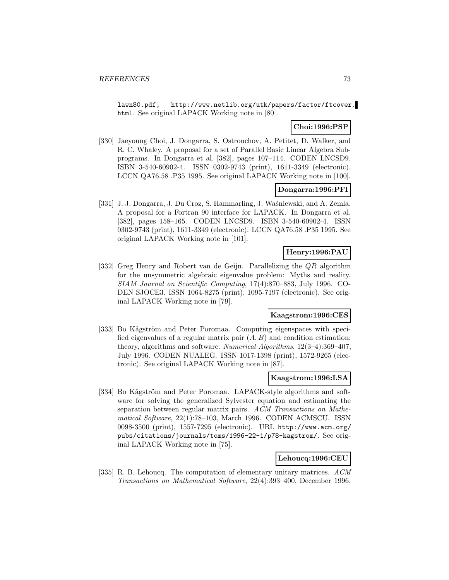lawn80.pdf; http://www.netlib.org/utk/papers/factor/ftcover. html. See original LAPACK Working note in [80].

### **Choi:1996:PSP**

[330] Jaeyoung Choi, J. Dongarra, S. Ostrouchov, A. Petitet, D. Walker, and R. C. Whaley. A proposal for a set of Parallel Basic Linear Algebra Subprograms. In Dongarra et al. [382], pages 107–114. CODEN LNCSD9. ISBN 3-540-60902-4. ISSN 0302-9743 (print), 1611-3349 (electronic). LCCN QA76.58 .P35 1995. See original LAPACK Working note in [100].

### **Dongarra:1996:PFI**

[331] J. J. Dongarra, J. Du Croz, S. Hammarling, J. Waśniewski, and A. Zemla. A proposal for a Fortran 90 interface for LAPACK. In Dongarra et al. [382], pages 158–165. CODEN LNCSD9. ISBN 3-540-60902-4. ISSN 0302-9743 (print), 1611-3349 (electronic). LCCN QA76.58 .P35 1995. See original LAPACK Working note in [101].

# **Henry:1996:PAU**

[332] Greg Henry and Robert van de Geijn. Parallelizing the QR algorithm for the unsymmetric algebraic eigenvalue problem: Myths and reality. SIAM Journal on Scientific Computing, 17(4):870–883, July 1996. CO-DEN SJOCE3. ISSN 1064-8275 (print), 1095-7197 (electronic). See original LAPACK Working note in [79].

### **Kaagstrom:1996:CES**

[333] Bo Kågström and Peter Poromaa. Computing eigenspaces with specified eigenvalues of a regular matrix pair  $(A, B)$  and condition estimation: theory, algorithms and software. Numerical Algorithms, 12(3–4):369–407, July 1996. CODEN NUALEG. ISSN 1017-1398 (print), 1572-9265 (electronic). See original LAPACK Working note in [87].

#### **Kaagstrom:1996:LSA**

[334] Bo Kågström and Peter Poromaa. LAPACK-style algorithms and software for solving the generalized Sylvester equation and estimating the separation between regular matrix pairs. ACM Transactions on Mathematical Software, 22(1):78–103, March 1996. CODEN ACMSCU. ISSN 0098-3500 (print), 1557-7295 (electronic). URL http://www.acm.org/ pubs/citations/journals/toms/1996-22-1/p78-kagstrom/. See original LAPACK Working note in [75].

#### **Lehoucq:1996:CEU**

[335] R. B. Lehoucq. The computation of elementary unitary matrices. ACM Transactions on Mathematical Software, 22(4):393–400, December 1996.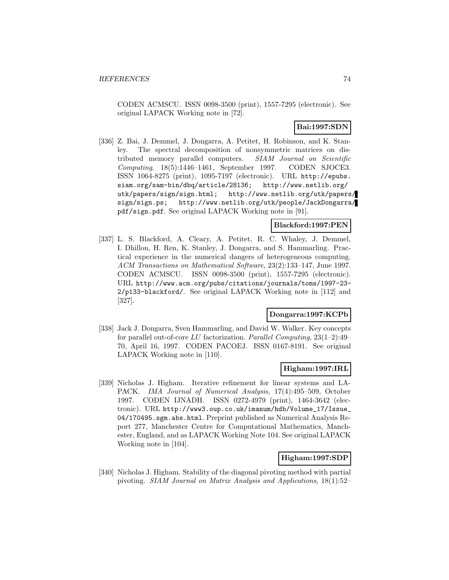CODEN ACMSCU. ISSN 0098-3500 (print), 1557-7295 (electronic). See original LAPACK Working note in [72].

# **Bai:1997:SDN**

[336] Z. Bai, J. Demmel, J. Dongarra, A. Petitet, H. Robinson, and K. Stanley. The spectral decomposition of nonsymmetric matrices on distributed memory parallel computers. SIAM Journal on Scientific Computing, 18(5):1446–1461, September 1997. CODEN SJOCE3. ISSN 1064-8275 (print), 1095-7197 (electronic). URL http://epubs. siam.org/sam-bin/dbq/article/28136; http://www.netlib.org/ utk/papers/sign/sign.html; http://www.netlib.org/utk/papers/ sign/sign.ps; http://www.netlib.org/utk/people/JackDongarra/ pdf/sign.pdf. See original LAPACK Working note in [91].

### **Blackford:1997:PEN**

[337] L. S. Blackford, A. Cleary, A. Petitet, R. C. Whaley, J. Demmel, I. Dhillon, H. Ren, K. Stanley, J. Dongarra, and S. Hammarling. Practical experience in the numerical dangers of heterogeneous computing. ACM Transactions on Mathematical Software, 23(2):133–147, June 1997. CODEN ACMSCU. ISSN 0098-3500 (print), 1557-7295 (electronic). URL http://www.acm.org/pubs/citations/journals/toms/1997-23- 2/p133-blackford/. See original LAPACK Working note in [112] and [327].

### **Dongarra:1997:KCPb**

[338] Jack J. Dongarra, Sven Hammarling, and David W. Walker. Key concepts for parallel out-of-core LU factorization. Parallel Computing,  $23(1-2):49-$ 70, April 16, 1997. CODEN PACOEJ. ISSN 0167-8191. See original LAPACK Working note in [110].

### **Higham:1997:IRL**

[339] Nicholas J. Higham. Iterative refinement for linear systems and LA-PACK. IMA Journal of Numerical Analysis, 17(4):495–509, October 1997. CODEN IJNADH. ISSN 0272-4979 (print), 1464-3642 (electronic). URL http://www3.oup.co.uk/imanum/hdb/Volume\_17/Issue\_ 04/170495.sgm.abs.html. Preprint published as Numerical Analysis Report 277, Manchester Centre for Computational Mathematics, Manchester, England, and as LAPACK Working Note 104. See original LAPACK Working note in [104].

#### **Higham:1997:SDP**

[340] Nicholas J. Higham. Stability of the diagonal pivoting method with partial pivoting. SIAM Journal on Matrix Analysis and Applications, 18(1):52–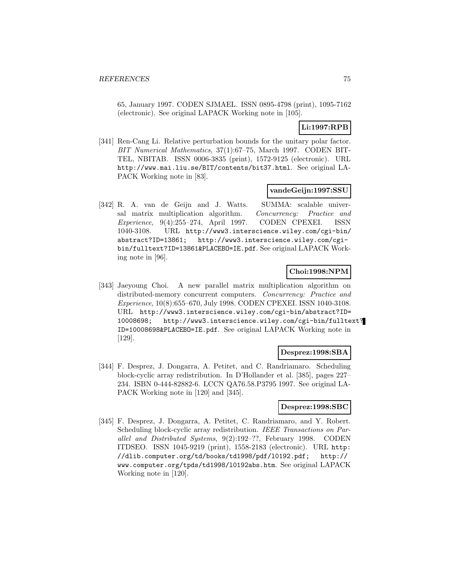65, January 1997. CODEN SJMAEL. ISSN 0895-4798 (print), 1095-7162 (electronic). See original LAPACK Working note in [105].

### **Li:1997:RPB**

[341] Ren-Cang Li. Relative perturbation bounds for the unitary polar factor. BIT Numerical Mathematics, 37(1):67–75, March 1997. CODEN BIT-TEL, NBITAB. ISSN 0006-3835 (print), 1572-9125 (electronic). URL http://www.mai.liu.se/BIT/contents/bit37.html. See original LA-PACK Working note in [83].

#### **vandeGeijn:1997:SSU**

[342] R. A. van de Geijn and J. Watts. SUMMA: scalable universal matrix multiplication algorithm. Concurrency: Practice and Experience, 9(4):255–274, April 1997. CODEN CPEXEI. ISSN 1040-3108. URL http://www3.interscience.wiley.com/cgi-bin/ abstract?ID=13861; http://www3.interscience.wiley.com/cgibin/fulltext?ID=13861&PLACEBO=IE.pdf. See original LAPACK Working note in [96].

### **Choi:1998:NPM**

[343] Jaeyoung Choi. A new parallel matrix multiplication algorithm on distributed-memory concurrent computers. Concurrency: Practice and Experience, 10(8):655–670, July 1998. CODEN CPEXEI. ISSN 1040-3108. URL http://www3.interscience.wiley.com/cgi-bin/abstract?ID= 10008698; http://www3.interscience.wiley.com/cgi-bin/fulltext? ID=10008698&PLACEBO=IE.pdf. See original LAPACK Working note in [129].

#### **Desprez:1998:SBA**

[344] F. Desprez, J. Dongarra, A. Petitet, and C. Randriamaro. Scheduling block-cyclic array redistribution. In D'Hollander et al. [385], pages 227– 234. ISBN 0-444-82882-6. LCCN QA76.58.P3795 1997. See original LA-PACK Working note in [120] and [345].

#### **Desprez:1998:SBC**

[345] F. Desprez, J. Dongarra, A. Petitet, C. Randriamaro, and Y. Robert. Scheduling block-cyclic array redistribution. IEEE Transactions on Parallel and Distributed Systems, 9(2):192–??, February 1998. CODEN ITDSEO. ISSN 1045-9219 (print), 1558-2183 (electronic). URL http: //dlib.computer.org/td/books/td1998/pdf/l0192.pdf; http:// www.computer.org/tpds/td1998/l0192abs.htm. See original LAPACK Working note in [120].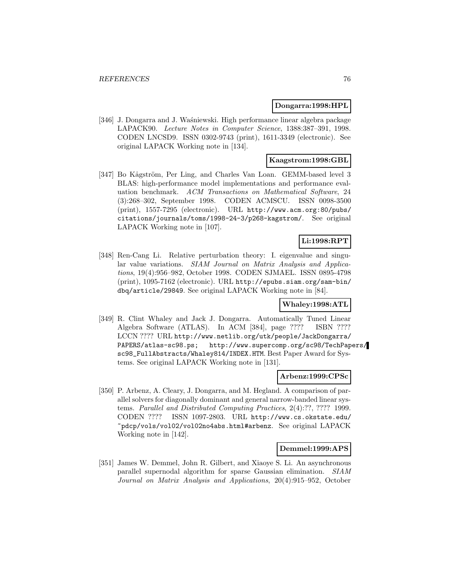#### **Dongarra:1998:HPL**

[346] J. Dongarra and J. Waśniewski. High performance linear algebra package LAPACK90. Lecture Notes in Computer Science, 1388:387–391, 1998. CODEN LNCSD9. ISSN 0302-9743 (print), 1611-3349 (electronic). See original LAPACK Working note in [134].

### **Kaagstrom:1998:GBL**

[347] Bo Kågström, Per Ling, and Charles Van Loan. GEMM-based level 3 BLAS: high-performance model implementations and performance evaluation benchmark. ACM Transactions on Mathematical Software, 24 (3):268–302, September 1998. CODEN ACMSCU. ISSN 0098-3500 (print), 1557-7295 (electronic). URL http://www.acm.org:80/pubs/ citations/journals/toms/1998-24-3/p268-kagstrom/. See original LAPACK Working note in [107].

# **Li:1998:RPT**

[348] Ren-Cang Li. Relative perturbation theory: I. eigenvalue and singular value variations. SIAM Journal on Matrix Analysis and Applications, 19(4):956–982, October 1998. CODEN SJMAEL. ISSN 0895-4798 (print), 1095-7162 (electronic). URL http://epubs.siam.org/sam-bin/ dbq/article/29849. See original LAPACK Working note in [84].

#### **Whaley:1998:ATL**

[349] R. Clint Whaley and Jack J. Dongarra. Automatically Tuned Linear Algebra Software (ATLAS). In ACM [384], page ???? ISBN ???? LCCN ???? URL http://www.netlib.org/utk/people/JackDongarra/ PAPERS/atlas-sc98.ps; http://www.supercomp.org/sc98/TechPapers/ sc98\_FullAbstracts/Whaley814/INDEX.HTM. Best Paper Award for Systems. See original LAPACK Working note in [131].

### **Arbenz:1999:CPSc**

[350] P. Arbenz, A. Cleary, J. Dongarra, and M. Hegland. A comparison of parallel solvers for diagonally dominant and general narrow-banded linear systems. Parallel and Distributed Computing Practices, 2(4):??, ???? 1999. CODEN ???? ISSN 1097-2803. URL http://www.cs.okstate.edu/ ~pdcp/vols/vol02/vol02no4abs.html#arbenz. See original LAPACK Working note in [142].

### **Demmel:1999:APS**

[351] James W. Demmel, John R. Gilbert, and Xiaoye S. Li. An asynchronous parallel supernodal algorithm for sparse Gaussian elimination. SIAM Journal on Matrix Analysis and Applications, 20(4):915–952, October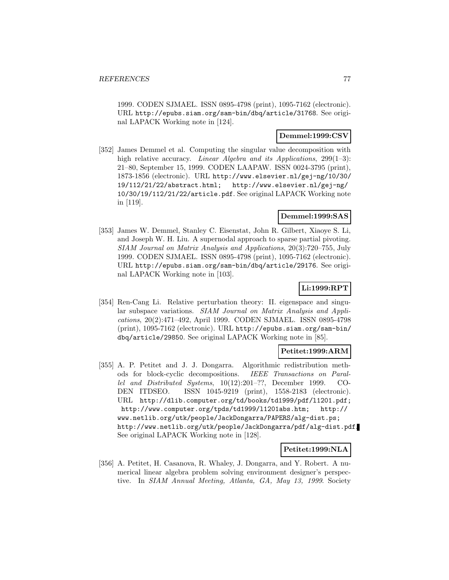1999. CODEN SJMAEL. ISSN 0895-4798 (print), 1095-7162 (electronic). URL http://epubs.siam.org/sam-bin/dbq/article/31768. See original LAPACK Working note in [124].

# **Demmel:1999:CSV**

[352] James Demmel et al. Computing the singular value decomposition with high relative accuracy. *Linear Algebra and its Applications*, 299(1–3): 21–80, September 15, 1999. CODEN LAAPAW. ISSN 0024-3795 (print), 1873-1856 (electronic). URL http://www.elsevier.nl/gej-ng/10/30/ 19/112/21/22/abstract.html; http://www.elsevier.nl/gej-ng/ 10/30/19/112/21/22/article.pdf. See original LAPACK Working note in [119].

### **Demmel:1999:SAS**

[353] James W. Demmel, Stanley C. Eisenstat, John R. Gilbert, Xiaoye S. Li, and Joseph W. H. Liu. A supernodal approach to sparse partial pivoting. SIAM Journal on Matrix Analysis and Applications, 20(3):720–755, July 1999. CODEN SJMAEL. ISSN 0895-4798 (print), 1095-7162 (electronic). URL http://epubs.siam.org/sam-bin/dbq/article/29176. See original LAPACK Working note in [103].

# **Li:1999:RPT**

[354] Ren-Cang Li. Relative perturbation theory: II. eigenspace and singular subspace variations. SIAM Journal on Matrix Analysis and Applications, 20(2):471–492, April 1999. CODEN SJMAEL. ISSN 0895-4798 (print), 1095-7162 (electronic). URL http://epubs.siam.org/sam-bin/ dbq/article/29850. See original LAPACK Working note in [85].

#### **Petitet:1999:ARM**

[355] A. P. Petitet and J. J. Dongarra. Algorithmic redistribution methods for block-cyclic decompositions. IEEE Transactions on Parallel and Distributed Systems, 10(12):201–??, December 1999. CO-DEN ITDSEO. ISSN 1045-9219 (print), 1558-2183 (electronic). URL http://dlib.computer.org/td/books/td1999/pdf/l1201.pdf; http://www.computer.org/tpds/td1999/l1201abs.htm; http:// www.netlib.org/utk/people/JackDongarra/PAPERS/alg-dist.ps; http://www.netlib.org/utk/people/JackDongarra/pdf/alg-dist.pdf. See original LAPACK Working note in [128].

#### **Petitet:1999:NLA**

[356] A. Petitet, H. Casanova, R. Whaley, J. Dongarra, and Y. Robert. A numerical linear algebra problem solving environment designer's perspective. In SIAM Annual Meeting, Atlanta, GA, May 13, 1999. Society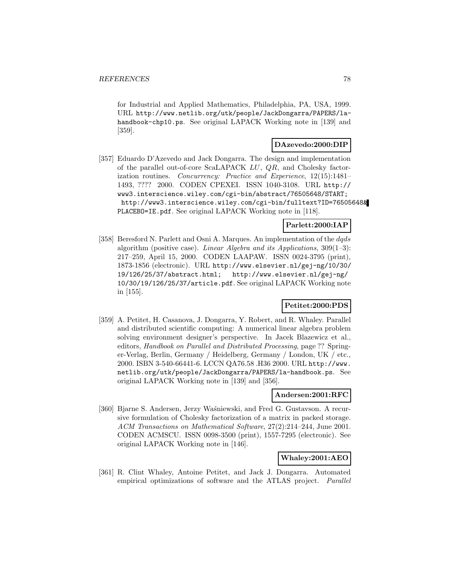for Industrial and Applied Mathematics, Philadelphia, PA, USA, 1999. URL http://www.netlib.org/utk/people/JackDongarra/PAPERS/lahandbook-chp10.ps. See original LAPACK Working note in [139] and [359].

### **DAzevedo:2000:DIP**

[357] Eduardo D'Azevedo and Jack Dongarra. The design and implementation of the parallel out-of-core ScaLAPACK LU, QR, and Cholesky factorization routines. Concurrency: Practice and Experience, 12(15):1481– 1493, ???? 2000. CODEN CPEXEI. ISSN 1040-3108. URL http:// www3.interscience.wiley.com/cgi-bin/abstract/76505648/START; http://www3.interscience.wiley.com/cgi-bin/fulltext?ID=76505648& PLACEBO=IE.pdf. See original LAPACK Working note in [118].

# **Parlett:2000:IAP**

[358] Beresford N. Parlett and Osni A. Marques. An implementation of the dqds algorithm (positive case). Linear Algebra and its Applications,  $309(1-3)$ : 217–259, April 15, 2000. CODEN LAAPAW. ISSN 0024-3795 (print), 1873-1856 (electronic). URL http://www.elsevier.nl/gej-ng/10/30/ 19/126/25/37/abstract.html; http://www.elsevier.nl/gej-ng/ 10/30/19/126/25/37/article.pdf. See original LAPACK Working note in [155].

# **Petitet:2000:PDS**

[359] A. Petitet, H. Casanova, J. Dongarra, Y. Robert, and R. Whaley. Parallel and distributed scientific computing: A numerical linear algebra problem solving environment designer's perspective. In Jacek Blazewicz et al., editors, Handbook on Parallel and Distributed Processing, page ?? Springer-Verlag, Berlin, Germany / Heidelberg, Germany / London, UK / etc., 2000. ISBN 3-540-66441-6. LCCN QA76.58 .H36 2000. URL http://www. netlib.org/utk/people/JackDongarra/PAPERS/la-handbook.ps. See original LAPACK Working note in [139] and [356].

#### **Andersen:2001:RFC**

[360] Bjarne S. Andersen, Jerzy Waśniewski, and Fred G. Gustavson. A recursive formulation of Cholesky factorization of a matrix in packed storage. ACM Transactions on Mathematical Software, 27(2):214–244, June 2001. CODEN ACMSCU. ISSN 0098-3500 (print), 1557-7295 (electronic). See original LAPACK Working note in [146].

#### **Whaley:2001:AEO**

[361] R. Clint Whaley, Antoine Petitet, and Jack J. Dongarra. Automated empirical optimizations of software and the ATLAS project. Parallel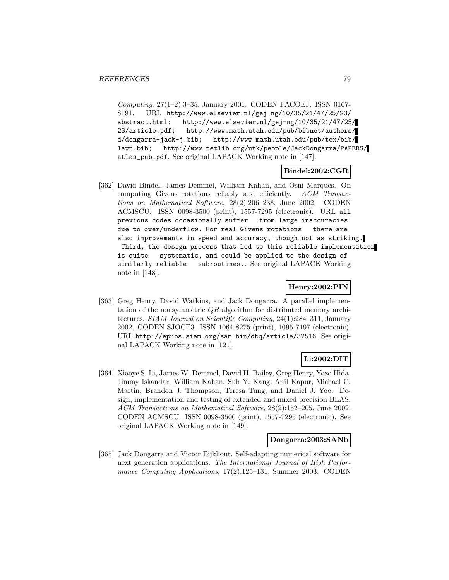Computing, 27(1–2):3–35, January 2001. CODEN PACOEJ. ISSN 0167- 8191. URL http://www.elsevier.nl/gej-ng/10/35/21/47/25/23/ abstract.html; http://www.elsevier.nl/gej-ng/10/35/21/47/25/ 23/article.pdf; http://www.math.utah.edu/pub/bibnet/authors/ d/dongarra-jack-j.bib; http://www.math.utah.edu/pub/tex/bib/ lawn.bib; http://www.netlib.org/utk/people/JackDongarra/PAPERS/ atlas\_pub.pdf. See original LAPACK Working note in [147].

### **Bindel:2002:CGR**

[362] David Bindel, James Demmel, William Kahan, and Osni Marques. On computing Givens rotations reliably and efficiently. ACM Transactions on Mathematical Software, 28(2):206–238, June 2002. CODEN ACMSCU. ISSN 0098-3500 (print), 1557-7295 (electronic). URL all previous codes occasionally suffer from large inaccuracies due to over/underflow. For real Givens rotations there are also improvements in speed and accuracy, though not as striking. Third, the design process that led to this reliable implementation is quite systematic, and could be applied to the design of similarly reliable subroutines.. See original LAPACK Working note in [148].

### **Henry:2002:PIN**

[363] Greg Henry, David Watkins, and Jack Dongarra. A parallel implementation of the nonsymmetric  $QR$  algorithm for distributed memory architectures. SIAM Journal on Scientific Computing, 24(1):284–311, January 2002. CODEN SJOCE3. ISSN 1064-8275 (print), 1095-7197 (electronic). URL http://epubs.siam.org/sam-bin/dbq/article/32516. See original LAPACK Working note in [121].

### **Li:2002:DIT**

[364] Xiaoye S. Li, James W. Demmel, David H. Bailey, Greg Henry, Yozo Hida, Jimmy Iskandar, William Kahan, Suh Y. Kang, Anil Kapur, Michael C. Martin, Brandon J. Thompson, Teresa Tung, and Daniel J. Yoo. Design, implementation and testing of extended and mixed precision BLAS. ACM Transactions on Mathematical Software, 28(2):152–205, June 2002. CODEN ACMSCU. ISSN 0098-3500 (print), 1557-7295 (electronic). See original LAPACK Working note in [149].

#### **Dongarra:2003:SANb**

[365] Jack Dongarra and Victor Eijkhout. Self-adapting numerical software for next generation applications. The International Journal of High Performance Computing Applications, 17(2):125–131, Summer 2003. CODEN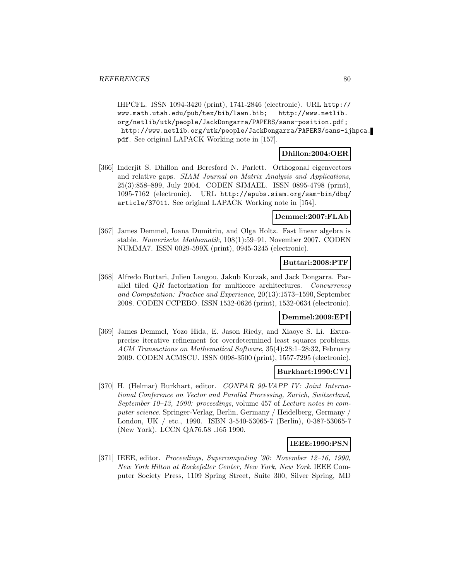IHPCFL. ISSN 1094-3420 (print), 1741-2846 (electronic). URL http:// www.math.utah.edu/pub/tex/bib/lawn.bib; http://www.netlib. org/netlib/utk/people/JackDongarra/PAPERS/sans-position.pdf; http://www.netlib.org/utk/people/JackDongarra/PAPERS/sans-ijhpca. pdf. See original LAPACK Working note in [157].

### **Dhillon:2004:OER**

[366] Inderjit S. Dhillon and Beresford N. Parlett. Orthogonal eigenvectors and relative gaps. SIAM Journal on Matrix Analysis and Applications, 25(3):858–899, July 2004. CODEN SJMAEL. ISSN 0895-4798 (print), 1095-7162 (electronic). URL http://epubs.siam.org/sam-bin/dbq/ article/37011. See original LAPACK Working note in [154].

# **Demmel:2007:FLAb**

[367] James Demmel, Ioana Dumitriu, and Olga Holtz. Fast linear algebra is stable. Numerische Mathematik, 108(1):59–91, November 2007. CODEN NUMMA7. ISSN 0029-599X (print), 0945-3245 (electronic).

#### **Buttari:2008:PTF**

[368] Alfredo Buttari, Julien Langou, Jakub Kurzak, and Jack Dongarra. Parallel tiled QR factorization for multicore architectures. Concurrency and Computation: Practice and Experience, 20(13):1573–1590, September 2008. CODEN CCPEBO. ISSN 1532-0626 (print), 1532-0634 (electronic).

## **Demmel:2009:EPI**

[369] James Demmel, Yozo Hida, E. Jason Riedy, and Xiaoye S. Li. Extraprecise iterative refinement for overdetermined least squares problems. ACM Transactions on Mathematical Software, 35(4):28:1–28:32, February 2009. CODEN ACMSCU. ISSN 0098-3500 (print), 1557-7295 (electronic).

#### **Burkhart:1990:CVI**

[370] H. (Helmar) Burkhart, editor. CONPAR 90-VAPP IV: Joint International Conference on Vector and Parallel Processing, Zurich, Switzerland, September 10–13, 1990: proceedings, volume 457 of Lecture notes in computer science. Springer-Verlag, Berlin, Germany / Heidelberg, Germany / London, UK / etc., 1990. ISBN 3-540-53065-7 (Berlin), 0-387-53065-7 (New York). LCCN QA76.58 .J65 1990.

#### **IEEE:1990:PSN**

[371] IEEE, editor. Proceedings, Supercomputing '90: November 12–16, 1990, New York Hilton at Rockefeller Center, New York, New York. IEEE Computer Society Press, 1109 Spring Street, Suite 300, Silver Spring, MD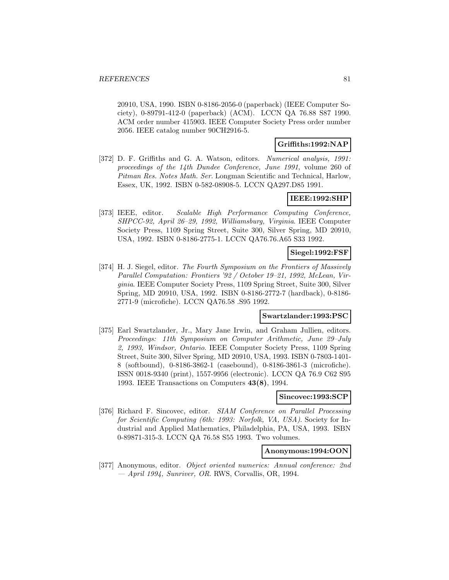20910, USA, 1990. ISBN 0-8186-2056-0 (paperback) (IEEE Computer Society), 0-89791-412-0 (paperback) (ACM). LCCN QA 76.88 S87 1990. ACM order number 415903. IEEE Computer Society Press order number 2056. IEEE catalog number 90CH2916-5.

### **Griffiths:1992:NAP**

[372] D. F. Griffiths and G. A. Watson, editors. Numerical analysis, 1991: proceedings of the 14th Dundee Conference, June 1991, volume 260 of Pitman Res. Notes Math. Ser. Longman Scientific and Technical, Harlow, Essex, UK, 1992. ISBN 0-582-08908-5. LCCN QA297.D85 1991.

#### **IEEE:1992:SHP**

[373] IEEE, editor. Scalable High Performance Computing Conference, SHPCC-92, April 26–29, 1992, Williamsburg, Virginia. IEEE Computer Society Press, 1109 Spring Street, Suite 300, Silver Spring, MD 20910, USA, 1992. ISBN 0-8186-2775-1. LCCN QA76.76.A65 S33 1992.

### **Siegel:1992:FSF**

[374] H. J. Siegel, editor. The Fourth Symposium on the Frontiers of Massively Parallel Computation: Frontiers '92 / October 19–21, 1992, McLean, Virginia. IEEE Computer Society Press, 1109 Spring Street, Suite 300, Silver Spring, MD 20910, USA, 1992. ISBN 0-8186-2772-7 (hardback), 0-8186- 2771-9 (microfiche). LCCN QA76.58 .S95 1992.

#### **Swartzlander:1993:PSC**

[375] Earl Swartzlander, Jr., Mary Jane Irwin, and Graham Jullien, editors. Proceedings: 11th Symposium on Computer Arithmetic, June 29–July 2, 1993, Windsor, Ontario. IEEE Computer Society Press, 1109 Spring Street, Suite 300, Silver Spring, MD 20910, USA, 1993. ISBN 0-7803-1401- 8 (softbound), 0-8186-3862-1 (casebound), 0-8186-3861-3 (microfiche). ISSN 0018-9340 (print), 1557-9956 (electronic). LCCN QA 76.9 C62 S95 1993. IEEE Transactions on Computers **43(8)**, 1994.

### **Sincovec:1993:SCP**

[376] Richard F. Sincovec, editor. SIAM Conference on Parallel Processing for Scientific Computing (6th: 1993: Norfolk, VA, USA). Society for Industrial and Applied Mathematics, Philadelphia, PA, USA, 1993. ISBN 0-89871-315-3. LCCN QA 76.58 S55 1993. Two volumes.

#### **Anonymous:1994:OON**

[377] Anonymous, editor. Object oriented numerics: Annual conference: 2nd  $-$  April 1994, Sunriver, OR. RWS, Corvallis, OR, 1994.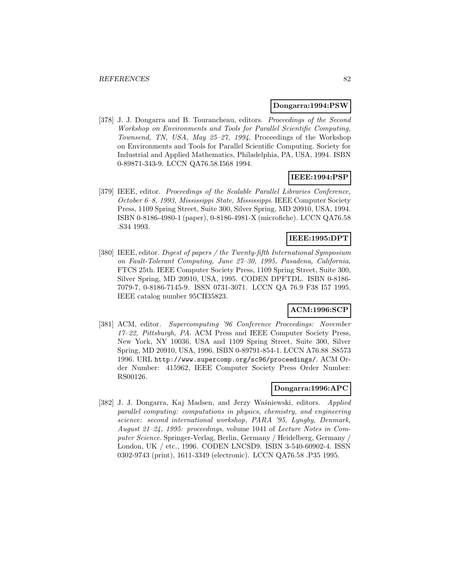#### **Dongarra:1994:PSW**

[378] J. J. Dongarra and B. Tourancheau, editors. Proceedings of the Second Workshop on Environments and Tools for Parallel Scientific Computing, Townsend, TN, USA, May 25–27, 1994, Proceedings of the Workshop on Environments and Tools for Parallel Scientific Computing. Society for Industrial and Applied Mathematics, Philadelphia, PA, USA, 1994. ISBN 0-89871-343-9. LCCN QA76.58.I568 1994.

#### **IEEE:1994:PSP**

[379] IEEE, editor. Proceedings of the Scalable Parallel Libraries Conference, October 6–8, 1993, Mississippi State, Mississippi. IEEE Computer Society Press, 1109 Spring Street, Suite 300, Silver Spring, MD 20910, USA, 1994. ISBN 0-8186-4980-1 (paper), 0-8186-4981-X (microfiche). LCCN QA76.58 .S34 1993.

# **IEEE:1995:DPT**

[380] IEEE, editor. Digest of papers / the Twenty-fifth International Symposium on Fault-Tolerant Computing, June 27–30, 1995, Pasadena, California, FTCS 25th. IEEE Computer Society Press, 1109 Spring Street, Suite 300, Silver Spring, MD 20910, USA, 1995. CODEN DPFTDL. ISBN 0-8186- 7079-7, 0-8186-7145-9. ISSN 0731-3071. LCCN QA 76.9 F38 I57 1995. IEEE catalog number 95CH35823.

### **ACM:1996:SCP**

[381] ACM, editor. Supercomputing '96 Conference Proceedings: November 17–22, Pittsburgh, PA. ACM Press and IEEE Computer Society Press, New York, NY 10036, USA and 1109 Spring Street, Suite 300, Silver Spring, MD 20910, USA, 1996. ISBN 0-89791-854-1. LCCN A76.88 .S8573 1996. URL http://www.supercomp.org/sc96/proceedings/. ACM Order Number: 415962, IEEE Computer Society Press Order Number: RS00126.

### **Dongarra:1996:APC**

[382] J. J. Dongarra, Kaj Madsen, and Jerzy Waśniewski, editors. Applied parallel computing: computations in physics, chemistry, and engineering science: second international workshop, PARA '95, Lyngby, Denmark, August 21–24, 1995: proceedings, volume 1041 of Lecture Notes in Computer Science. Springer-Verlag, Berlin, Germany / Heidelberg, Germany / London, UK / etc., 1996. CODEN LNCSD9. ISBN 3-540-60902-4. ISSN 0302-9743 (print), 1611-3349 (electronic). LCCN QA76.58 .P35 1995.